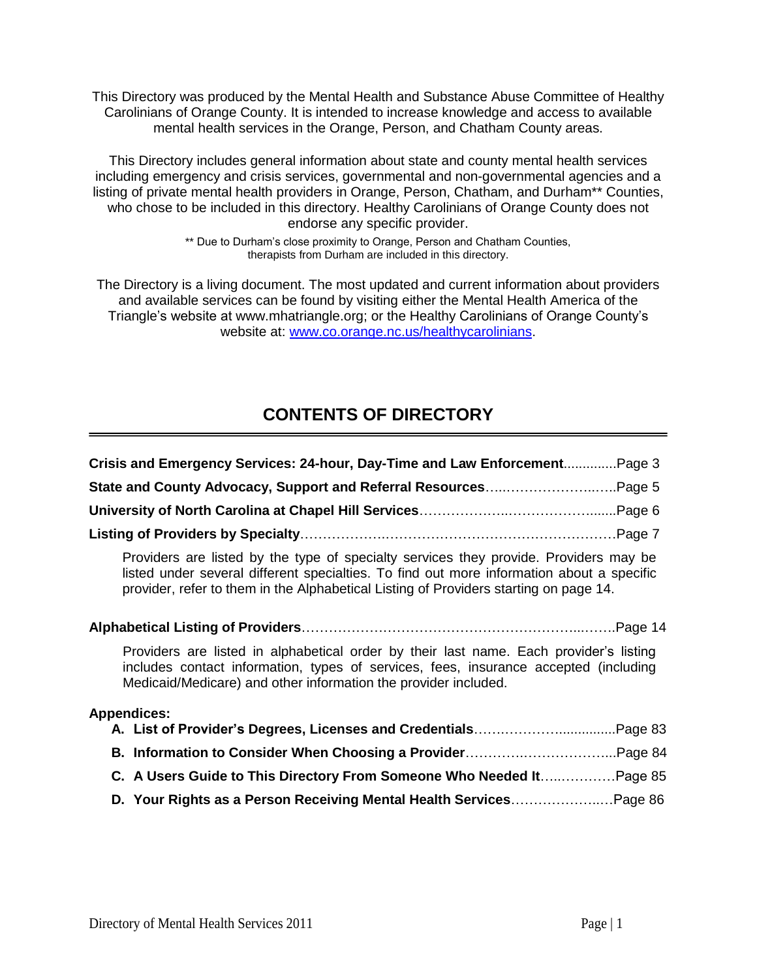This Directory was produced by the Mental Health and Substance Abuse Committee of Healthy Carolinians of Orange County. It is intended to increase knowledge and access to available mental health services in the Orange, Person, and Chatham County areas.

This Directory includes general information about state and county mental health services including emergency and crisis services, governmental and non-governmental agencies and a listing of private mental health providers in Orange, Person, Chatham, and Durham\*\* Counties, who chose to be included in this directory. Healthy Carolinians of Orange County does not endorse any specific provider.

> \*\* Due to Durham's close proximity to Orange, Person and Chatham Counties, therapists from Durham are included in this directory.

The Directory is a living document. The most updated and current information about providers and available services can be found by visiting either the Mental Health America of the Triangle's website at www.mhatriangle.org; or the Healthy Carolinians of Orange County's website at: [www.co.orange.nc.us/healthycarolinians.](http://www.co.orange.nc.us/healthycarolinians)

# **CONTENTS OF DIRECTORY**

| Crisis and Emergency Services: 24-hour, Day-Time and Law EnforcementPage 3                                                                                                                                                                                                  |
|-----------------------------------------------------------------------------------------------------------------------------------------------------------------------------------------------------------------------------------------------------------------------------|
| State and County Advocacy, Support and Referral ResourcesPage 5                                                                                                                                                                                                             |
|                                                                                                                                                                                                                                                                             |
|                                                                                                                                                                                                                                                                             |
| Providers are listed by the type of specialty services they provide. Providers may be<br>listed under several different specialties. To find out more information about a specific<br>provider, refer to them in the Alphabetical Listing of Providers starting on page 14. |
|                                                                                                                                                                                                                                                                             |
| Providers are listed in alphabetical order by their last name. Each provider's listing<br>includes contact information, types of services, fees, insurance accepted (including<br>Medicaid/Medicare) and other information the provider included.                           |
| <b>Appendices:</b>                                                                                                                                                                                                                                                          |
|                                                                                                                                                                                                                                                                             |
|                                                                                                                                                                                                                                                                             |
| C. A Users Guide to This Directory From Someone Who Needed ItPage 85                                                                                                                                                                                                        |
| D. Your Rights as a Person Receiving Mental Health ServicesPage 86                                                                                                                                                                                                          |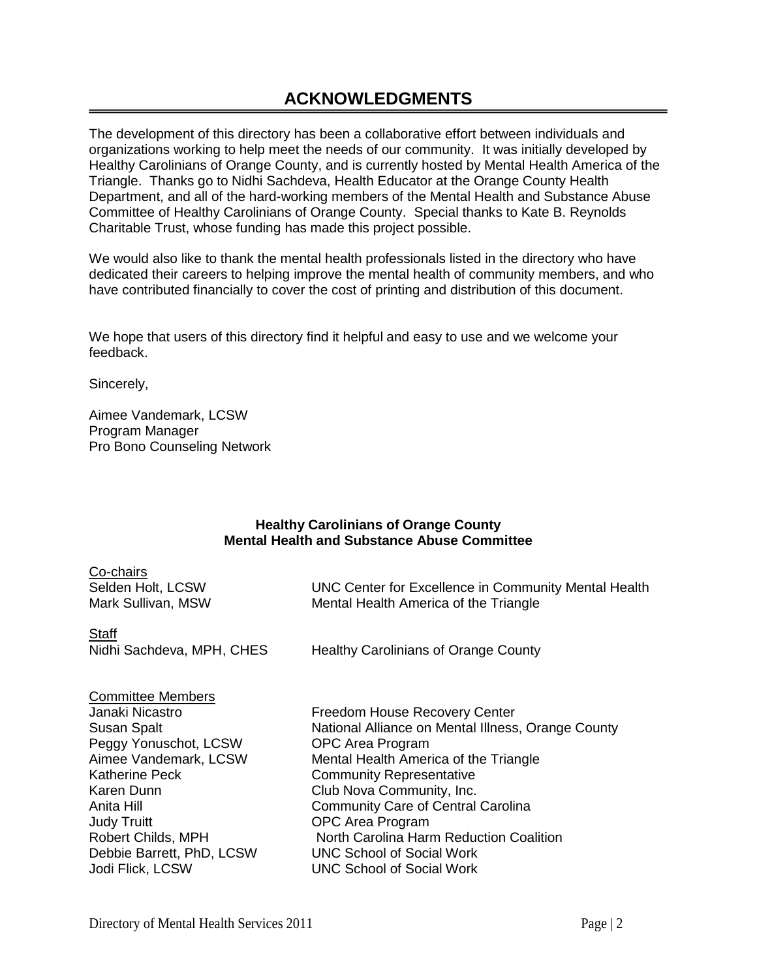# **ACKNOWLEDGMENTS**

The development of this directory has been a collaborative effort between individuals and organizations working to help meet the needs of our community. It was initially developed by Healthy Carolinians of Orange County, and is currently hosted by Mental Health America of the Triangle. Thanks go to Nidhi Sachdeva, Health Educator at the Orange County Health Department, and all of the hard-working members of the Mental Health and Substance Abuse Committee of Healthy Carolinians of Orange County. Special thanks to Kate B. Reynolds Charitable Trust, whose funding has made this project possible.

We would also like to thank the mental health professionals listed in the directory who have dedicated their careers to helping improve the mental health of community members, and who have contributed financially to cover the cost of printing and distribution of this document.

We hope that users of this directory find it helpful and easy to use and we welcome your feedback.

Sincerely,

Aimee Vandemark, LCSW Program Manager Pro Bono Counseling Network

## **Healthy Carolinians of Orange County Mental Health and Substance Abuse Committee**

| Co-chairs                               |                                                                                               |
|-----------------------------------------|-----------------------------------------------------------------------------------------------|
| Selden Holt, LCSW<br>Mark Sullivan, MSW | UNC Center for Excellence in Community Mental Health<br>Mental Health America of the Triangle |
|                                         |                                                                                               |
| <b>Staff</b>                            |                                                                                               |
| Nidhi Sachdeva, MPH, CHES               | <b>Healthy Carolinians of Orange County</b>                                                   |
|                                         |                                                                                               |
| <b>Committee Members</b>                |                                                                                               |
| Janaki Nicastro                         | <b>Freedom House Recovery Center</b>                                                          |
| <b>Susan Spalt</b>                      | National Alliance on Mental Illness, Orange County                                            |
| Peggy Yonuschot, LCSW                   | <b>OPC Area Program</b>                                                                       |
| Aimee Vandemark, LCSW                   | Mental Health America of the Triangle                                                         |
| Katherine Peck                          | <b>Community Representative</b>                                                               |
| Karen Dunn                              | Club Nova Community, Inc.                                                                     |
| Anita Hill                              | <b>Community Care of Central Carolina</b>                                                     |
| <b>Judy Truitt</b>                      | OPC Area Program                                                                              |
| Robert Childs, MPH                      | North Carolina Harm Reduction Coalition                                                       |
| Debbie Barrett, PhD, LCSW               | <b>UNC School of Social Work</b>                                                              |
| Jodi Flick, LCSW                        | <b>UNC School of Social Work</b>                                                              |
|                                         |                                                                                               |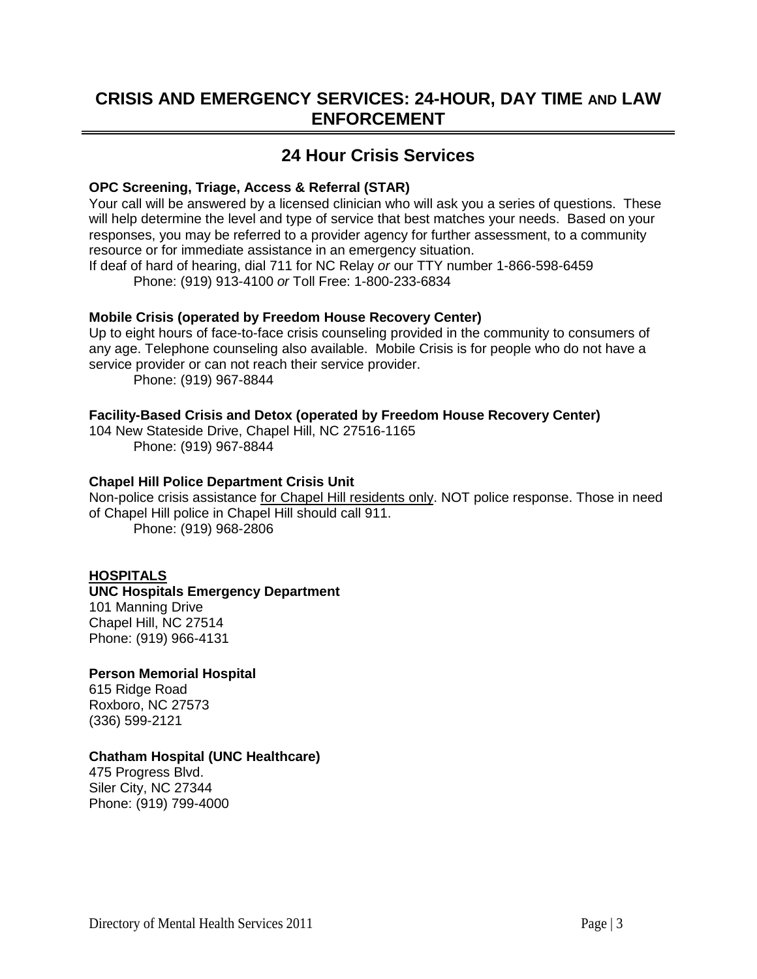# **CRISIS AND EMERGENCY SERVICES: 24-HOUR, DAY TIME AND LAW ENFORCEMENT**

# **24 Hour Crisis Services**

# **OPC Screening, Triage, Access & Referral (STAR)**

Your call will be answered by a licensed clinician who will ask you a series of questions. These will help determine the level and type of service that best matches your needs. Based on your responses, you may be referred to a provider agency for further assessment, to a community resource or for immediate assistance in an emergency situation.

If deaf of hard of hearing, dial 711 for NC Relay *or* our TTY number 1-866-598-6459 Phone: (919) 913-4100 *or* Toll Free: 1-800-233-6834

# **Mobile Crisis (operated by Freedom House Recovery Center)**

Up to eight hours of face-to-face crisis counseling provided in the community to consumers of any age. Telephone counseling also available. Mobile Crisis is for people who do not have a service provider or can not reach their service provider.

Phone: (919) 967-8844

## **Facility-Based Crisis and Detox (operated by Freedom House Recovery Center)**

104 New Stateside Drive, Chapel Hill, NC 27516-1165 Phone: (919) 967-8844

## **Chapel Hill Police Department Crisis Unit**

Non-police crisis assistance for Chapel Hill residents only. NOT police response. Those in need of Chapel Hill police in Chapel Hill should call 911. Phone: (919) 968-2806

# **HOSPITALS**

# **UNC Hospitals Emergency Department** 101 Manning Drive Chapel Hill, NC 27514 Phone: (919) 966-4131

### **Person Memorial Hospital**

615 Ridge Road Roxboro, NC 27573 (336) 599-2121

# **Chatham Hospital (UNC Healthcare)**

475 Progress Blvd. Siler City, NC 27344 Phone: (919) 799-4000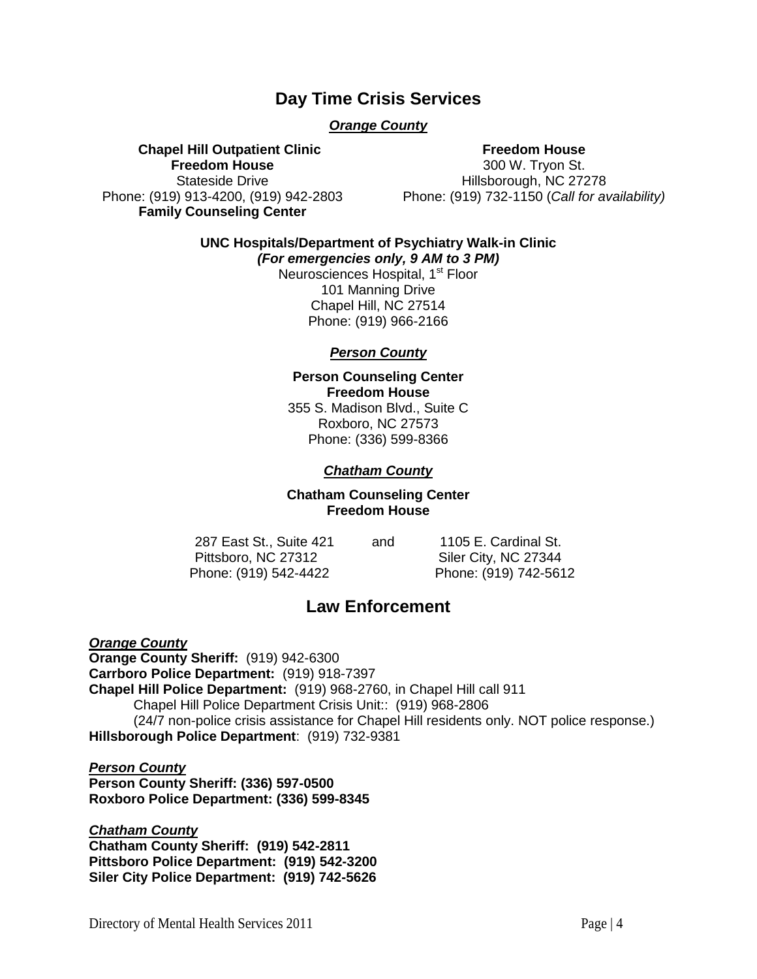# **Day Time Crisis Services**

# *Orange County*

 **Chapel Hill Outpatient Clinic Freedom House** Stateside Drive Phone: (919) 913-4200, (919) 942-2803 **Family Counseling Center**

## **Freedom House**

300 W. Tryon St. Hillsborough, NC 27278 Phone: (919) 732-1150 (*Call for availability)*

**UNC Hospitals/Department of Psychiatry Walk-in Clinic**

*(For emergencies only, 9 AM to 3 PM)* Neurosciences Hospital, 1<sup>st</sup> Floor 101 Manning Drive Chapel Hill, NC 27514 Phone: (919) 966-2166

# *Person County*

# **Person Counseling Center Freedom House**

355 S. Madison Blvd., Suite C Roxboro, NC 27573 Phone: (336) 599-8366

# *Chatham County*

## **Chatham Counseling Center Freedom House**

287 East St., Suite 421 and 1105 E. Cardinal St. Pittsboro, NC 27312 Siler City, NC 27344 Phone: (919) 542-4422Phone: (919) 742-5612

# **Law Enforcement**

*Orange County* **Orange County Sheriff:** (919) 942-6300 **Carrboro Police Department:** (919) 918-7397 **Chapel Hill Police Department:** (919) 968-2760, in Chapel Hill call 911 Chapel Hill Police Department Crisis Unit:: (919) 968-2806 (24/7 non-police crisis assistance for Chapel Hill residents only. NOT police response.) **Hillsborough Police Department**: (919) 732-9381

*Person County* **Person County Sheriff: (336) 597-0500 Roxboro Police Department: (336) 599-8345**

*Chatham County* **Chatham County Sheriff: (919) 542-2811 Pittsboro Police Department: (919) 542-3200 Siler City Police Department: (919) 742-5626**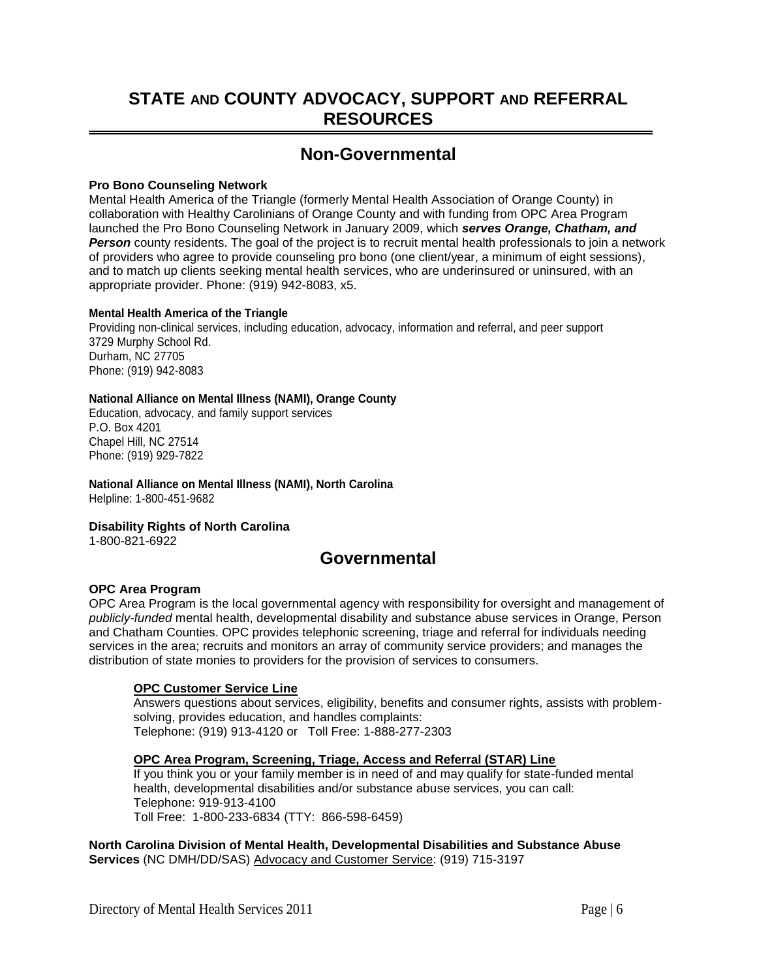# **STATE AND COUNTY ADVOCACY, SUPPORT AND REFERRAL RESOURCES**

# **Non-Governmental**

#### **Pro Bono Counseling Network**

Mental Health America of the Triangle (formerly Mental Health Association of Orange County) in collaboration with Healthy Carolinians of Orange County and with funding from OPC Area Program launched the Pro Bono Counseling Network in January 2009, which *serves Orange, Chatham, and*  **Person** county residents. The goal of the project is to recruit mental health professionals to join a network of providers who agree to provide counseling pro bono (one client/year, a minimum of eight sessions), and to match up clients seeking mental health services, who are underinsured or uninsured, with an appropriate provider. Phone: (919) 942-8083, x5.

#### **Mental Health America of the Triangle**

Providing non-clinical services, including education, advocacy, information and referral, and peer support 3729 Murphy School Rd. Durham, NC 27705 Phone: (919) 942-8083

#### **National Alliance on Mental Illness (NAMI), Orange County**

Education, advocacy, and family support services P.O. Box 4201 Chapel Hill, NC 27514 Phone: (919) 929-7822

**National Alliance on Mental Illness (NAMI), North Carolina** Helpline: 1-800-451-9682

### **Disability Rights of North Carolina**

1-800-821-6922

# **Governmental**

#### **OPC Area Program**

OPC Area Program is the local governmental agency with responsibility for oversight and management of *publicly-funded* mental health, developmental disability and substance abuse services in Orange, Person and Chatham Counties. OPC provides telephonic screening, triage and referral for individuals needing services in the area; recruits and monitors an array of community service providers; and manages the distribution of state monies to providers for the provision of services to consumers.

#### **OPC Customer Service Line**

Answers questions about services, eligibility, benefits and consumer rights, assists with problemsolving, provides education, and handles complaints: Telephone: (919) 913-4120 or Toll Free: 1-888-277-2303

#### **OPC Area Program, Screening, Triage, Access and Referral (STAR) Line**

If you think you or your family member is in need of and may qualify for state-funded mental health, developmental disabilities and/or substance abuse services, you can call: Telephone: 919-913-4100 Toll Free: 1-800-233-6834 (TTY: 866-598-6459)

**North Carolina Division of Mental Health, Developmental Disabilities and Substance Abuse Services** (NC DMH/DD/SAS) Advocacy and Customer Service: (919) 715-3197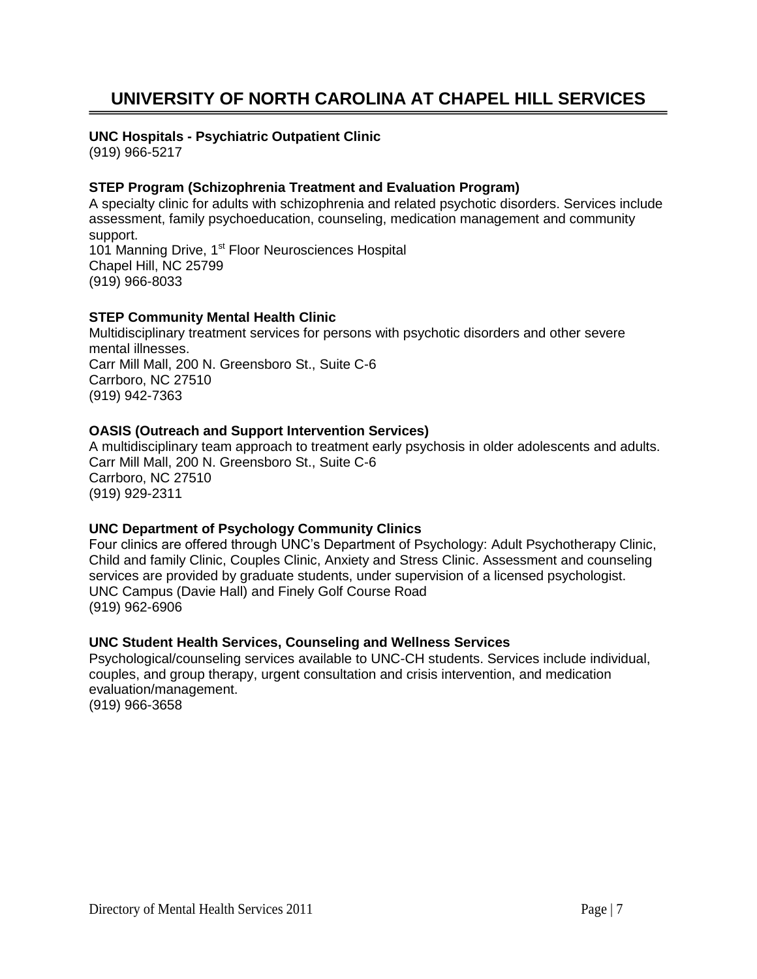# **UNIVERSITY OF NORTH CAROLINA AT CHAPEL HILL SERVICES**

## **UNC Hospitals - Psychiatric Outpatient Clinic**

(919) 966-5217

# **STEP Program (Schizophrenia Treatment and Evaluation Program)**

A specialty clinic for adults with schizophrenia and related psychotic disorders. Services include assessment, family psychoeducation, counseling, medication management and community support. 101 Manning Drive, 1<sup>st</sup> Floor Neurosciences Hospital Chapel Hill, NC 25799

(919) 966-8033

# **STEP Community Mental Health Clinic**

Multidisciplinary treatment services for persons with psychotic disorders and other severe mental illnesses. Carr Mill Mall, 200 N. Greensboro St., Suite C-6 Carrboro, NC 27510 (919) 942-7363

# **OASIS (Outreach and Support Intervention Services)**

A multidisciplinary team approach to treatment early psychosis in older adolescents and adults. Carr Mill Mall, 200 N. Greensboro St., Suite C-6 Carrboro, NC 27510 (919) 929-2311

# **UNC Department of Psychology Community Clinics**

Four clinics are offered through UNC's Department of Psychology: Adult Psychotherapy Clinic, Child and family Clinic, Couples Clinic, Anxiety and Stress Clinic. Assessment and counseling services are provided by graduate students, under supervision of a licensed psychologist. UNC Campus (Davie Hall) and Finely Golf Course Road (919) 962-6906

# **UNC Student Health Services, Counseling and Wellness Services**

Psychological/counseling services available to UNC-CH students. Services include individual, couples, and group therapy, urgent consultation and crisis intervention, and medication evaluation/management. (919) 966-3658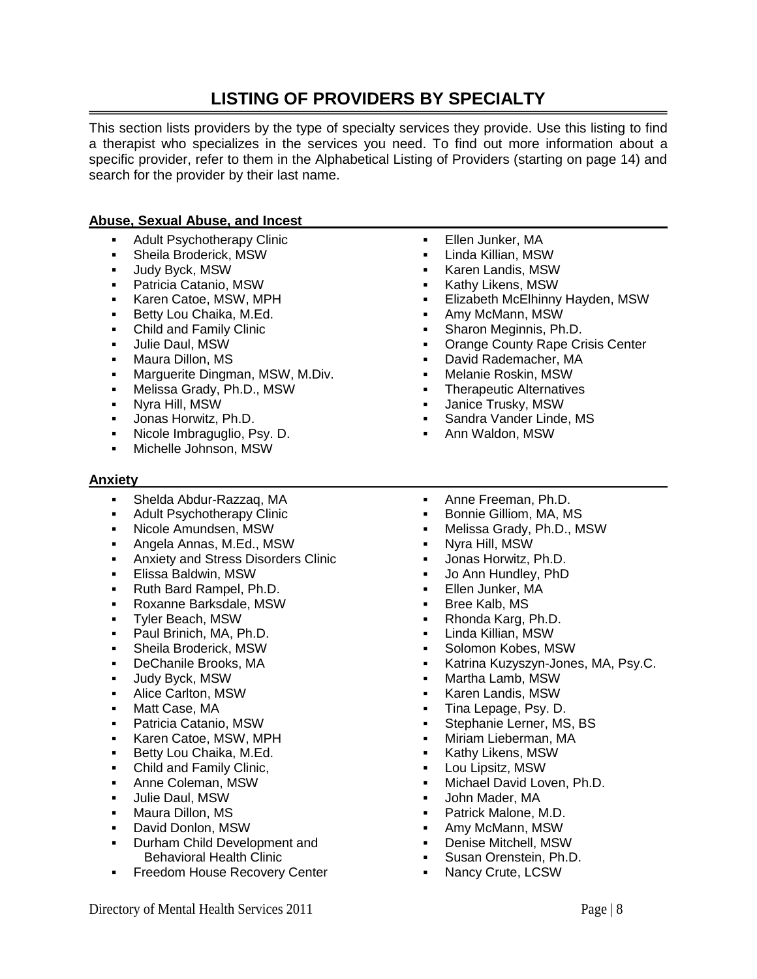# **LISTING OF PROVIDERS BY SPECIALTY**

This section lists providers by the type of specialty services they provide. Use this listing to find a therapist who specializes in the services you need. To find out more information about a specific provider, refer to them in the Alphabetical Listing of Providers (starting on page 14) and search for the provider by their last name.

## **Abuse, Sexual Abuse, and Incest**

- Adult Psychotherapy Clinic
- Sheila Broderick, MSW
- **Judy Byck, MSW**
- Patricia Catanio, MSW
- **Karen Catoe, MSW, MPH**
- **Betty Lou Chaika, M.Ed.**
- Child and Family Clinic
- **Julie Daul, MSW**
- **Maura Dillon, MS**
- Marguerite Dingman, MSW, M.Div.
- **Melissa Grady, Ph.D., MSW**
- Nyra Hill, MSW
- Jonas Horwitz, Ph.D.
- Nicole Imbraguglio, Psy. D.
- Michelle Johnson, MSW
- **Anxiety**
	- Shelda Abdur-Razzaq, MA
	- Adult Psychotherapy Clinic
	- Nicole Amundsen, MSW
	- Angela Annas, M.Ed., MSW
	- Anxiety and Stress Disorders Clinic
	- Elissa Baldwin, MSW
	- **Ruth Bard Rampel, Ph.D.**
	- Roxanne Barksdale, MSW
	- Tyler Beach, MSW
	- **Paul Brinich, MA, Ph.D.**
	- Sheila Broderick, MSW
	- DeChanile Brooks, MA
	- Judy Byck, MSW
	- **-** Alice Carlton, MSW
	- Matt Case, MA
	- Patricia Catanio, MSW
	- Karen Catoe, MSW, MPH
	- Betty Lou Chaika, M.Ed.
	- Child and Family Clinic,
	- Anne Coleman, MSW
	- **Julie Daul, MSW**
	- Maura Dillon, MS
	- David Donlon, MSW
	- **Durham Child Development and** Behavioral Health Clinic
	- **Freedom House Recovery Center**
- **Ellen Junker, MA**
- Linda Killian, MSW
- **Karen Landis, MSW**
- Kathy Likens, MSW
- Elizabeth McElhinny Hayden, MSW
- Amy McMann, MSW
- **Sharon Meginnis, Ph.D.**
- **Orange County Rape Crisis Center**
- David Rademacher, MA
- Melanie Roskin, MSW
- Therapeutic Alternatives
- Janice Trusky, MSW
- **Sandra Vander Linde, MS**
- Ann Waldon, MSW
- Anne Freeman, Ph.D.
- **Bonnie Gilliom, MA, MS**
- Melissa Grady, Ph.D., MSW
- Nyra Hill, MSW
- Jonas Horwitz, Ph.D.
- Jo Ann Hundley, PhD
- **Ellen Junker, MA**
- Bree Kalb, MS
- Rhonda Karg, Ph.D.
- Linda Killian, MSW
- Solomon Kobes, MSW
- Katrina Kuzyszyn-Jones, MA, Psy.C.
- Martha Lamb, MSW
- **Karen Landis, MSW**
- Tina Lepage, Psy. D.
- **Stephanie Lerner, MS, BS**
- Miriam Lieberman, MA
- **Kathy Likens, MSW**
- Lou Lipsitz, MSW
- Michael David Loven, Ph.D.
- John Mader, MA
- Patrick Malone, M.D.
- Amy McMann, MSW
- Denise Mitchell, MSW
- **Susan Orenstein, Ph.D.**
- Nancy Crute, LCSW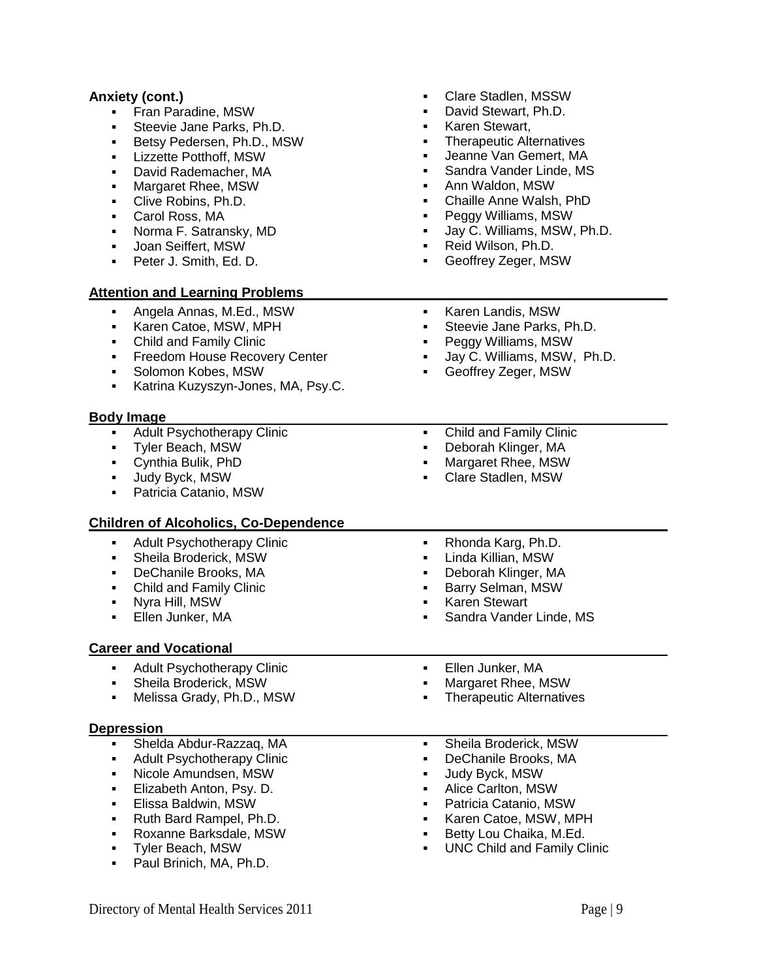## **Anxiety (cont.)**

- Fran Paradine, MSW
- Steevie Jane Parks, Ph.D.
- Betsy Pedersen, Ph.D., MSW
- **-** Lizzette Potthoff, MSW
- David Rademacher, MA
- Margaret Rhee, MSW
- Clive Robins, Ph.D.
- Carol Ross, MA
- **Norma F. Satransky, MD**
- Joan Seiffert, MSW
- Peter J. Smith, Ed. D.

#### **Attention and Learning Problems**

- Clare Stadlen, MSSW
- David Stewart, Ph.D.
- Karen Stewart,
- Therapeutic Alternatives
- Jeanne Van Gemert, MA
- Sandra Vander Linde, MS
- Ann Waldon, MSW
- Chaille Anne Walsh, PhD
- Peggy Williams, MSW
- Jay C. Williams, MSW, Ph.D.
- Reid Wilson, Ph.D.
- Geoffrey Zeger, MSW
- Angela Annas, M.Ed., MSW Karen Catoe, MSW, MPH Child and Family Clinic **Freedom House Recovery Center**  Solomon Kobes, MSW Katrina Kuzyszyn-Jones, MA, Psy.C. **Karen Landis, MSW**  Steevie Jane Parks, Ph.D. Peggy Williams, MSW Jay C. Williams, MSW, Ph.D. Geoffrey Zeger, MSW **Body Image**  Adult Psychotherapy Clinic Tyler Beach, MSW Cynthia Bulik, PhD Judy Byck, MSW **-** Patricia Catanio, MSW Child and Family Clinic Deborah Klinger, MA Margaret Rhee, MSW Clare Stadlen, MSW **Children of Alcoholics, Co-Dependence** Adult Psychotherapy Clinic Sheila Broderick, MSW DeChanile Brooks, MA • Child and Family Clinic Nyra Hill, MSW Ellen Junker, MA • Rhonda Karg, Ph.D. Linda Killian, MSW Deborah Klinger, MA Barry Selman, MSW Karen Stewart Sandra Vander Linde, MS **Career and Vocational** Adult Psychotherapy Clinic Sheila Broderick, MSW Melissa Grady, Ph.D., MSW **Ellen Junker, MA**  Margaret Rhee, MSW **Therapeutic Alternatives Depression** Shelda Abdur-Razzaq, MA Adult Psychotherapy Clinic Nicole Amundsen, MSW **Elizabeth Anton, Psy. D. Elissa Baldwin, MSW**  Ruth Bard Rampel, Ph.D. Roxanne Barksdale, MSW Tyler Beach, MSW **Paul Brinich, MA, Ph.D.**  Sheila Broderick, MSW DeChanile Brooks, MA Judy Byck, MSW Alice Carlton, MSW Patricia Catanio, MSW Karen Catoe, MSW, MPH Betty Lou Chaika, M.Ed. UNC Child and Family Clinic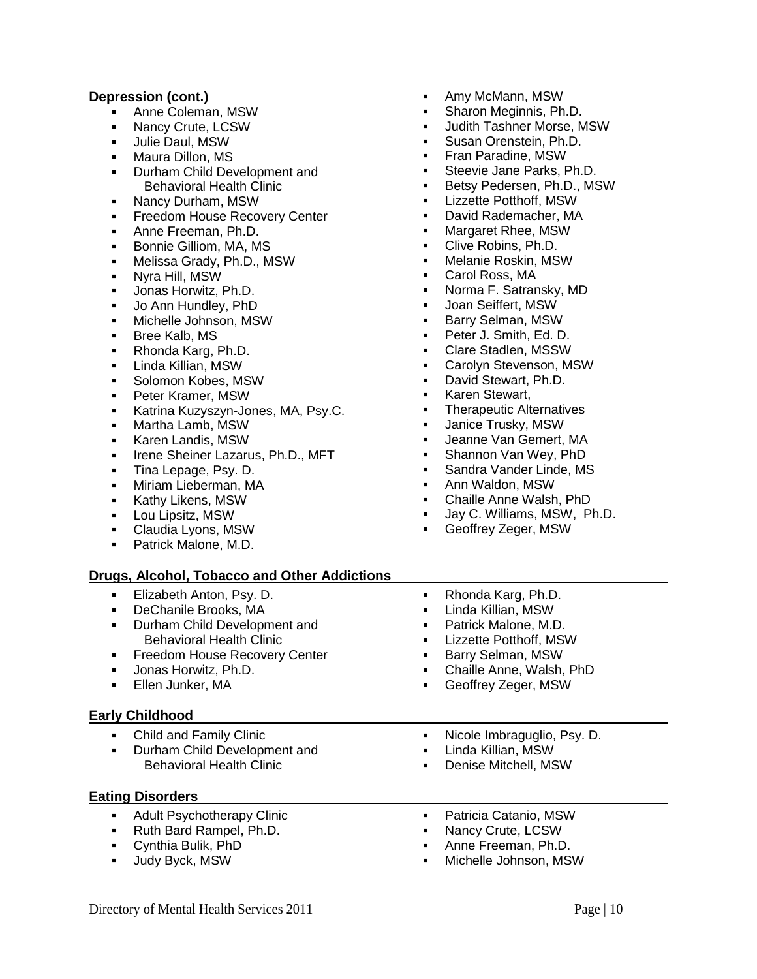## **Depression (cont.)**

- Anne Coleman, MSW
- Nancy Crute, LCSW
- Julie Daul, MSW
- Maura Dillon, MS
- **Durham Child Development and** Behavioral Health Clinic
- Nancy Durham, MSW
- **Freedom House Recovery Center**
- **Anne Freeman, Ph.D.**
- **Bonnie Gilliom, MA, MS**
- Melissa Grady, Ph.D., MSW
- Nyra Hill, MSW
- Jonas Horwitz, Ph.D.
- Jo Ann Hundley, PhD
- Michelle Johnson, MSW
- **Bree Kalb, MS**
- Rhonda Karg, Ph.D.
- Linda Killian, MSW
- **Solomon Kobes, MSW**
- Peter Kramer, MSW
- Katrina Kuzyszyn-Jones, MA, Psy.C.
- Martha Lamb, MSW
- Karen Landis, MSW
- **Irene Sheiner Lazarus, Ph.D., MFT**
- **Tina Lepage, Psy. D.**
- **•** Miriam Lieberman, MA
- **Kathy Likens, MSW**
- **-** Lou Lipsitz, MSW
- Claudia Lyons, MSW
- Patrick Malone, M.D.

# **Drugs, Alcohol, Tobacco and Other Addictions**

- **Elizabeth Anton, Psy. D.**
- DeChanile Brooks, MA
- **Durham Child Development and** Behavioral Health Clinic
- **Freedom House Recovery Center**
- Jonas Horwitz, Ph.D.
- Ellen Junker, MA

### **Early Childhood**

- Child and Family Clinic
- Durham Child Development and Behavioral Health Clinic

### **Eating Disorders**

- Adult Psychotherapy Clinic
- Ruth Bard Rampel, Ph.D.
- Cynthia Bulik, PhD
- **Judy Byck, MSW**
- Amy McMann, MSW
- Sharon Meginnis, Ph.D.
- Judith Tashner Morse, MSW
- Susan Orenstein, Ph.D.
- Fran Paradine, MSW
- Steevie Jane Parks, Ph.D.
- Betsy Pedersen, Ph.D., MSW
- **-** Lizzette Potthoff, MSW
- David Rademacher, MA
- **Margaret Rhee, MSW**
- **Clive Robins, Ph.D.**
- Melanie Roskin, MSW
- Carol Ross, MA
- Norma F. Satransky, MD
- Joan Seiffert, MSW
- Barry Selman, MSW
- **Peter J. Smith, Ed. D.**
- Clare Stadlen, MSSW
- Carolyn Stevenson, MSW
- **David Stewart, Ph.D.**
- Karen Stewart,
- Therapeutic Alternatives
- Janice Trusky, MSW
- Jeanne Van Gemert, MA
- Shannon Van Wey, PhD
- Sandra Vander Linde, MS
- Ann Waldon, MSW
- Chaille Anne Walsh, PhD
- Jay C. Williams, MSW, Ph.D.
- Geoffrey Zeger, MSW
- Rhonda Karg, Ph.D. Linda Killian, MSW
- **Patrick Malone, M.D.**
- Lizzette Potthoff, MSW
- **Barry Selman, MSW**
- Chaille Anne, Walsh, PhD
- Geoffrey Zeger, MSW
- Nicole Imbraguglio, Psy. D.
- Linda Killian, MSW
- Denise Mitchell, MSW
- 
- Patricia Catanio, MSW
- Nancy Crute, LCSW
- Anne Freeman, Ph.D.
- Michelle Johnson, MSW
- -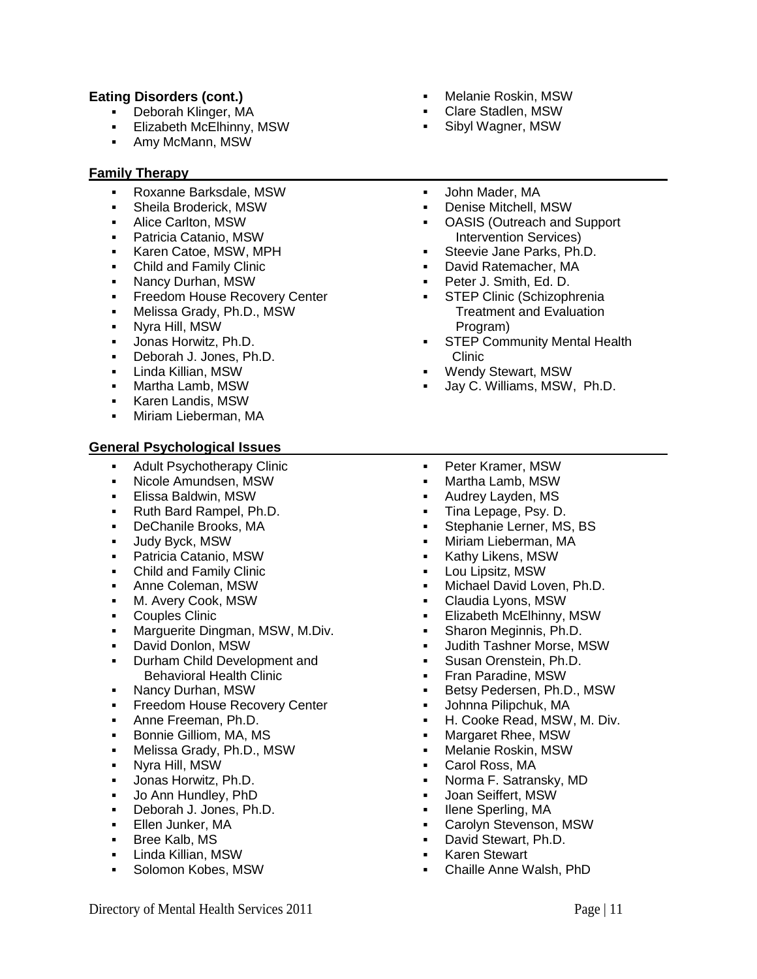# **Eating Disorders (cont.)**

- Deborah Klinger, MA
- Elizabeth McElhinny, MSW
- Amy McMann, MSW

## **Family Therapy**

- Roxanne Barksdale, MSW
- Sheila Broderick, MSW
- Alice Carlton, MSW
- Patricia Catanio, MSW
- Karen Catoe, MSW, MPH
- Child and Family Clinic
- **Nancy Durhan, MSW**
- **Freedom House Recovery Center**
- Melissa Grady, Ph.D., MSW
- Nyra Hill, MSW
- **Jonas Horwitz, Ph.D.**
- Deborah J. Jones, Ph.D.
- Linda Killian, MSW
- Martha Lamb, MSW
- Karen Landis, MSW
- Miriam Lieberman, MA

## **General Psychological Issues**

- **Adult Psychotherapy Clinic**
- Nicole Amundsen, MSW
- Elissa Baldwin, MSW
- Ruth Bard Rampel, Ph.D.
- DeChanile Brooks, MA
- Judy Byck, MSW
- Patricia Catanio, MSW
- Child and Family Clinic
- Anne Coleman, MSW
- M. Avery Cook, MSW
- Couples Clinic
- **Marquerite Dingman, MSW, M.Div.**
- David Donlon, MSW
- **Durham Child Development and** Behavioral Health Clinic
- Nancy Durhan, MSW
- **Freedom House Recovery Center**
- **Anne Freeman, Ph.D.**
- Bonnie Gilliom, MA, MS
- Melissa Grady, Ph.D., MSW
- Nyra Hill, MSW
- Jonas Horwitz, Ph.D.
- Jo Ann Hundley, PhD
- Deborah J. Jones, Ph.D.
- **Ellen Junker, MA**
- **Bree Kalb, MS**
- Linda Killian, MSW
- Solomon Kobes, MSW
- Melanie Roskin, MSW
- Clare Stadlen, MSW
- Sibyl Wagner, MSW
- John Mader, MA
- Denise Mitchell, MSW
- OASIS (Outreach and Support Intervention Services)
- **Steevie Jane Parks, Ph.D.**
- David Ratemacher, MA
- Peter J. Smith, Ed. D.
	- STEP Clinic (Schizophrenia Treatment and Evaluation Program)
- **STEP Community Mental Health** Clinic
- Wendy Stewart, MSW
- Jay C. Williams, MSW, Ph.D.
- Peter Kramer, MSW
- Martha Lamb, MSW
- Audrey Layden, MS
- Tina Lepage, Psy. D.
- **Stephanie Lerner, MS, BS**
- Miriam Lieberman, MA
- **Kathy Likens, MSW**
- Lou Lipsitz, MSW
- Michael David Loven, Ph.D.
- Claudia Lyons, MSW
- **Elizabeth McElhinny, MSW**
- Sharon Meginnis, Ph.D.
- Judith Tashner Morse, MSW
- **Susan Orenstein, Ph.D.**
- Fran Paradine, MSW
- **Betsy Pedersen, Ph.D., MSW**
- Johnna Pilipchuk, MA
- H. Cooke Read, MSW, M. Div.
- **Margaret Rhee, MSW**
- Melanie Roskin, MSW
- Carol Ross, MA
- Norma F. Satransky, MD
- Joan Seiffert, MSW
- Ilene Sperling, MA
- Carolyn Stevenson, MSW
- David Stewart, Ph.D.
- Karen Stewart
- Chaille Anne Walsh, PhD

Directory of Mental Health Services 2011 **Page | 11** Page | 11

- - -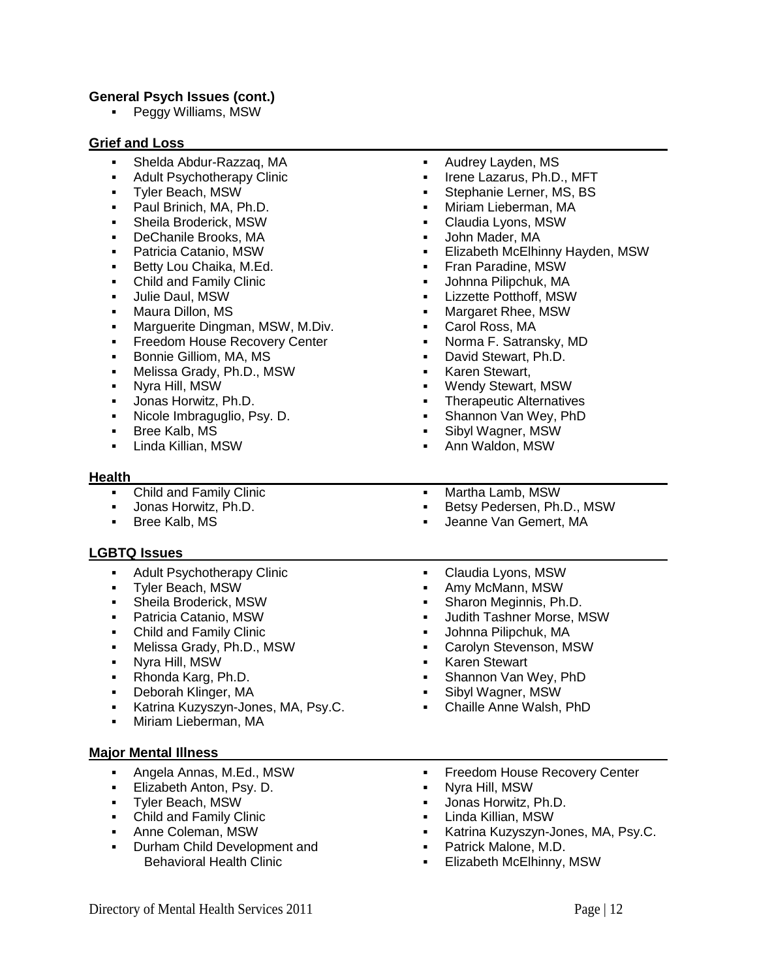## **General Psych Issues (cont.)**

• Peggy Williams, MSW

#### **Grief and Loss**

- Shelda Abdur-Razzaq, MA
- Adult Psychotherapy Clinic
- Tyler Beach, MSW
- **Paul Brinich, MA, Ph.D.**
- Sheila Broderick, MSW
- DeChanile Brooks, MA
- Patricia Catanio, MSW
- Betty Lou Chaika, M.Ed.
- Child and Family Clinic
- **Julie Daul, MSW**
- **Maura Dillon, MS**
- Marguerite Dingman, MSW, M.Div.
- **Freedom House Recovery Center**
- **Bonnie Gilliom, MA, MS**
- Melissa Grady, Ph.D., MSW
- Nyra Hill, MSW
- Jonas Horwitz, Ph.D.
- Nicole Imbraguglio, Psy. D.
- **Bree Kalb, MS**
- **-** Linda Killian, MSW

#### **Health**

- Child and Family Clinic
- Jonas Horwitz, Ph.D.
- Bree Kalb, MS

# **LGBTQ Issues**

- **Adult Psychotherapy Clinic**
- Tyler Beach, MSW
- Sheila Broderick, MSW
- Patricia Catanio, MSW
- Child and Family Clinic
- Melissa Grady, Ph.D., MSW
- Nyra Hill, MSW
- Rhonda Karg, Ph.D.
- Deborah Klinger, MA
- Katrina Kuzyszyn-Jones, MA, Psy.C.
- Miriam Lieberman, MA

#### **Major Mental Illness**

- Angela Annas, M.Ed., MSW
- **Elizabeth Anton, Psy. D.**
- Tyler Beach, MSW
- Child and Family Clinic
- Anne Coleman, MSW
- Durham Child Development and Behavioral Health Clinic
- **Audrey Layden, MS**
- Irene Lazarus, Ph.D., MFT
- Stephanie Lerner, MS, BS
- Miriam Lieberman, MA
- Claudia Lyons, MSW
- John Mader, MA
- Elizabeth McElhinny Hayden, MSW
- Fran Paradine, MSW
- Johnna Pilipchuk, MA
- Lizzette Potthoff, MSW
- Margaret Rhee, MSW
- Carol Ross, MA
- Norma F. Satransky, MD
- David Stewart, Ph.D.
- Karen Stewart,
- Wendy Stewart, MSW
- Therapeutic Alternatives
- Shannon Van Wey, PhD
- Sibyl Wagner, MSW
- Ann Waldon, MSW
- Martha Lamb, MSW
- Betsy Pedersen, Ph.D., MSW
- Jeanne Van Gemert, MA
- 
- Claudia Lyons, MSW
- Amy McMann, MSW
- Sharon Meginnis, Ph.D.
- Judith Tashner Morse, MSW
- Johnna Pilipchuk, MA
- Carolyn Stevenson, MSW
- Karen Stewart
- Shannon Van Wey, PhD
- Sibyl Wagner, MSW
- Chaille Anne Walsh, PhD
- **Freedom House Recovery Center**
- Nyra Hill, MSW
- Jonas Horwitz, Ph.D.
- Linda Killian, MSW
- Katrina Kuzyszyn-Jones, MA, Psy.C.
- Patrick Malone, M.D.
- Elizabeth McElhinny, MSW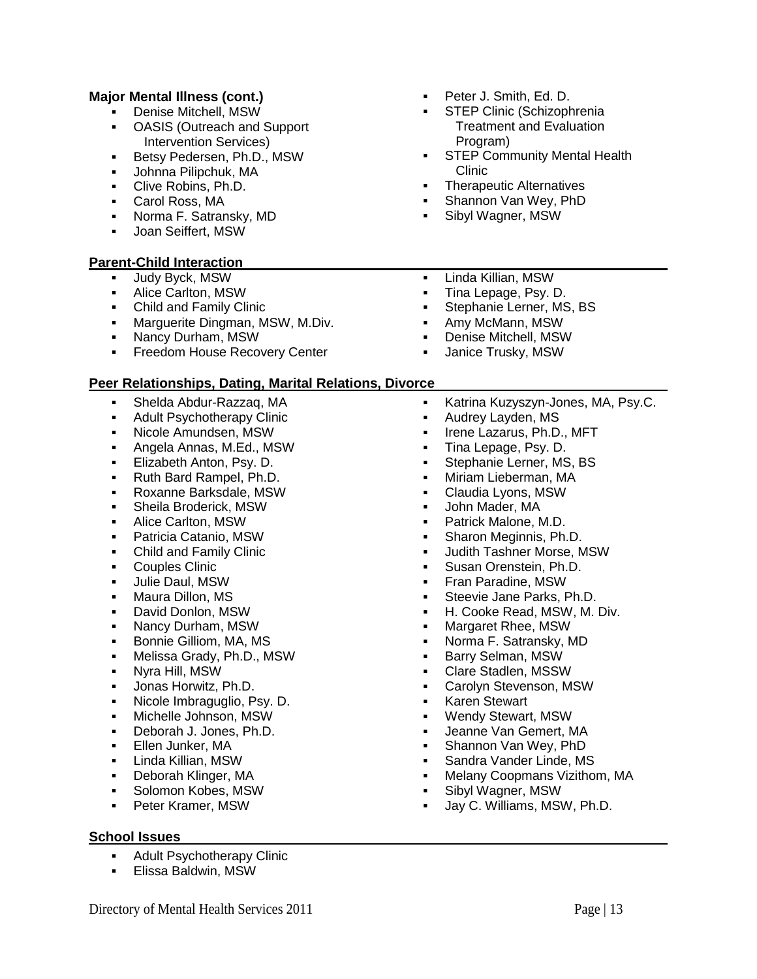# **Major Mental Illness (cont.)**

- Denise Mitchell, MSW
- OASIS (Outreach and Support Intervention Services)
- **Betsy Pedersen, Ph.D., MSW**
- Johnna Pilipchuk, MA
- **Clive Robins, Ph.D.**
- Carol Ross, MA
- Norma F. Satransky, MD
- Joan Seiffert, MSW

# **Parent-Child Interaction**

- **Judy Byck, MSW**
- Alice Carlton, MSW
- Child and Family Clinic
- **Marguerite Dingman, MSW, M.Div.**
- Nancy Durham, MSW
- **Freedom House Recovery Center**

# **Peer Relationships, Dating, Marital Relations, Divorce**

- Shelda Abdur-Razzaq, MA
- Adult Psychotherapy Clinic
- Nicole Amundsen, MSW
- Angela Annas, M.Ed., MSW
- **Elizabeth Anton, Psy. D.**
- Ruth Bard Rampel, Ph.D.
- Roxanne Barksdale, MSW
- **Sheila Broderick, MSW**
- Alice Carlton, MSW
- Patricia Catanio, MSW
- Child and Family Clinic
- Couples Clinic
- **Julie Daul, MSW**
- Maura Dillon, MS
- David Donlon, MSW
- Nancy Durham, MSW
- **Bonnie Gilliom, MA, MS**
- Melissa Grady, Ph.D., MSW
- Nyra Hill, MSW
- Jonas Horwitz, Ph.D.
- Nicole Imbraguglio, Psy. D.
- Michelle Johnson, MSW
- Deborah J. Jones, Ph.D.
- **Ellen Junker, MA**
- Linda Killian, MSW
- Deborah Klinger, MA
- **Solomon Kobes, MSW**
- **Peter Kramer, MSW**

## **School Issues**

- Adult Psychotherapy Clinic
- Elissa Baldwin, MSW
- Peter J. Smith, Ed. D.
- STEP Clinic (Schizophrenia Treatment and Evaluation Program)
- **STEP Community Mental Health** Clinic
- Therapeutic Alternatives
- Shannon Van Wey, PhD
- Sibyl Wagner, MSW
- Linda Killian, MSW
- Tina Lepage, Psy. D.
- Stephanie Lerner, MS, BS
- Amy McMann, MSW
- Denise Mitchell, MSW
- Janice Trusky, MSW
- Katrina Kuzyszyn-Jones, MA, Psy.C.
- Audrey Layden, MS
- **Irene Lazarus, Ph.D., MFT**
- Tina Lepage, Psy. D.
- Stephanie Lerner, MS, BS
- Miriam Lieberman, MA
- Claudia Lyons, MSW
- John Mader, MA
- Patrick Malone, M.D.
- **Sharon Meginnis, Ph.D.**
- Judith Tashner Morse, MSW
- Susan Orenstein, Ph.D.
- **Fran Paradine, MSW**
- Steevie Jane Parks, Ph.D.
- H. Cooke Read, MSW, M. Div.
- Margaret Rhee, MSW
- Norma F. Satransky, MD
- Barry Selman, MSW
- Clare Stadlen, MSSW
- Carolyn Stevenson, MSW
- Karen Stewart
- Wendy Stewart, MSW
- Jeanne Van Gemert, MA
- Shannon Van Wey, PhD
- Sandra Vander Linde, MS
- Melany Coopmans Vizithom, MA
- Sibyl Wagner, MSW
- Jay C. Williams, MSW, Ph.D.
- 
- 
-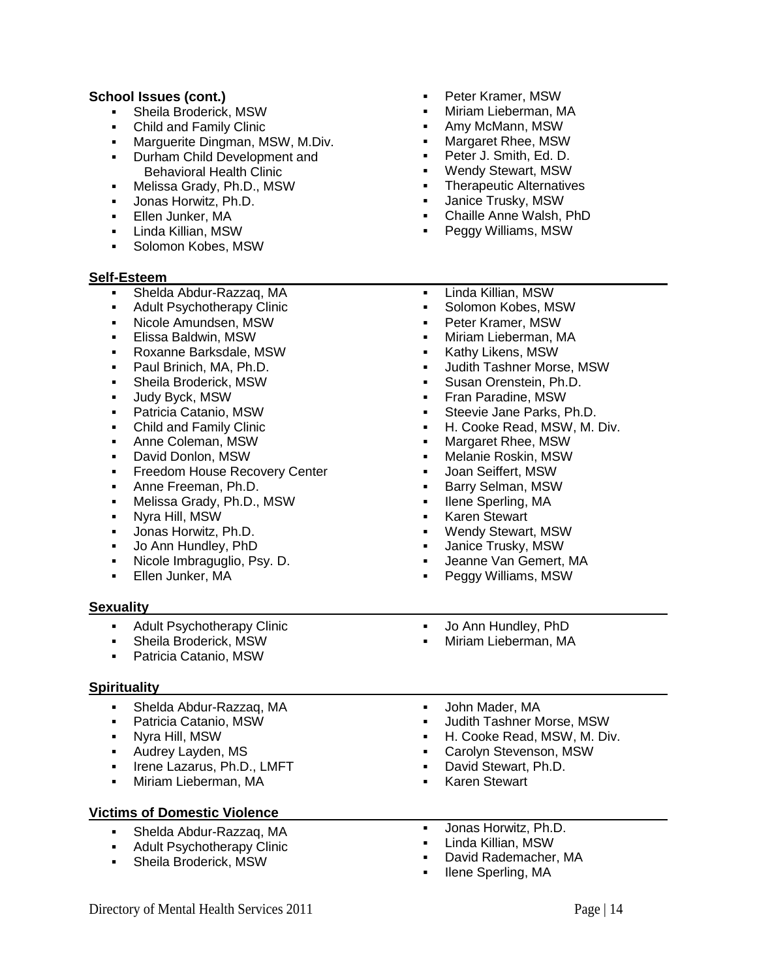## **School Issues (cont.)**

- Sheila Broderick, MSW
- Child and Family Clinic
- **Marguerite Dingman, MSW, M.Div.**
- **Durham Child Development and** Behavioral Health Clinic
- Melissa Grady, Ph.D., MSW
- Jonas Horwitz, Ph.D.
- **Ellen Junker, MA**
- Linda Killian, MSW
- **Solomon Kobes, MSW**

#### **Self-Esteem**

- 
- 
- Nicole Amundsen, MSW
- **Elissa Baldwin, MSW**
- 
- **Paul Brinich, MA, Ph.D.**
- 
- **Judy Byck, MSW**
- Patricia Catanio, MSW
- Child and Family Clinic
- **-** Anne Coleman, MSW
- 
- 
- 
- 
- Nyra Hill, MSW
- Jonas Horwitz, Ph.D.
- Jo Ann Hundley, PhD
- 
- 

### **Sexuality**

- 
- 
- Patricia Catanio, MSW

### **Spirituality**

- 
- Nyra Hill, MSW
- 
- **Irene Lazarus, Ph.D., LMFT**
- 

### **Victims of Domestic Violence**

- Shelda Abdur-Razzaq, MA
- **Adult Psychotherapy Clinic**
- Sheila Broderick, MSW
- Peter Kramer, MSW
- Miriam Lieberman, MA
- Amy McMann, MSW
- Margaret Rhee, MSW
- Peter J. Smith, Ed. D.
- Wendy Stewart, MSW
- Therapeutic Alternatives
- Janice Trusky, MSW
- Chaille Anne Walsh, PhD
- Peggy Williams, MSW
- Shelda Abdur-Razzaq, MA Adult Psychotherapy Clinic Roxanne Barksdale, MSW Sheila Broderick, MSW David Donlon, MSW **Freedom House Recovery Center Anne Freeman, Ph.D.**  Melissa Grady, Ph.D., MSW • Nicole Imbraguglio, Psy. D. **Ellen Junker, MA -** Linda Killian, MSW **Solomon Kobes, MSW**  Peter Kramer, MSW Miriam Lieberman, MA Kathy Likens, MSW Judith Tashner Morse, MSW Susan Orenstein, Ph.D. **Fran Paradine, MSW**  Steevie Jane Parks, Ph.D. H. Cooke Read, MSW, M. Div. **Nargaret Rhee, MSW**  Melanie Roskin, MSW Joan Seiffert, MSW Barry Selman, MSW • Ilene Sperling, MA **-** Karen Stewart Wendy Stewart, MSW Janice Trusky, MSW Jeanne Van Gemert, MA Peggy Williams, MSW Adult Psychotherapy Clinic Sheila Broderick, MSW Jo Ann Hundley, PhD Miriam Lieberman, MA Shelda Abdur-Razzaq, MA Patricia Catanio, MSW **Audrey Layden, MS Wiriam Lieberman, MA**  John Mader, MA Judith Tashner Morse, MSW H. Cooke Read, MSW, M. Div. Carolyn Stevenson, MSW David Stewart, Ph.D. Karen Stewart Jonas Horwitz, Ph.D. Linda Killian, MSW David Rademacher, MA
	- Ilene Sperling, MA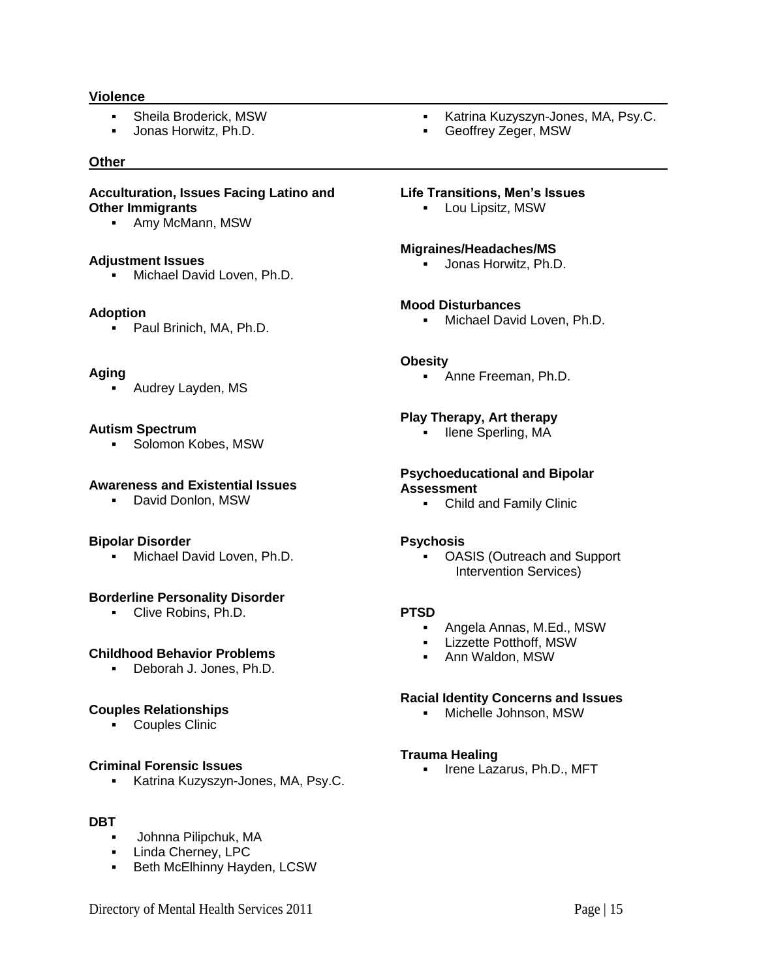#### **Violence**

- Sheila Broderick, MSW
- **Jonas Horwitz, Ph.D.**

#### **Other**

#### **Acculturation, Issues Facing Latino and Other Immigrants**

Amy McMann, MSW

#### **Adjustment Issues**

**Michael David Loven, Ph.D.** 

#### **Adoption**

• Paul Brinich, MA, Ph.D.

#### **Aging**

Audrey Layden, MS

#### **Autism Spectrum**

**Solomon Kobes, MSW** 

#### **Awareness and Existential Issues**

David Donlon, MSW

#### **Bipolar Disorder**

**Michael David Loven, Ph.D.** 

### **Borderline Personality Disorder**

Clive Robins, Ph.D.

#### **Childhood Behavior Problems**

Deborah J. Jones, Ph.D.

#### **Couples Relationships**

Couples Clinic

### **Criminal Forensic Issues**

**Katrina Kuzyszyn-Jones, MA, Psy.C.** 

## **DBT**

- Johnna Pilipchuk, MA
- **Linda Cherney, LPC**
- **Beth McElhinny Hayden, LCSW**
- **Katrina Kuzyszyn-Jones, MA, Psy.C.**
- Geoffrey Zeger, MSW

#### **Life Transitions, Men's Issues**

**-** Lou Lipsitz, MSW

#### **Migraines/Headaches/MS**

**Jonas Horwitz, Ph.D.** 

### **Mood Disturbances**

**Michael David Loven, Ph.D.** 

### **Obesity**

**Anne Freeman, Ph.D.** 

#### **Play Therapy, Art therapy**

**Ilene Sperling, MA** 

#### **Psychoeducational and Bipolar Assessment**

Child and Family Clinic

#### **Psychosis**

 OASIS (Outreach and Support Intervention Services)

### **PTSD**

- Angela Annas, M.Ed., MSW
- **E** Lizzette Potthoff, MSW
- Ann Waldon, MSW

### **Racial Identity Concerns and Issues**

Michelle Johnson, MSW

#### **Trauma Healing**

**Irene Lazarus, Ph.D., MFT**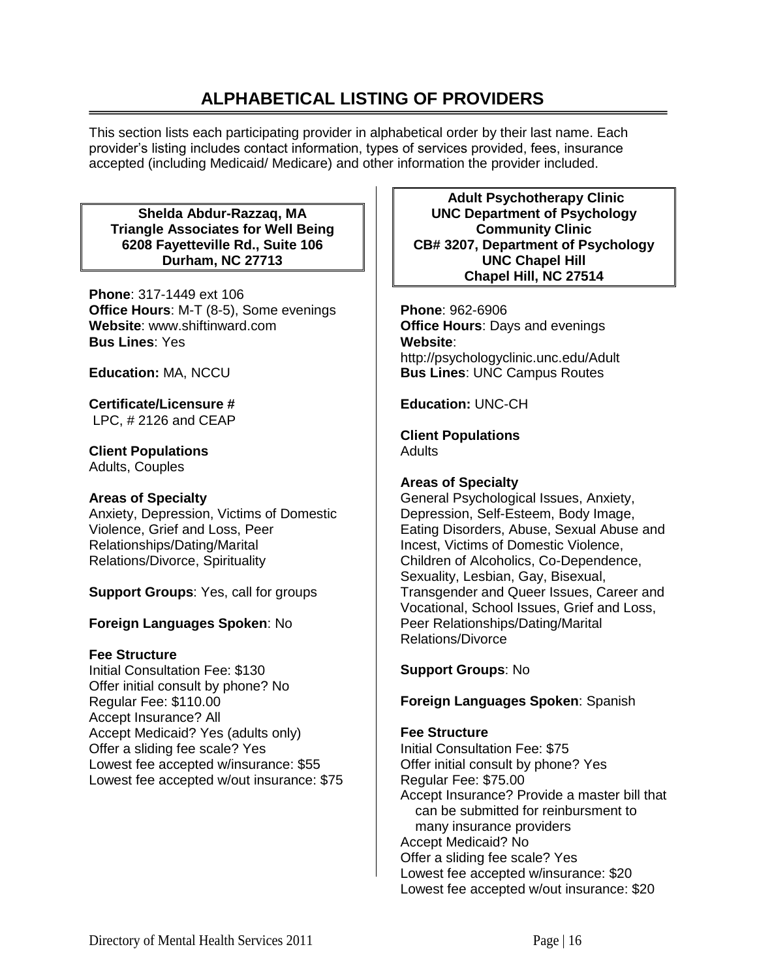# **ALPHABETICAL LISTING OF PROVIDERS**

This section lists each participating provider in alphabetical order by their last name. Each provider's listing includes contact information, types of services provided, fees, insurance accepted (including Medicaid/ Medicare) and other information the provider included.

**Shelda Abdur-Razzaq, MA Triangle Associates for Well Being 6208 Fayetteville Rd., Suite 106 Durham, NC 27713**

**Phone**: 317-1449 ext 106 **Office Hours**: M-T (8-5), Some evenings **Website**: www.shiftinward.com **Bus Lines**: Yes

**Education:** MA, NCCU

**Certificate/Licensure #** LPC, # 2126 and CEAP

**Client Populations**  Adults, Couples

# **Areas of Specialty**

Anxiety, Depression, Victims of Domestic Violence, Grief and Loss, Peer Relationships/Dating/Marital Relations/Divorce, Spirituality

**Support Groups**: Yes, call for groups

# **Foreign Languages Spoken**: No

# **Fee Structure**

Initial Consultation Fee: \$130 Offer initial consult by phone? No Regular Fee: \$110.00 Accept Insurance? All Accept Medicaid? Yes (adults only) Offer a sliding fee scale? Yes Lowest fee accepted w/insurance: \$55 Lowest fee accepted w/out insurance: \$75

**Adult Psychotherapy Clinic UNC Department of Psychology Community Clinic CB# 3207, Department of Psychology UNC Chapel Hill Chapel Hill, NC 27514**

**Phone**: 962-6906 **Office Hours**: Days and evenings **Website**: http://psychologyclinic.unc.edu/Adult **Bus Lines**: UNC Campus Routes

**Education:** UNC-CH

**Client Populations Adults** 

# **Areas of Specialty**

General Psychological Issues, Anxiety, Depression, Self-Esteem, Body Image, Eating Disorders, Abuse, Sexual Abuse and Incest, Victims of Domestic Violence, Children of Alcoholics, Co-Dependence, Sexuality, Lesbian, Gay, Bisexual, Transgender and Queer Issues, Career and Vocational, School Issues, Grief and Loss, Peer Relationships/Dating/Marital Relations/Divorce

# **Support Groups**: No

**Foreign Languages Spoken**: Spanish

# **Fee Structure**

Initial Consultation Fee: \$75 Offer initial consult by phone? Yes Regular Fee: \$75.00 Accept Insurance? Provide a master bill that can be submitted for reinbursment to many insurance providers Accept Medicaid? No Offer a sliding fee scale? Yes Lowest fee accepted w/insurance: \$20 Lowest fee accepted w/out insurance: \$20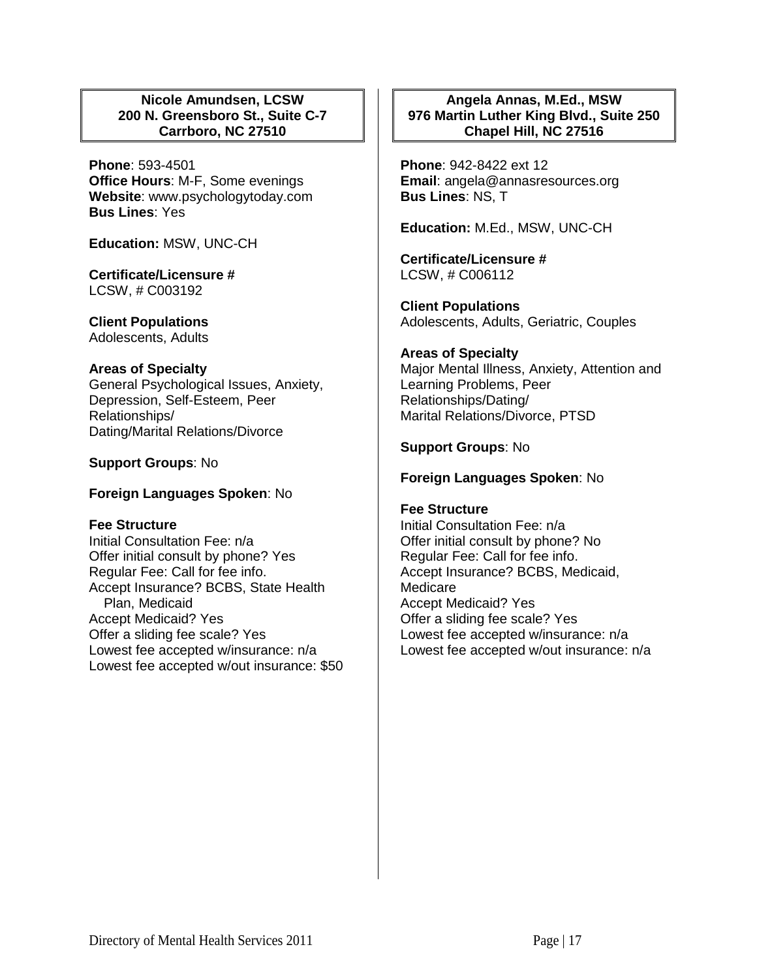# **Nicole Amundsen, LCSW 200 N. Greensboro St., Suite C-7 Carrboro, NC 27510**

**Phone**: 593-4501 **Office Hours**: M-F, Some evenings **Website**: www.psychologytoday.com **Bus Lines**: Yes

**Education:** MSW, UNC-CH

**Certificate/Licensure #** LCSW, # C003192

**Client Populations**  Adolescents, Adults

### **Areas of Specialty**

General Psychological Issues, Anxiety, Depression, Self-Esteem, Peer Relationships/ Dating/Marital Relations/Divorce

### **Support Groups**: No

**Foreign Languages Spoken**: No

#### **Fee Structure**

Initial Consultation Fee: n/a Offer initial consult by phone? Yes Regular Fee: Call for fee info. Accept Insurance? BCBS, State Health Plan, Medicaid Accept Medicaid? Yes Offer a sliding fee scale? Yes Lowest fee accepted w/insurance: n/a Lowest fee accepted w/out insurance: \$50

## **Angela Annas, M.Ed., MSW 976 Martin Luther King Blvd., Suite 250 Chapel Hill, NC 27516**

**Phone**: 942-8422 ext 12 **Email**: angela@annasresources.org **Bus Lines**: NS, T

**Education:** M.Ed., MSW, UNC-CH

**Certificate/Licensure #** LCSW, # C006112

**Client Populations**  Adolescents, Adults, Geriatric, Couples

#### **Areas of Specialty**

Major Mental Illness, Anxiety, Attention and Learning Problems, Peer Relationships/Dating/ Marital Relations/Divorce, PTSD

#### **Support Groups**: No

### **Foreign Languages Spoken**: No

### **Fee Structure**

Initial Consultation Fee: n/a Offer initial consult by phone? No Regular Fee: Call for fee info. Accept Insurance? BCBS, Medicaid, **Medicare** Accept Medicaid? Yes Offer a sliding fee scale? Yes Lowest fee accepted w/insurance: n/a Lowest fee accepted w/out insurance: n/a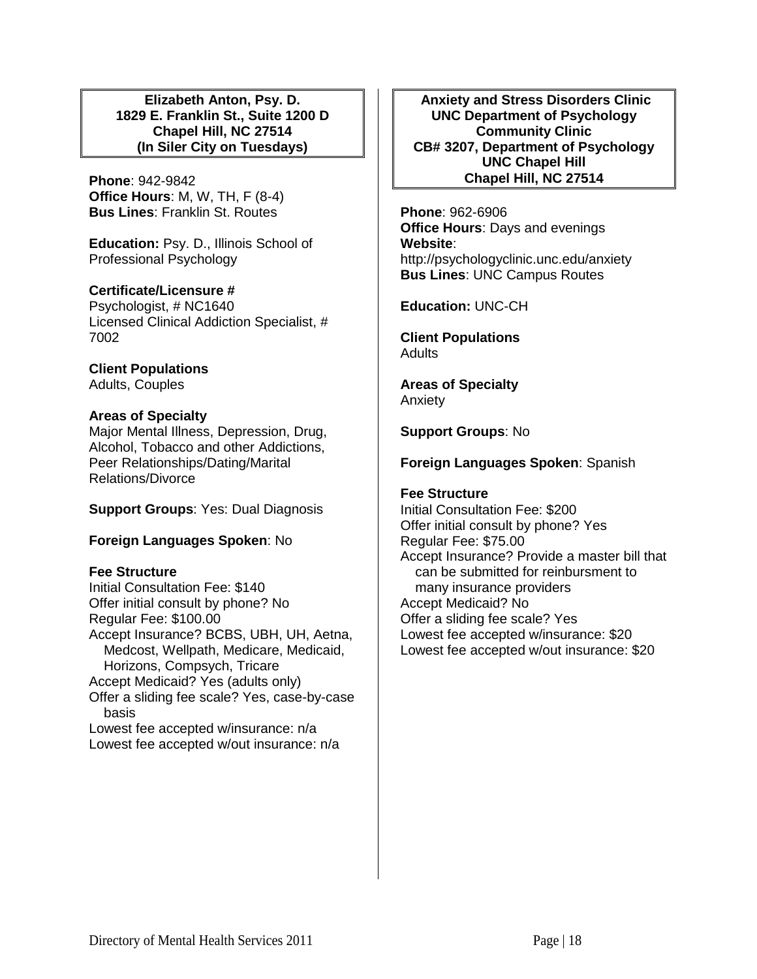**Elizabeth Anton, Psy. D. 1829 E. Franklin St., Suite 1200 D Chapel Hill, NC 27514 (In Siler City on Tuesdays)**

**Phone**: 942-9842 **Office Hours**: M, W, TH, F (8-4) **Bus Lines**: Franklin St. Routes

**Education:** Psy. D., Illinois School of Professional Psychology

## **Certificate/Licensure #**

Psychologist, # NC1640 Licensed Clinical Addiction Specialist, # 7002

# **Client Populations**

Adults, Couples

# **Areas of Specialty**

Major Mental Illness, Depression, Drug, Alcohol, Tobacco and other Addictions, Peer Relationships/Dating/Marital Relations/Divorce

**Support Groups**: Yes: Dual Diagnosis

# **Foreign Languages Spoken**: No

### **Fee Structure**

Initial Consultation Fee: \$140 Offer initial consult by phone? No Regular Fee: \$100.00 Accept Insurance? BCBS, UBH, UH, Aetna, Medcost, Wellpath, Medicare, Medicaid, Horizons, Compsych, Tricare Accept Medicaid? Yes (adults only) Offer a sliding fee scale? Yes, case-by-case basis Lowest fee accepted w/insurance: n/a

Lowest fee accepted w/out insurance: n/a

**Anxiety and Stress Disorders Clinic UNC Department of Psychology Community Clinic CB# 3207, Department of Psychology UNC Chapel Hill Chapel Hill, NC 27514**

**Phone**: 962-6906 **Office Hours**: Days and evenings **Website**: http://psychologyclinic.unc.edu/anxiety **Bus Lines**: UNC Campus Routes

**Education:** UNC-CH

**Client Populations Adults** 

**Areas of Specialty**  Anxiety

**Support Groups**: No

# **Foreign Languages Spoken**: Spanish

## **Fee Structure**

Initial Consultation Fee: \$200 Offer initial consult by phone? Yes Regular Fee: \$75.00 Accept Insurance? Provide a master bill that can be submitted for reinbursment to many insurance providers Accept Medicaid? No Offer a sliding fee scale? Yes Lowest fee accepted w/insurance: \$20 Lowest fee accepted w/out insurance: \$20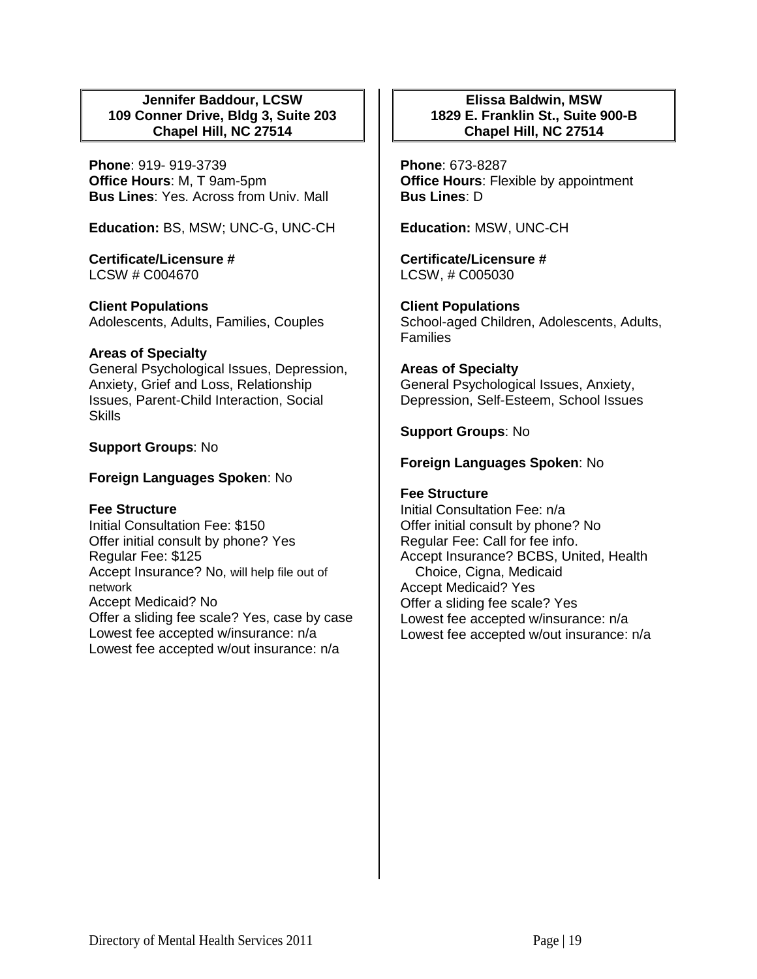## **Jennifer Baddour, LCSW 109 Conner Drive, Bldg 3, Suite 203 Chapel Hill, NC 27514**

**Phone**: 919- 919-3739 **Office Hours**: M, T 9am-5pm **Bus Lines**: Yes. Across from Univ. Mall

**Education:** BS, MSW; UNC-G, UNC-CH

**Certificate/Licensure #** LCSW # C004670

**Client Populations**  Adolescents, Adults, Families, Couples

## **Areas of Specialty**

General Psychological Issues, Depression, Anxiety, Grief and Loss, Relationship Issues, Parent-Child Interaction, Social **Skills** 

## **Support Groups**: No

## **Foreign Languages Spoken**: No

### **Fee Structure**

Initial Consultation Fee: \$150 Offer initial consult by phone? Yes Regular Fee: \$125 Accept Insurance? No, will help file out of network Accept Medicaid? No Offer a sliding fee scale? Yes, case by case Lowest fee accepted w/insurance: n/a Lowest fee accepted w/out insurance: n/a

## **Elissa Baldwin, MSW 1829 E. Franklin St., Suite 900-B Chapel Hill, NC 27514**

**Phone**: 673-8287 **Office Hours**: Flexible by appointment **Bus Lines**: D

**Education:** MSW, UNC-CH

**Certificate/Licensure #** LCSW, # C005030

**Client Populations**  School-aged Children, Adolescents, Adults, Families

# **Areas of Specialty**

General Psychological Issues, Anxiety, Depression, Self-Esteem, School Issues

# **Support Groups**: No

# **Foreign Languages Spoken**: No

## **Fee Structure**

Initial Consultation Fee: n/a Offer initial consult by phone? No Regular Fee: Call for fee info. Accept Insurance? BCBS, United, Health Choice, Cigna, Medicaid Accept Medicaid? Yes Offer a sliding fee scale? Yes Lowest fee accepted w/insurance: n/a Lowest fee accepted w/out insurance: n/a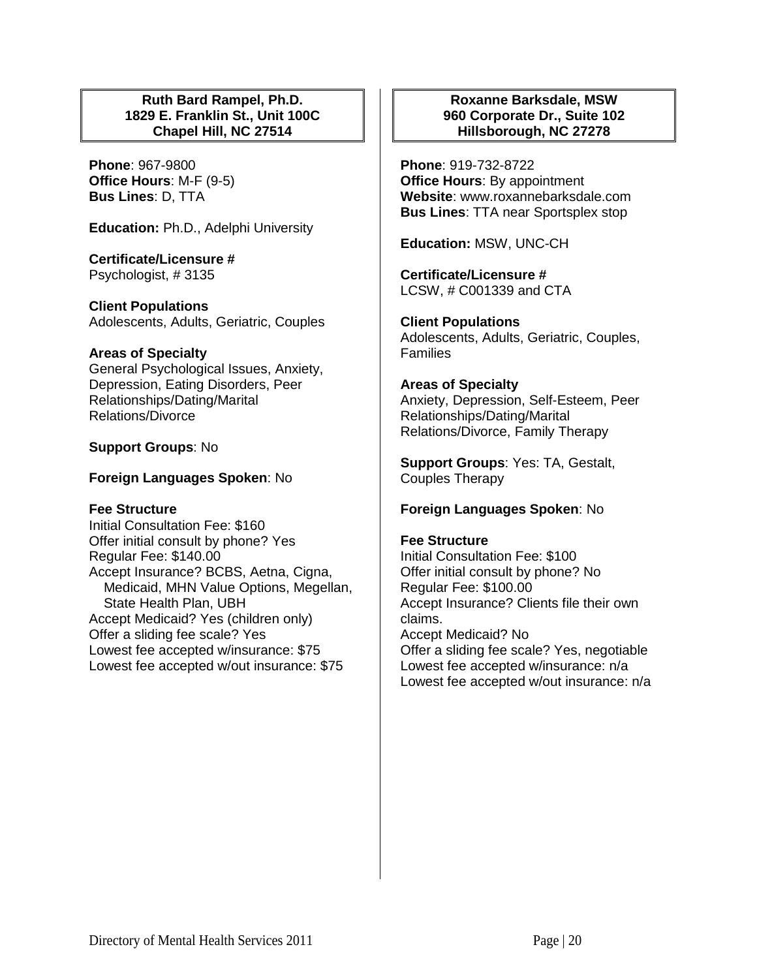## **Ruth Bard Rampel, Ph.D. 1829 E. Franklin St., Unit 100C Chapel Hill, NC 27514**

**Phone**: 967-9800 **Office Hours**: M-F (9-5) **Bus Lines**: D, TTA

**Education:** Ph.D., Adelphi University

**Certificate/Licensure #** Psychologist, # 3135

**Client Populations**  Adolescents, Adults, Geriatric, Couples

## **Areas of Specialty**

General Psychological Issues, Anxiety, Depression, Eating Disorders, Peer Relationships/Dating/Marital Relations/Divorce

## **Support Groups**: No

## **Foreign Languages Spoken**: No

### **Fee Structure**

Initial Consultation Fee: \$160 Offer initial consult by phone? Yes Regular Fee: \$140.00 Accept Insurance? BCBS, Aetna, Cigna, Medicaid, MHN Value Options, Megellan, State Health Plan, UBH Accept Medicaid? Yes (children only) Offer a sliding fee scale? Yes Lowest fee accepted w/insurance: \$75 Lowest fee accepted w/out insurance: \$75

## **Roxanne Barksdale, MSW 960 Corporate Dr., Suite 102 Hillsborough, NC 27278**

**Phone**: 919-732-8722 **Office Hours**: By appointment **Website**: www.roxannebarksdale.com **Bus Lines**: TTA near Sportsplex stop

**Education:** MSW, UNC-CH

**Certificate/Licensure #** LCSW, # C001339 and CTA

**Client Populations**  Adolescents, Adults, Geriatric, Couples, **Families** 

### **Areas of Specialty**

Anxiety, Depression, Self-Esteem, Peer Relationships/Dating/Marital Relations/Divorce, Family Therapy

**Support Groups**: Yes: TA, Gestalt, Couples Therapy

### **Foreign Languages Spoken**: No

### **Fee Structure**

Initial Consultation Fee: \$100 Offer initial consult by phone? No Regular Fee: \$100.00 Accept Insurance? Clients file their own claims. Accept Medicaid? No Offer a sliding fee scale? Yes, negotiable Lowest fee accepted w/insurance: n/a Lowest fee accepted w/out insurance: n/a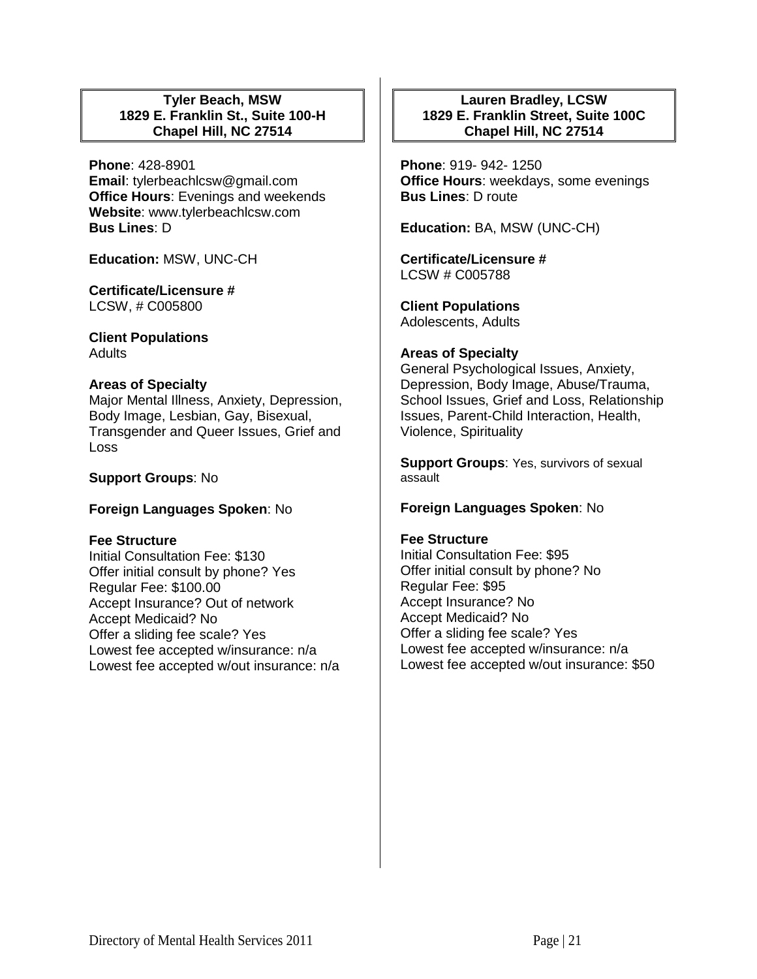## **Tyler Beach, MSW 1829 E. Franklin St., Suite 100-H Chapel Hill, NC 27514**

**Phone**: 428-8901 **Email**: tylerbeachlcsw@gmail.com **Office Hours**: Evenings and weekends **Website**: www.tylerbeachlcsw.com **Bus Lines**: D

**Education:** MSW, UNC-CH

**Certificate/Licensure #** LCSW, # C005800

**Client Populations Adults** 

## **Areas of Specialty**

Major Mental Illness, Anxiety, Depression, Body Image, Lesbian, Gay, Bisexual, Transgender and Queer Issues, Grief and Loss

# **Support Groups**: No

# **Foreign Languages Spoken**: No

### **Fee Structure**

Initial Consultation Fee: \$130 Offer initial consult by phone? Yes Regular Fee: \$100.00 Accept Insurance? Out of network Accept Medicaid? No Offer a sliding fee scale? Yes Lowest fee accepted w/insurance: n/a Lowest fee accepted w/out insurance: n/a

# **Lauren Bradley, LCSW 1829 E. Franklin Street, Suite 100C Chapel Hill, NC 27514**

**Phone**: 919- 942- 1250 **Office Hours**: weekdays, some evenings **Bus Lines**: D route

**Education:** BA, MSW (UNC-CH)

**Certificate/Licensure #** LCSW # C005788

**Client Populations**  Adolescents, Adults

## **Areas of Specialty**

General Psychological Issues, Anxiety, Depression, Body Image, Abuse/Trauma, School Issues, Grief and Loss, Relationship Issues, Parent-Child Interaction, Health, Violence, Spirituality

**Support Groups**: Yes, survivors of sexual assault

# **Foreign Languages Spoken**: No

### **Fee Structure**

Initial Consultation Fee: \$95 Offer initial consult by phone? No Regular Fee: \$95 Accept Insurance? No Accept Medicaid? No Offer a sliding fee scale? Yes Lowest fee accepted w/insurance: n/a Lowest fee accepted w/out insurance: \$50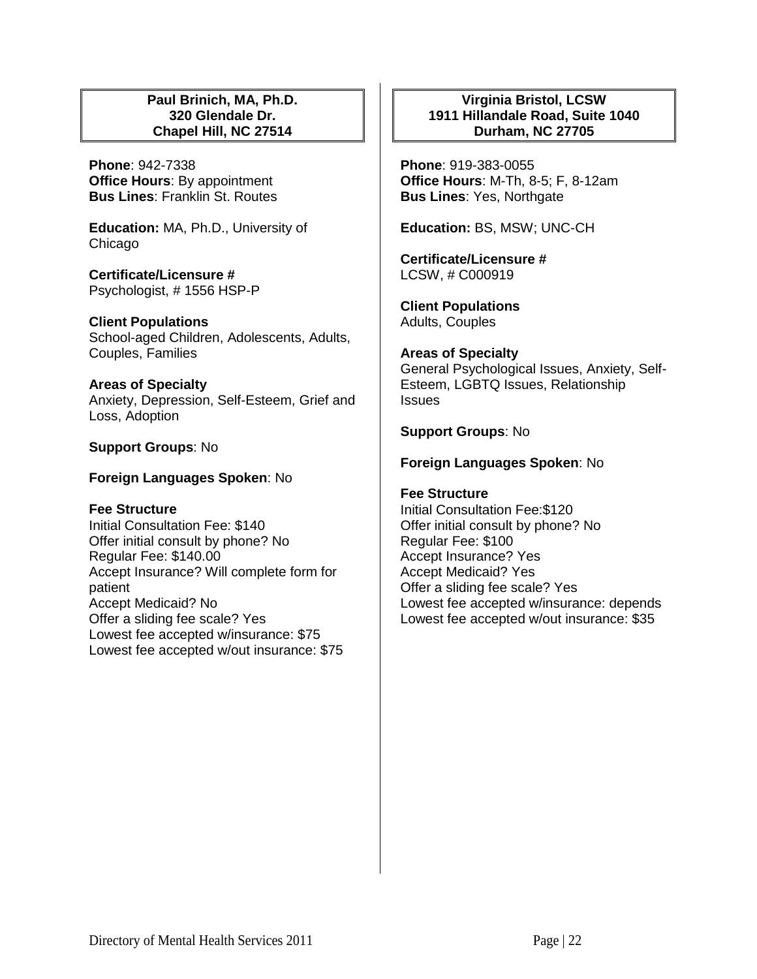## **Paul Brinich, MA, Ph.D. 320 Glendale Dr. Chapel Hill, NC 27514**

**Phone**: 942-7338 **Office Hours**: By appointment **Bus Lines**: Franklin St. Routes

**Education:** MA, Ph.D., University of Chicago

**Certificate/Licensure #** Psychologist, # 1556 HSP-P

**Client Populations**  School-aged Children, Adolescents, Adults, Couples, Families

**Areas of Specialty**  Anxiety, Depression, Self-Esteem, Grief and Loss, Adoption

## **Support Groups**: No

**Foreign Languages Spoken**: No

### **Fee Structure**

Initial Consultation Fee: \$140 Offer initial consult by phone? No Regular Fee: \$140.00 Accept Insurance? Will complete form for patient Accept Medicaid? No Offer a sliding fee scale? Yes Lowest fee accepted w/insurance: \$75 Lowest fee accepted w/out insurance: \$75

## **Virginia Bristol, LCSW 1911 Hillandale Road, Suite 1040 Durham, NC 27705**

**Phone**: 919-383-0055 **Office Hours**: M-Th, 8-5; F, 8-12am **Bus Lines**: Yes, Northgate

**Education:** BS, MSW; UNC-CH

**Certificate/Licensure #** LCSW, # C000919

**Client Populations**  Adults, Couples

**Areas of Specialty**  General Psychological Issues, Anxiety, Self-Esteem, LGBTQ Issues, Relationship **Issues** 

## **Support Groups**: No

## **Foreign Languages Spoken**: No

**Fee Structure**  Initial Consultation Fee:\$120 Offer initial consult by phone? No Regular Fee: \$100 Accept Insurance? Yes Accept Medicaid? Yes Offer a sliding fee scale? Yes Lowest fee accepted w/insurance: depends Lowest fee accepted w/out insurance: \$35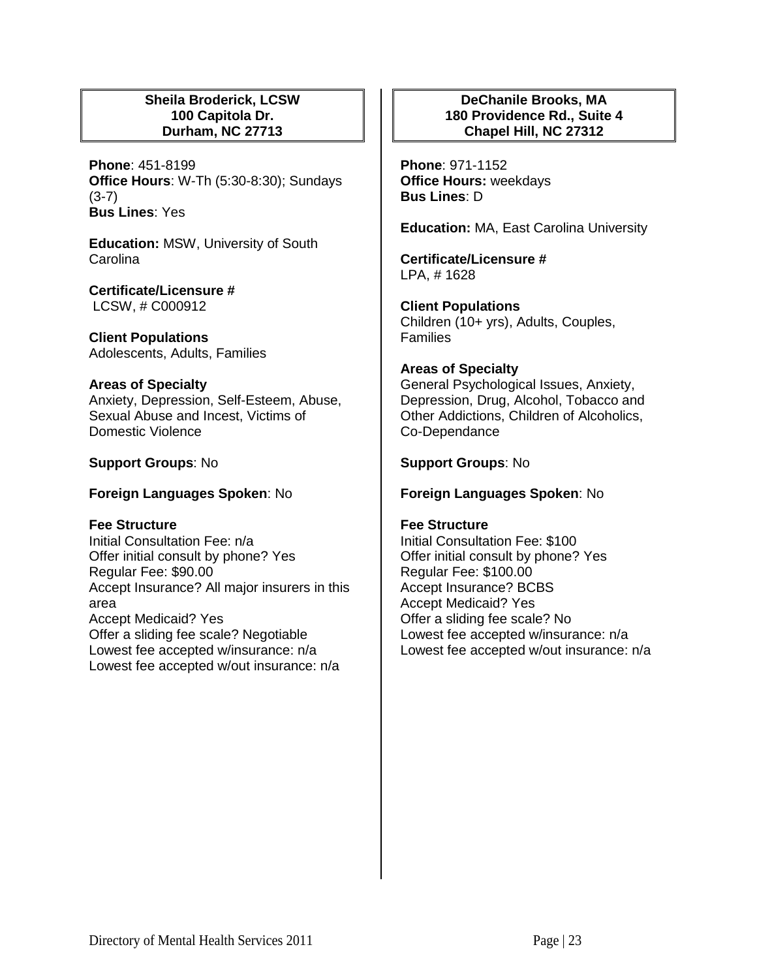## **Sheila Broderick, LCSW 100 Capitola Dr. Durham, NC 27713**

**Phone**: 451-8199 **Office Hours**: W-Th (5:30-8:30); Sundays (3-7) **Bus Lines**: Yes

**Education:** MSW, University of South **Carolina** 

**Certificate/Licensure #** LCSW, # C000912

**Client Populations**  Adolescents, Adults, Families

### **Areas of Specialty**

Anxiety, Depression, Self-Esteem, Abuse, Sexual Abuse and Incest, Victims of Domestic Violence

## **Support Groups**: No

## **Foreign Languages Spoken**: No

### **Fee Structure**

Initial Consultation Fee: n/a Offer initial consult by phone? Yes Regular Fee: \$90.00 Accept Insurance? All major insurers in this area Accept Medicaid? Yes Offer a sliding fee scale? Negotiable Lowest fee accepted w/insurance: n/a Lowest fee accepted w/out insurance: n/a

# **DeChanile Brooks, MA 180 Providence Rd., Suite 4 Chapel Hill, NC 27312**

**Phone**: 971-1152 **Office Hours:** weekdays **Bus Lines**: D

**Education:** MA, East Carolina University

**Certificate/Licensure #** LPA, # 1628

**Client Populations**  Children (10+ yrs), Adults, Couples, Families

### **Areas of Specialty**

General Psychological Issues, Anxiety, Depression, Drug, Alcohol, Tobacco and Other Addictions, Children of Alcoholics, Co-Dependance

# **Support Groups**: No

## **Foreign Languages Spoken**: No

# **Fee Structure**

Initial Consultation Fee: \$100 Offer initial consult by phone? Yes Regular Fee: \$100.00 Accept Insurance? BCBS Accept Medicaid? Yes Offer a sliding fee scale? No Lowest fee accepted w/insurance: n/a Lowest fee accepted w/out insurance: n/a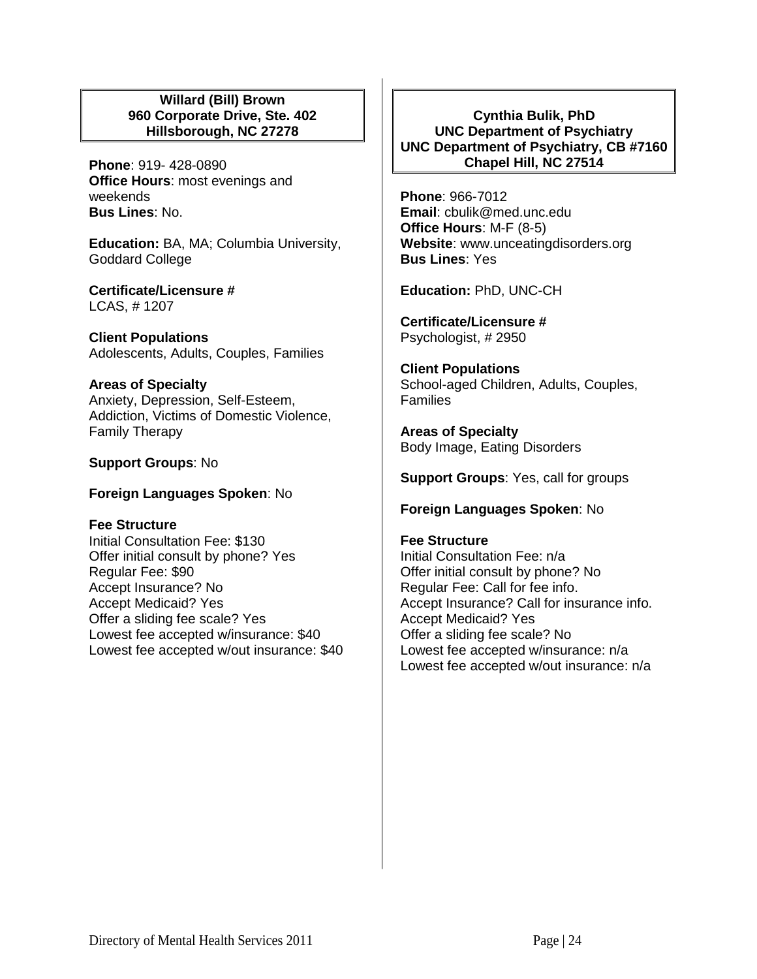## **Willard (Bill) Brown 960 Corporate Drive, Ste. 402 Hillsborough, NC 27278**

**Phone**: 919- 428-0890 **Office Hours**: most evenings and weekends **Bus Lines**: No.

**Education:** BA, MA; Columbia University, Goddard College

**Certificate/Licensure #** LCAS, # 1207

**Client Populations**  Adolescents, Adults, Couples, Families

# **Areas of Specialty**

Anxiety, Depression, Self-Esteem, Addiction, Victims of Domestic Violence, Family Therapy

**Support Groups**: No

**Foreign Languages Spoken**: No

**Fee Structure**  Initial Consultation Fee: \$130 Offer initial consult by phone? Yes Regular Fee: \$90 Accept Insurance? No Accept Medicaid? Yes Offer a sliding fee scale? Yes Lowest fee accepted w/insurance: \$40 Lowest fee accepted w/out insurance: \$40

**Cynthia Bulik, PhD UNC Department of Psychiatry UNC Department of Psychiatry, CB #7160 Chapel Hill, NC 27514**

**Phone**: 966-7012 **Email**: cbulik@med.unc.edu **Office Hours**: M-F (8-5) **Website**: www.unceatingdisorders.org **Bus Lines**: Yes

**Education:** PhD, UNC-CH

**Certificate/Licensure #** Psychologist, # 2950

**Client Populations**  School-aged Children, Adults, Couples, Families

**Areas of Specialty**  Body Image, Eating Disorders

**Support Groups**: Yes, call for groups

**Foreign Languages Spoken**: No

## **Fee Structure**

Initial Consultation Fee: n/a Offer initial consult by phone? No Regular Fee: Call for fee info. Accept Insurance? Call for insurance info. Accept Medicaid? Yes Offer a sliding fee scale? No Lowest fee accepted w/insurance: n/a Lowest fee accepted w/out insurance: n/a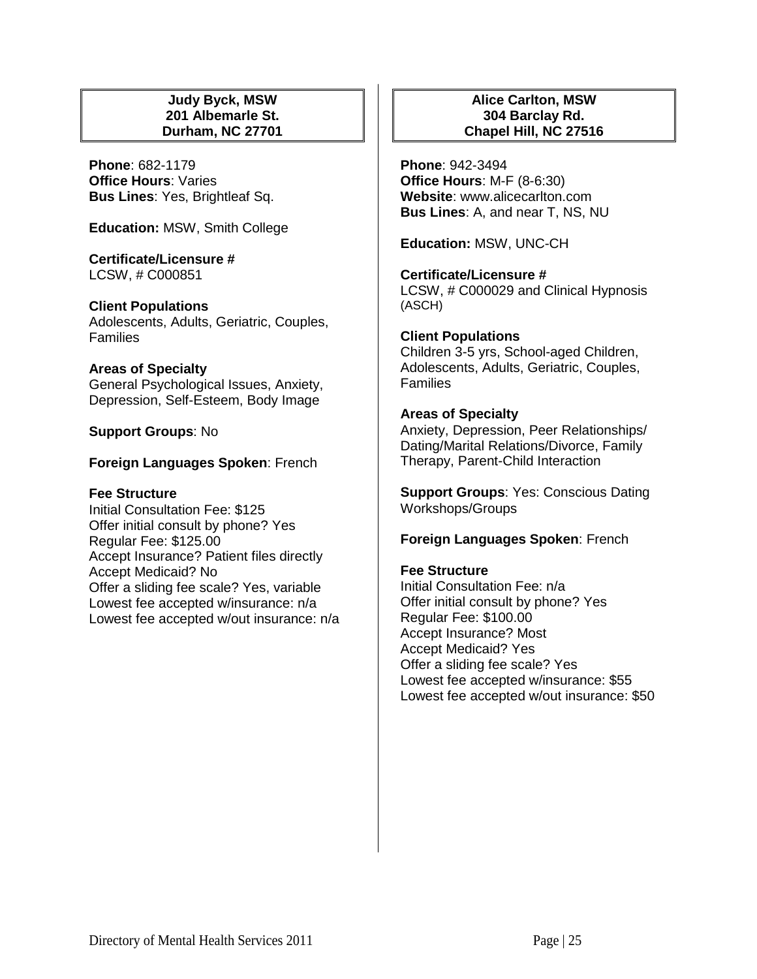## **Judy Byck, MSW 201 Albemarle St. Durham, NC 27701**

**Phone**: 682-1179 **Office Hours**: Varies **Bus Lines**: Yes, Brightleaf Sq.

**Education:** MSW, Smith College

**Certificate/Licensure #** LCSW, # C000851

**Client Populations** 

Adolescents, Adults, Geriatric, Couples, **Families** 

### **Areas of Specialty**

General Psychological Issues, Anxiety, Depression, Self-Esteem, Body Image

**Support Groups**: No

# **Foreign Languages Spoken**: French

# **Fee Structure**

Initial Consultation Fee: \$125 Offer initial consult by phone? Yes Regular Fee: \$125.00 Accept Insurance? Patient files directly Accept Medicaid? No Offer a sliding fee scale? Yes, variable Lowest fee accepted w/insurance: n/a Lowest fee accepted w/out insurance: n/a

# **Alice Carlton, MSW 304 Barclay Rd. Chapel Hill, NC 27516**

**Phone**: 942-3494 **Office Hours**: M-F (8-6:30) **Website**: www.alicecarlton.com **Bus Lines**: A, and near T, NS, NU

**Education:** MSW, UNC-CH

**Certificate/Licensure #** LCSW, # C000029 and Clinical Hypnosis (ASCH)

**Client Populations**  Children 3-5 yrs, School-aged Children, Adolescents, Adults, Geriatric, Couples, Families

# **Areas of Specialty**

Anxiety, Depression, Peer Relationships/ Dating/Marital Relations/Divorce, Family Therapy, Parent-Child Interaction

**Support Groups**: Yes: Conscious Dating Workshops/Groups

**Foreign Languages Spoken**: French

# **Fee Structure**

Initial Consultation Fee: n/a Offer initial consult by phone? Yes Regular Fee: \$100.00 Accept Insurance? Most Accept Medicaid? Yes Offer a sliding fee scale? Yes Lowest fee accepted w/insurance: \$55 Lowest fee accepted w/out insurance: \$50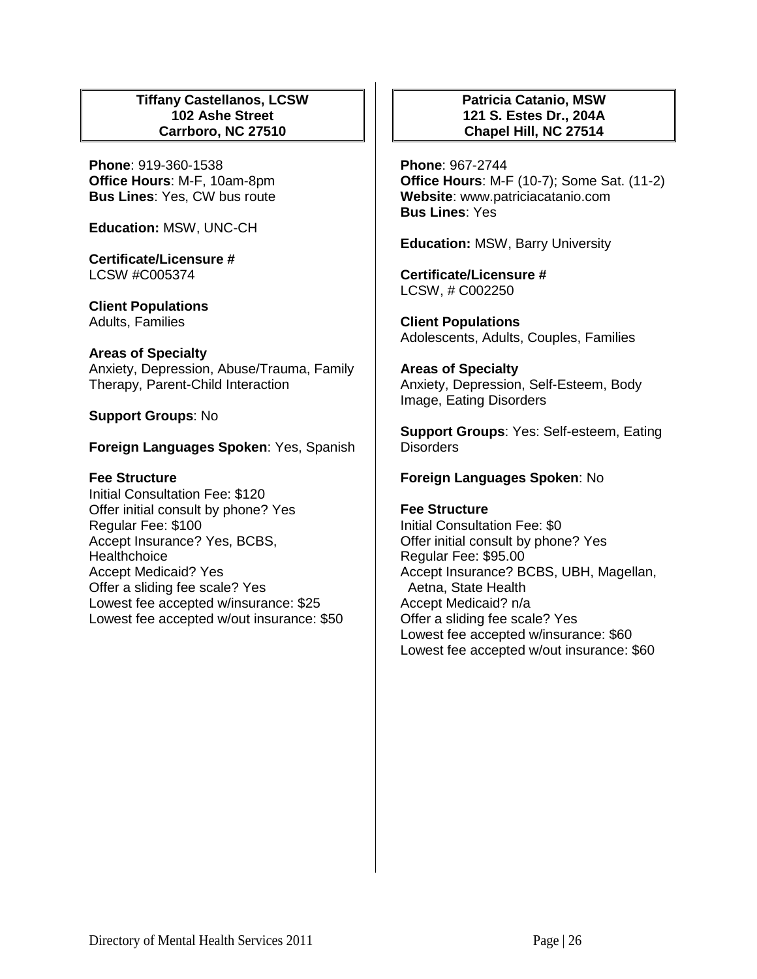## **Tiffany Castellanos, LCSW 102 Ashe Street Carrboro, NC 27510**

**Phone**: 919-360-1538 **Office Hours**: M-F, 10am-8pm **Bus Lines**: Yes, CW bus route

**Education:** MSW, UNC-CH

**Certificate/Licensure #** LCSW #C005374

**Client Populations**  Adults, Families

## **Areas of Specialty**

Anxiety, Depression, Abuse/Trauma, Family Therapy, Parent-Child Interaction

**Support Groups**: No

**Foreign Languages Spoken**: Yes, Spanish

# **Fee Structure**

Initial Consultation Fee: \$120 Offer initial consult by phone? Yes Regular Fee: \$100 Accept Insurance? Yes, BCBS, **Healthchoice** Accept Medicaid? Yes Offer a sliding fee scale? Yes Lowest fee accepted w/insurance: \$25 Lowest fee accepted w/out insurance: \$50

# **Patricia Catanio, MSW 121 S. Estes Dr., 204A Chapel Hill, NC 27514**

**Phone**: 967-2744 **Office Hours**: M-F (10-7); Some Sat. (11-2) **Website**: www.patriciacatanio.com **Bus Lines**: Yes

**Education:** MSW, Barry University

**Certificate/Licensure #** LCSW, # C002250

**Client Populations**  Adolescents, Adults, Couples, Families

**Areas of Specialty**  Anxiety, Depression, Self-Esteem, Body Image, Eating Disorders

**Support Groups**: Yes: Self-esteem, Eating Disorders

# **Foreign Languages Spoken**: No

# **Fee Structure**

Initial Consultation Fee: \$0 Offer initial consult by phone? Yes Regular Fee: \$95.00 Accept Insurance? BCBS, UBH, Magellan, Aetna, State Health Accept Medicaid? n/a Offer a sliding fee scale? Yes Lowest fee accepted w/insurance: \$60 Lowest fee accepted w/out insurance: \$60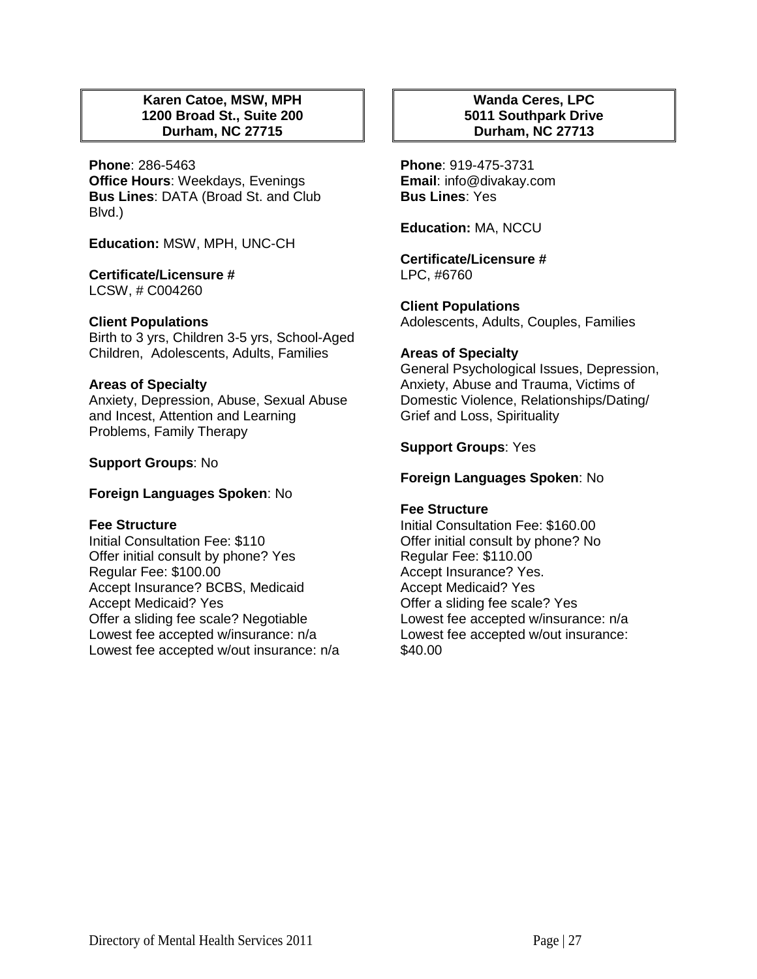## **Karen Catoe, MSW, MPH 1200 Broad St., Suite 200 Durham, NC 27715**

**Phone**: 286-5463 **Office Hours**: Weekdays, Evenings **Bus Lines**: DATA (Broad St. and Club Blvd.)

**Education:** MSW, MPH, UNC-CH

**Certificate/Licensure #** LCSW, # C004260

# **Client Populations**

Birth to 3 yrs, Children 3-5 yrs, School-Aged Children, Adolescents, Adults, Families

### **Areas of Specialty**

Anxiety, Depression, Abuse, Sexual Abuse and Incest, Attention and Learning Problems, Family Therapy

**Support Groups**: No

**Foreign Languages Spoken**: No

### **Fee Structure**

Initial Consultation Fee: \$110 Offer initial consult by phone? Yes Regular Fee: \$100.00 Accept Insurance? BCBS, Medicaid Accept Medicaid? Yes Offer a sliding fee scale? Negotiable Lowest fee accepted w/insurance: n/a Lowest fee accepted w/out insurance: n/a

## **Wanda Ceres, LPC 5011 Southpark Drive Durham, NC 27713**

**Phone**: 919-475-3731 **Email**: info@divakay.com **Bus Lines**: Yes

**Education:** MA, NCCU

**Certificate/Licensure #** LPC, #6760

**Client Populations**  Adolescents, Adults, Couples, Families

## **Areas of Specialty**

General Psychological Issues, Depression, Anxiety, Abuse and Trauma, Victims of Domestic Violence, Relationships/Dating/ Grief and Loss, Spirituality

## **Support Groups**: Yes

## **Foreign Languages Spoken**: No

### **Fee Structure**

Initial Consultation Fee: \$160.00 Offer initial consult by phone? No Regular Fee: \$110.00 Accept Insurance? Yes. Accept Medicaid? Yes Offer a sliding fee scale? Yes Lowest fee accepted w/insurance: n/a Lowest fee accepted w/out insurance: \$40.00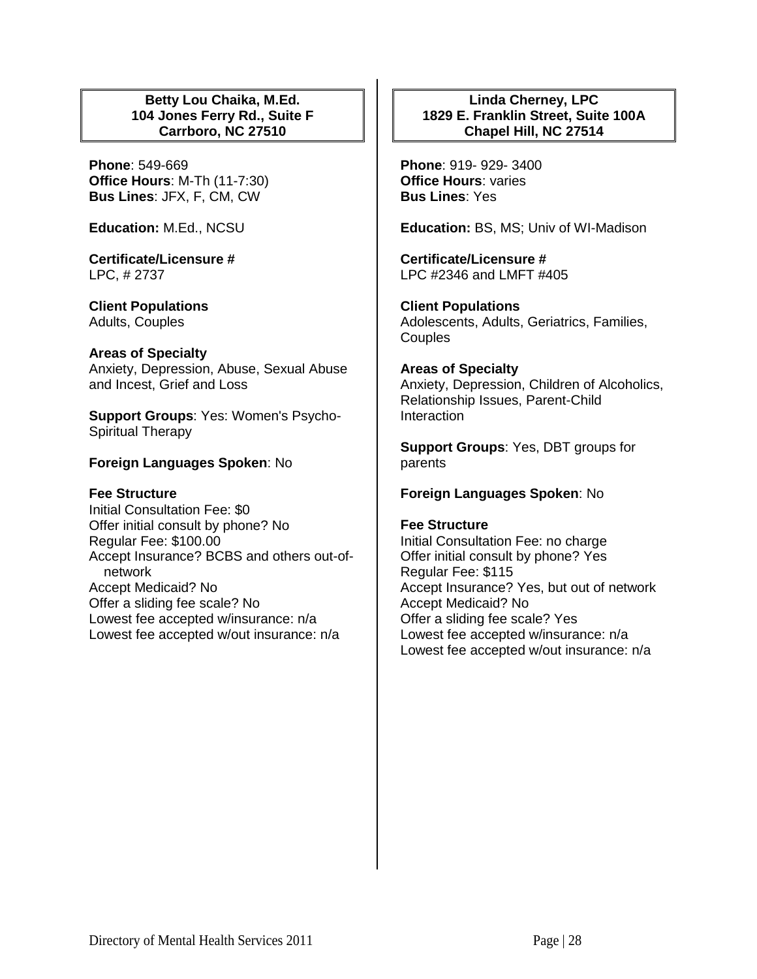## **Betty Lou Chaika, M.Ed. 104 Jones Ferry Rd., Suite F Carrboro, NC 27510**

**Phone**: 549-669 **Office Hours**: M-Th (11-7:30) **Bus Lines**: JFX, F, CM, CW

**Education:** M.Ed., NCSU

**Certificate/Licensure #** LPC, # 2737

**Client Populations**  Adults, Couples

### **Areas of Specialty**

Anxiety, Depression, Abuse, Sexual Abuse and Incest, Grief and Loss

**Support Groups**: Yes: Women's Psycho-Spiritual Therapy

## **Foreign Languages Spoken**: No

### **Fee Structure**

Initial Consultation Fee: \$0 Offer initial consult by phone? No Regular Fee: \$100.00 Accept Insurance? BCBS and others out-ofnetwork Accept Medicaid? No Offer a sliding fee scale? No Lowest fee accepted w/insurance: n/a Lowest fee accepted w/out insurance: n/a

## **Linda Cherney, LPC 1829 E. Franklin Street, Suite 100A Chapel Hill, NC 27514**

**Phone**: 919- 929- 3400 **Office Hours**: varies **Bus Lines**: Yes

**Education:** BS, MS; Univ of WI-Madison

**Certificate/Licensure #** LPC #2346 and LMFT #405

**Client Populations**  Adolescents, Adults, Geriatrics, Families, Couples

## **Areas of Specialty**  Anxiety, Depression, Children of Alcoholics, Relationship Issues, Parent-Child Interaction

**Support Groups**: Yes, DBT groups for parents

**Foreign Languages Spoken**: No

### **Fee Structure**

Initial Consultation Fee: no charge Offer initial consult by phone? Yes Regular Fee: \$115 Accept Insurance? Yes, but out of network Accept Medicaid? No Offer a sliding fee scale? Yes Lowest fee accepted w/insurance: n/a Lowest fee accepted w/out insurance: n/a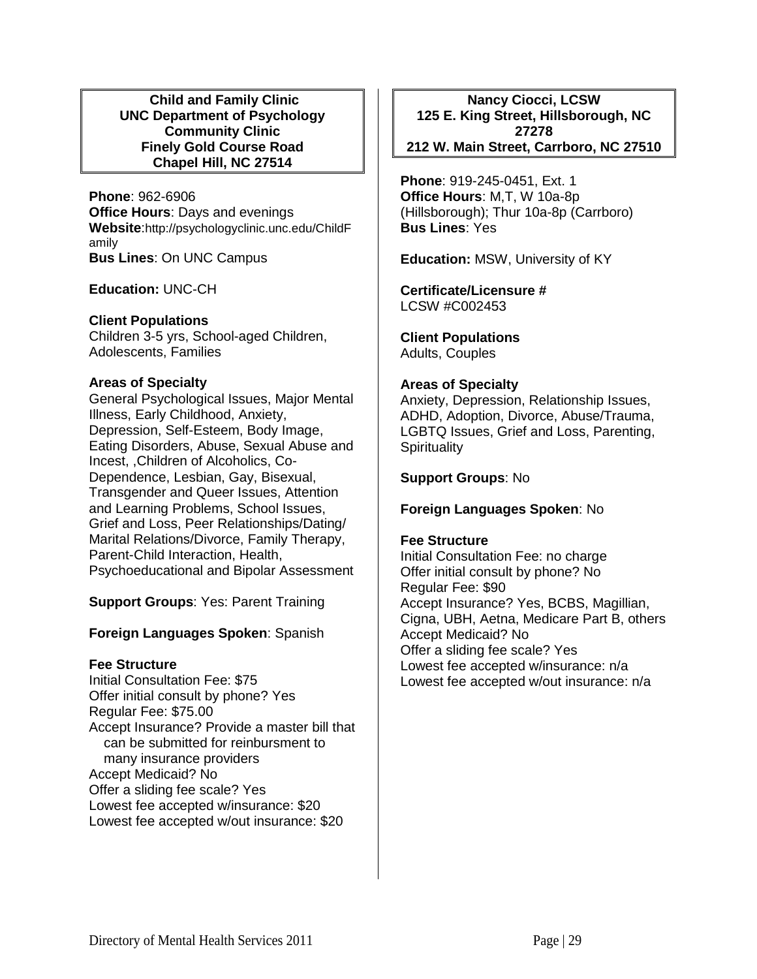### **Child and Family Clinic UNC Department of Psychology Community Clinic Finely Gold Course Road Chapel Hill, NC 27514**

**Phone**: 962-6906 **Office Hours**: Days and evenings **Website**:http://psychologyclinic.unc.edu/ChildF amily **Bus Lines**: On UNC Campus

**Education:** UNC-CH

## **Client Populations**

Children 3-5 yrs, School-aged Children, Adolescents, Families

## **Areas of Specialty**

General Psychological Issues, Major Mental Illness, Early Childhood, Anxiety, Depression, Self-Esteem, Body Image, Eating Disorders, Abuse, Sexual Abuse and Incest, ,Children of Alcoholics, Co-Dependence, Lesbian, Gay, Bisexual, Transgender and Queer Issues, Attention and Learning Problems, School Issues, Grief and Loss, Peer Relationships/Dating/ Marital Relations/Divorce, Family Therapy, Parent-Child Interaction, Health, Psychoeducational and Bipolar Assessment

**Support Groups**: Yes: Parent Training

# **Foreign Languages Spoken**: Spanish

# **Fee Structure**

Initial Consultation Fee: \$75 Offer initial consult by phone? Yes Regular Fee: \$75.00 Accept Insurance? Provide a master bill that can be submitted for reinbursment to many insurance providers Accept Medicaid? No Offer a sliding fee scale? Yes Lowest fee accepted w/insurance: \$20 Lowest fee accepted w/out insurance: \$20

**Nancy Ciocci, LCSW 125 E. King Street, Hillsborough, NC 27278 212 W. Main Street, Carrboro, NC 27510**

**Phone**: 919-245-0451, Ext. 1 **Office Hours**: M,T, W 10a-8p (Hillsborough); Thur 10a-8p (Carrboro) **Bus Lines**: Yes

**Education:** MSW, University of KY

**Certificate/Licensure #** LCSW #C002453

**Client Populations**  Adults, Couples

# **Areas of Specialty**

Anxiety, Depression, Relationship Issues, ADHD, Adoption, Divorce, Abuse/Trauma, LGBTQ Issues, Grief and Loss, Parenting, **Spirituality** 

# **Support Groups**: No

# **Foreign Languages Spoken**: No

### **Fee Structure**

Initial Consultation Fee: no charge Offer initial consult by phone? No Regular Fee: \$90 Accept Insurance? Yes, BCBS, Magillian, Cigna, UBH, Aetna, Medicare Part B, others Accept Medicaid? No Offer a sliding fee scale? Yes Lowest fee accepted w/insurance: n/a Lowest fee accepted w/out insurance: n/a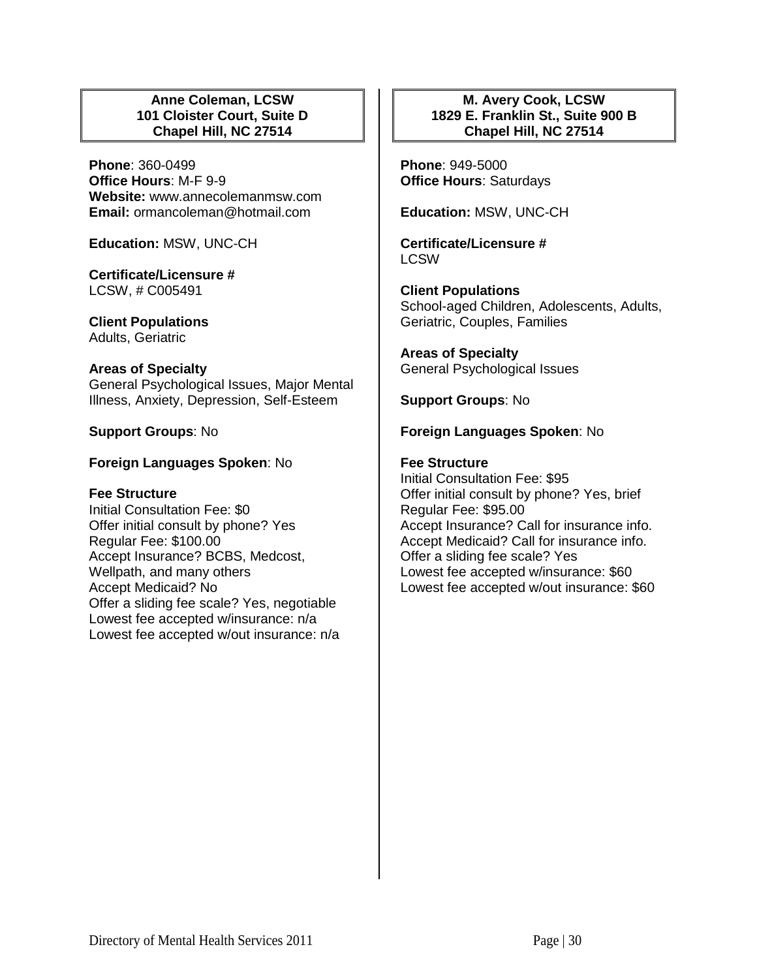## **Anne Coleman, LCSW 101 Cloister Court, Suite D Chapel Hill, NC 27514**

**Phone**: 360-0499 **Office Hours**: M-F 9-9 **Website:** www.annecolemanmsw.com **Email:** ormancoleman@hotmail.com

**Education:** MSW, UNC-CH

**Certificate/Licensure #** LCSW, # C005491

**Client Populations**  Adults, Geriatric

#### **Areas of Specialty**

General Psychological Issues, Major Mental Illness, Anxiety, Depression, Self-Esteem

## **Support Groups**: No

## **Foreign Languages Spoken**: No

### **Fee Structure**

Initial Consultation Fee: \$0 Offer initial consult by phone? Yes Regular Fee: \$100.00 Accept Insurance? BCBS, Medcost, Wellpath, and many others Accept Medicaid? No Offer a sliding fee scale? Yes, negotiable Lowest fee accepted w/insurance: n/a Lowest fee accepted w/out insurance: n/a

# **M. Avery Cook, LCSW 1829 E. Franklin St., Suite 900 B Chapel Hill, NC 27514**

**Phone**: 949-5000 **Office Hours**: Saturdays

**Education:** MSW, UNC-CH

**Certificate/Licensure # LCSW** 

**Client Populations**  School-aged Children, Adolescents, Adults, Geriatric, Couples, Families

**Areas of Specialty**  General Psychological Issues

**Support Groups**: No

## **Foreign Languages Spoken**: No

## **Fee Structure**

Initial Consultation Fee: \$95 Offer initial consult by phone? Yes, brief Regular Fee: \$95.00 Accept Insurance? Call for insurance info. Accept Medicaid? Call for insurance info. Offer a sliding fee scale? Yes Lowest fee accepted w/insurance: \$60 Lowest fee accepted w/out insurance: \$60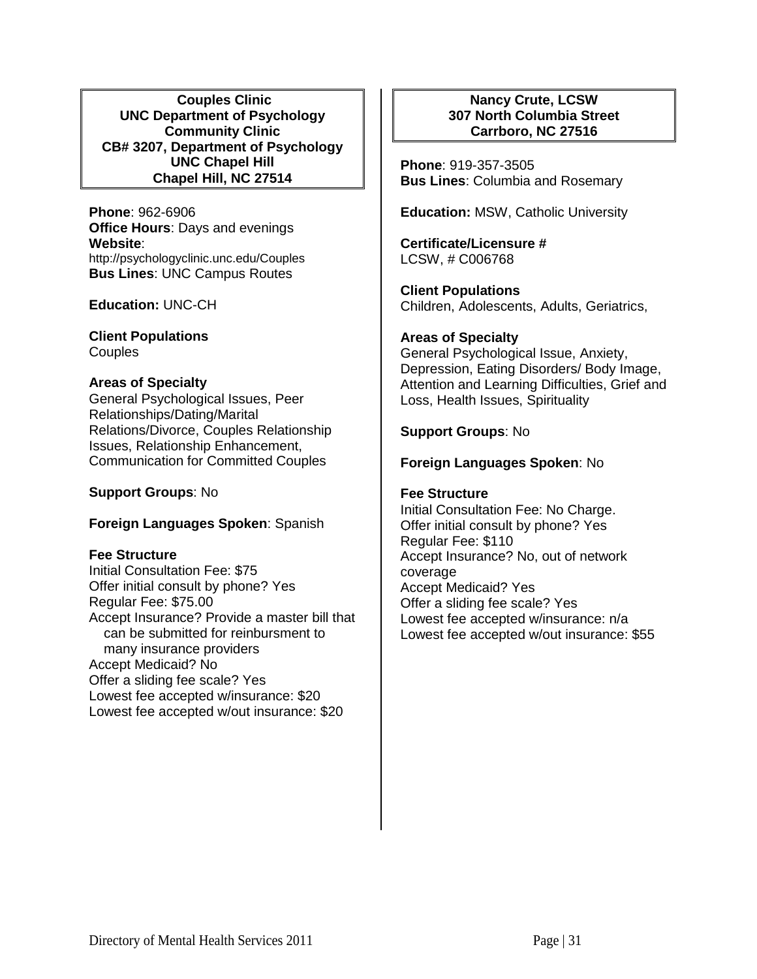**Couples Clinic UNC Department of Psychology Community Clinic CB# 3207, Department of Psychology UNC Chapel Hill Chapel Hill, NC 27514**

**Phone**: 962-6906 **Office Hours**: Days and evenings **Website**: http://psychologyclinic.unc.edu/Couples **Bus Lines**: UNC Campus Routes

**Education:** UNC-CH

**Client Populations Couples** 

## **Areas of Specialty**

General Psychological Issues, Peer Relationships/Dating/Marital Relations/Divorce, Couples Relationship Issues, Relationship Enhancement, Communication for Committed Couples

**Support Groups**: No

### **Foreign Languages Spoken**: Spanish

### **Fee Structure**

Initial Consultation Fee: \$75 Offer initial consult by phone? Yes Regular Fee: \$75.00 Accept Insurance? Provide a master bill that can be submitted for reinbursment to many insurance providers Accept Medicaid? No Offer a sliding fee scale? Yes Lowest fee accepted w/insurance: \$20 Lowest fee accepted w/out insurance: \$20

## **Nancy Crute, LCSW 307 North Columbia Street Carrboro, NC 27516**

**Phone**: 919-357-3505 **Bus Lines**: Columbia and Rosemary

**Education:** MSW, Catholic University

**Certificate/Licensure #** LCSW, # C006768

**Client Populations**  Children, Adolescents, Adults, Geriatrics,

### **Areas of Specialty**

General Psychological Issue, Anxiety, Depression, Eating Disorders/ Body Image, Attention and Learning Difficulties, Grief and Loss, Health Issues, Spirituality

## **Support Groups**: No

## **Foreign Languages Spoken**: No

### **Fee Structure**

Initial Consultation Fee: No Charge. Offer initial consult by phone? Yes Regular Fee: \$110 Accept Insurance? No, out of network coverage Accept Medicaid? Yes Offer a sliding fee scale? Yes Lowest fee accepted w/insurance: n/a Lowest fee accepted w/out insurance: \$55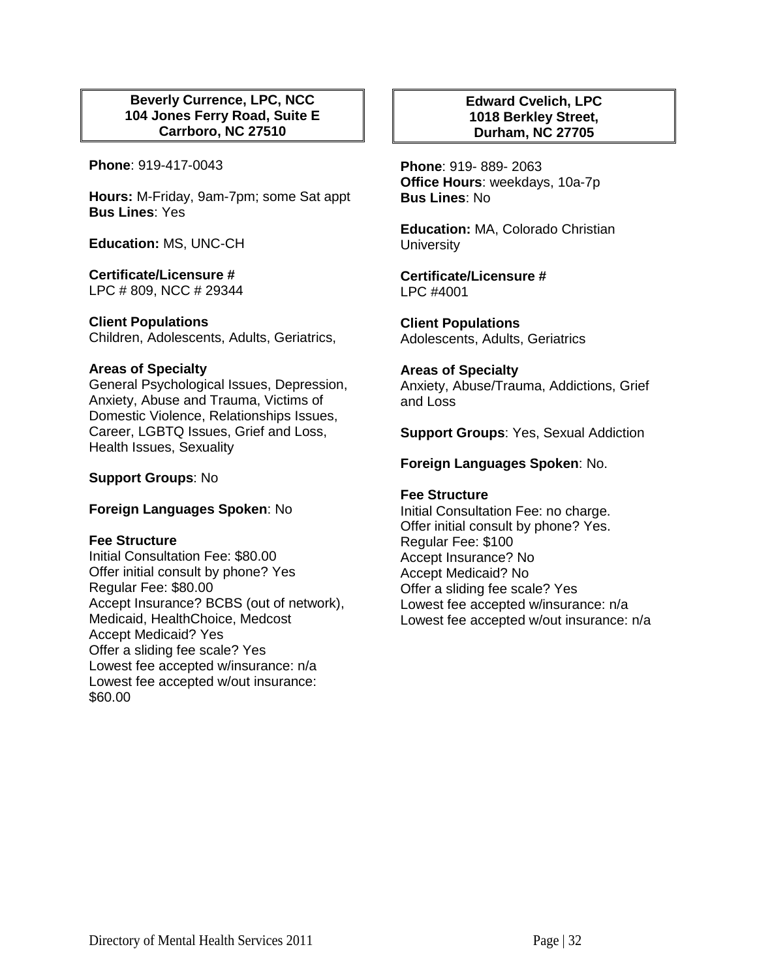## **Beverly Currence, LPC, NCC 104 Jones Ferry Road, Suite E Carrboro, NC 27510**

**Phone**: 919-417-0043

**Hours:** M-Friday, 9am-7pm; some Sat appt **Bus Lines**: Yes

**Education:** MS, UNC-CH

## **Certificate/Licensure #**

LPC # 809, NCC # 29344

### **Client Populations**

Children, Adolescents, Adults, Geriatrics,

### **Areas of Specialty**

General Psychological Issues, Depression, Anxiety, Abuse and Trauma, Victims of Domestic Violence, Relationships Issues, Career, LGBTQ Issues, Grief and Loss, Health Issues, Sexuality

## **Support Groups**: No

### **Foreign Languages Spoken**: No

### **Fee Structure**

Initial Consultation Fee: \$80.00 Offer initial consult by phone? Yes Regular Fee: \$80.00 Accept Insurance? BCBS (out of network), Medicaid, HealthChoice, Medcost Accept Medicaid? Yes Offer a sliding fee scale? Yes Lowest fee accepted w/insurance: n/a Lowest fee accepted w/out insurance: \$60.00

## **Edward Cvelich, LPC 1018 Berkley Street, Durham, NC 27705**

**Phone**: 919- 889- 2063 **Office Hours**: weekdays, 10a-7p **Bus Lines**: No

**Education:** MA, Colorado Christian **University** 

**Certificate/Licensure #** LPC #4001

**Client Populations**  Adolescents, Adults, Geriatrics

### **Areas of Specialty**

Anxiety, Abuse/Trauma, Addictions, Grief and Loss

**Support Groups**: Yes, Sexual Addiction

## **Foreign Languages Spoken**: No.

### **Fee Structure**

Initial Consultation Fee: no charge. Offer initial consult by phone? Yes. Regular Fee: \$100 Accept Insurance? No Accept Medicaid? No Offer a sliding fee scale? Yes Lowest fee accepted w/insurance: n/a Lowest fee accepted w/out insurance: n/a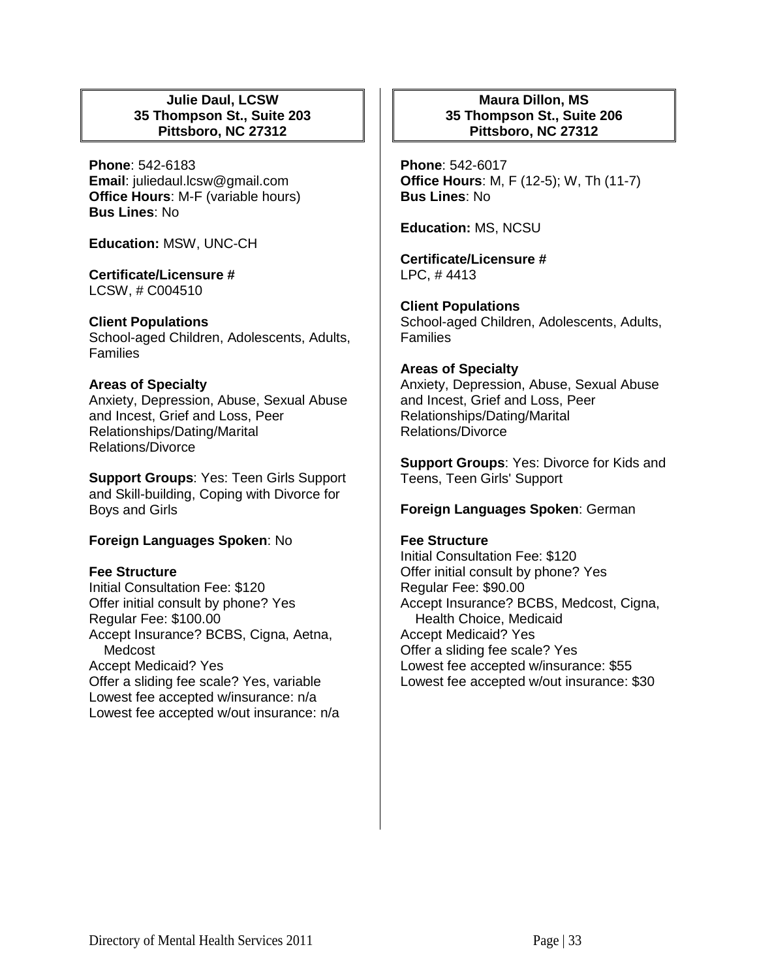## **Julie Daul, LCSW 35 Thompson St., Suite 203 Pittsboro, NC 27312**

**Phone**: 542-6183 **Email**: juliedaul.lcsw@gmail.com **Office Hours**: M-F (variable hours) **Bus Lines**: No

**Education:** MSW, UNC-CH

**Certificate/Licensure #** LCSW, # C004510

### **Client Populations**

School-aged Children, Adolescents, Adults, Families

### **Areas of Specialty**

Anxiety, Depression, Abuse, Sexual Abuse and Incest, Grief and Loss, Peer Relationships/Dating/Marital Relations/Divorce

**Support Groups**: Yes: Teen Girls Support and Skill-building, Coping with Divorce for Boys and Girls

### **Foreign Languages Spoken**: No

### **Fee Structure**

Initial Consultation Fee: \$120 Offer initial consult by phone? Yes Regular Fee: \$100.00 Accept Insurance? BCBS, Cigna, Aetna, Medcost Accept Medicaid? Yes Offer a sliding fee scale? Yes, variable Lowest fee accepted w/insurance: n/a Lowest fee accepted w/out insurance: n/a

## **Maura Dillon, MS 35 Thompson St., Suite 206 Pittsboro, NC 27312**

**Phone**: 542-6017 **Office Hours**: M, F (12-5); W, Th (11-7) **Bus Lines**: No

**Education:** MS, NCSU

**Certificate/Licensure #** LPC, # 4413

**Client Populations**  School-aged Children, Adolescents, Adults, Families

#### **Areas of Specialty**

Anxiety, Depression, Abuse, Sexual Abuse and Incest, Grief and Loss, Peer Relationships/Dating/Marital Relations/Divorce

**Support Groups**: Yes: Divorce for Kids and Teens, Teen Girls' Support

### **Foreign Languages Spoken**: German

## **Fee Structure**

Initial Consultation Fee: \$120 Offer initial consult by phone? Yes Regular Fee: \$90.00 Accept Insurance? BCBS, Medcost, Cigna, Health Choice, Medicaid Accept Medicaid? Yes Offer a sliding fee scale? Yes Lowest fee accepted w/insurance: \$55 Lowest fee accepted w/out insurance: \$30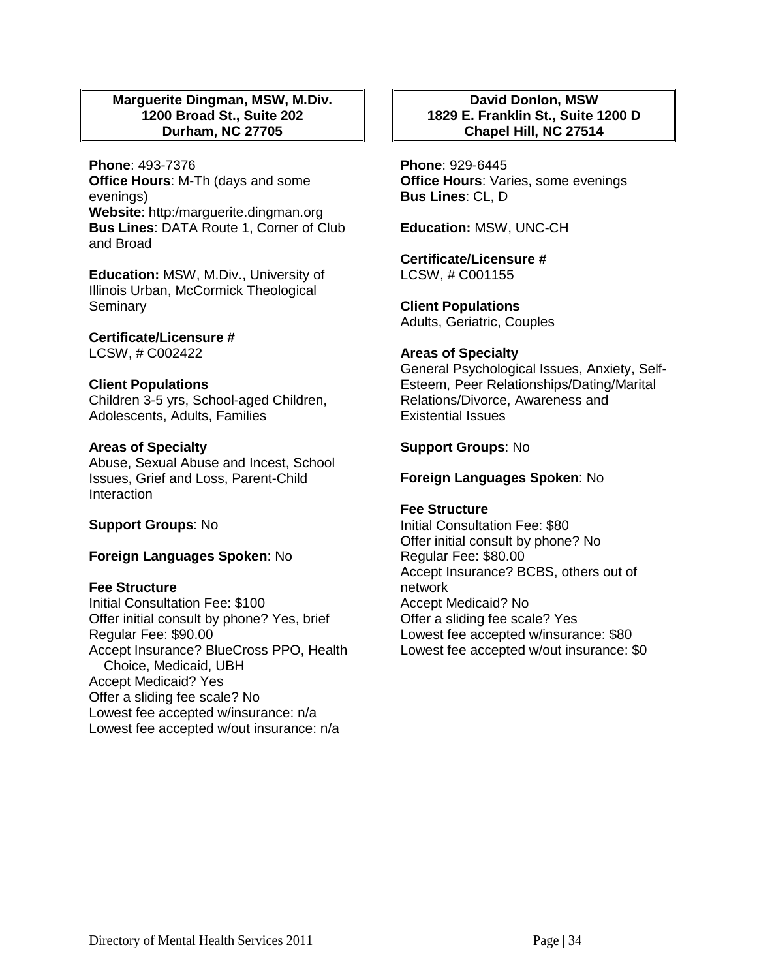## **Marguerite Dingman, MSW, M.Div. 1200 Broad St., Suite 202 Durham, NC 27705**

**Phone**: 493-7376 **Office Hours**: M-Th (days and some evenings) **Website**: http:/marguerite.dingman.org **Bus Lines**: DATA Route 1, Corner of Club and Broad

**Education:** MSW, M.Div., University of Illinois Urban, McCormick Theological Seminary

**Certificate/Licensure #** LCSW, # C002422

# **Client Populations**

Children 3-5 yrs, School-aged Children, Adolescents, Adults, Families

## **Areas of Specialty**

Abuse, Sexual Abuse and Incest, School Issues, Grief and Loss, Parent-Child **Interaction** 

### **Support Groups**: No

# **Foreign Languages Spoken**: No

### **Fee Structure**

Initial Consultation Fee: \$100 Offer initial consult by phone? Yes, brief Regular Fee: \$90.00 Accept Insurance? BlueCross PPO, Health Choice, Medicaid, UBH Accept Medicaid? Yes Offer a sliding fee scale? No Lowest fee accepted w/insurance: n/a Lowest fee accepted w/out insurance: n/a

## **David Donlon, MSW 1829 E. Franklin St., Suite 1200 D Chapel Hill, NC 27514**

**Phone**: 929-6445 **Office Hours**: Varies, some evenings **Bus Lines**: CL, D

**Education:** MSW, UNC-CH

**Certificate/Licensure #** LCSW, # C001155

**Client Populations**  Adults, Geriatric, Couples

### **Areas of Specialty**

General Psychological Issues, Anxiety, Self-Esteem, Peer Relationships/Dating/Marital Relations/Divorce, Awareness and Existential Issues

### **Support Groups**: No

### **Foreign Languages Spoken**: No

### **Fee Structure**

Initial Consultation Fee: \$80 Offer initial consult by phone? No Regular Fee: \$80.00 Accept Insurance? BCBS, others out of network Accept Medicaid? No Offer a sliding fee scale? Yes Lowest fee accepted w/insurance: \$80 Lowest fee accepted w/out insurance: \$0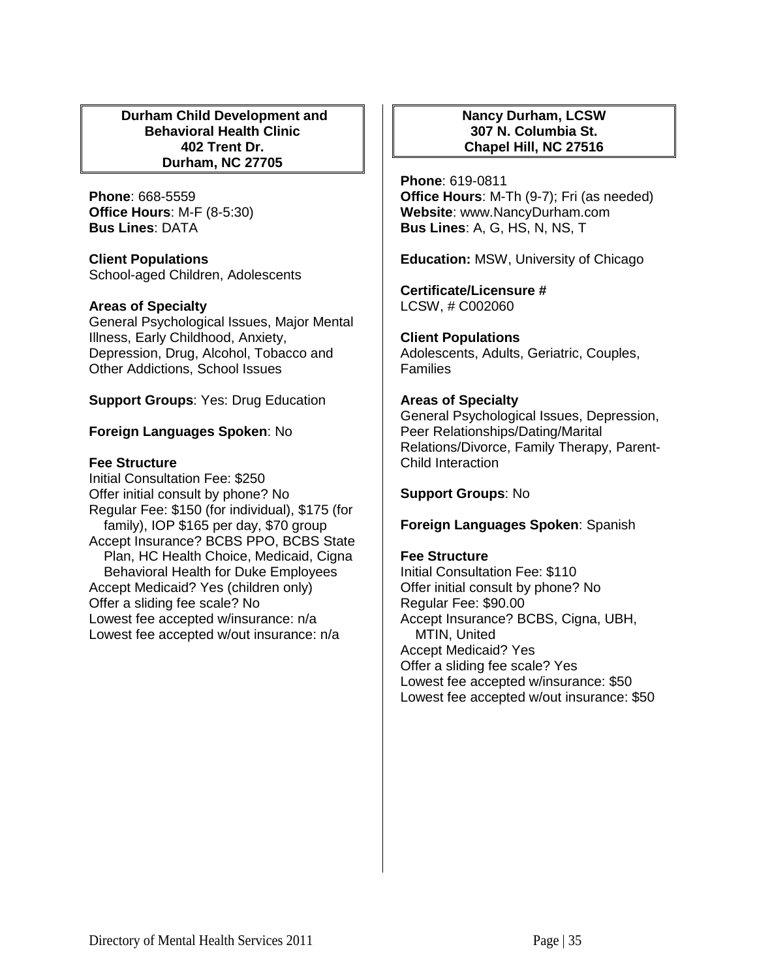## **Durham Child Development and Behavioral Health Clinic 402 Trent Dr. Durham, NC 27705**

**Phone**: 668-5559 **Office Hours**: M-F (8-5:30) **Bus Lines**: DATA

**Client Populations**  School-aged Children, Adolescents

# **Areas of Specialty**

General Psychological Issues, Major Mental Illness, Early Childhood, Anxiety, Depression, Drug, Alcohol, Tobacco and Other Addictions, School Issues

**Support Groups**: Yes: Drug Education

# **Foreign Languages Spoken**: No

# **Fee Structure**

Initial Consultation Fee: \$250 Offer initial consult by phone? No Regular Fee: \$150 (for individual), \$175 (for family), IOP \$165 per day, \$70 group Accept Insurance? BCBS PPO, BCBS State Plan, HC Health Choice, Medicaid, Cigna Behavioral Health for Duke Employees Accept Medicaid? Yes (children only) Offer a sliding fee scale? No Lowest fee accepted w/insurance: n/a Lowest fee accepted w/out insurance: n/a

## **Nancy Durham, LCSW 307 N. Columbia St. Chapel Hill, NC 27516**

**Phone**: 619-0811 **Office Hours**: M-Th (9-7); Fri (as needed) **Website**: www.NancyDurham.com **Bus Lines**: A, G, HS, N, NS, T

**Education:** MSW, University of Chicago

**Certificate/Licensure #** LCSW, # C002060

**Client Populations** 

Adolescents, Adults, Geriatric, Couples, **Families** 

# **Areas of Specialty**

General Psychological Issues, Depression, Peer Relationships/Dating/Marital Relations/Divorce, Family Therapy, Parent-Child Interaction

**Support Groups**: No

**Foreign Languages Spoken**: Spanish

### **Fee Structure**

Initial Consultation Fee: \$110 Offer initial consult by phone? No Regular Fee: \$90.00 Accept Insurance? BCBS, Cigna, UBH, MTIN, United Accept Medicaid? Yes Offer a sliding fee scale? Yes Lowest fee accepted w/insurance: \$50 Lowest fee accepted w/out insurance: \$50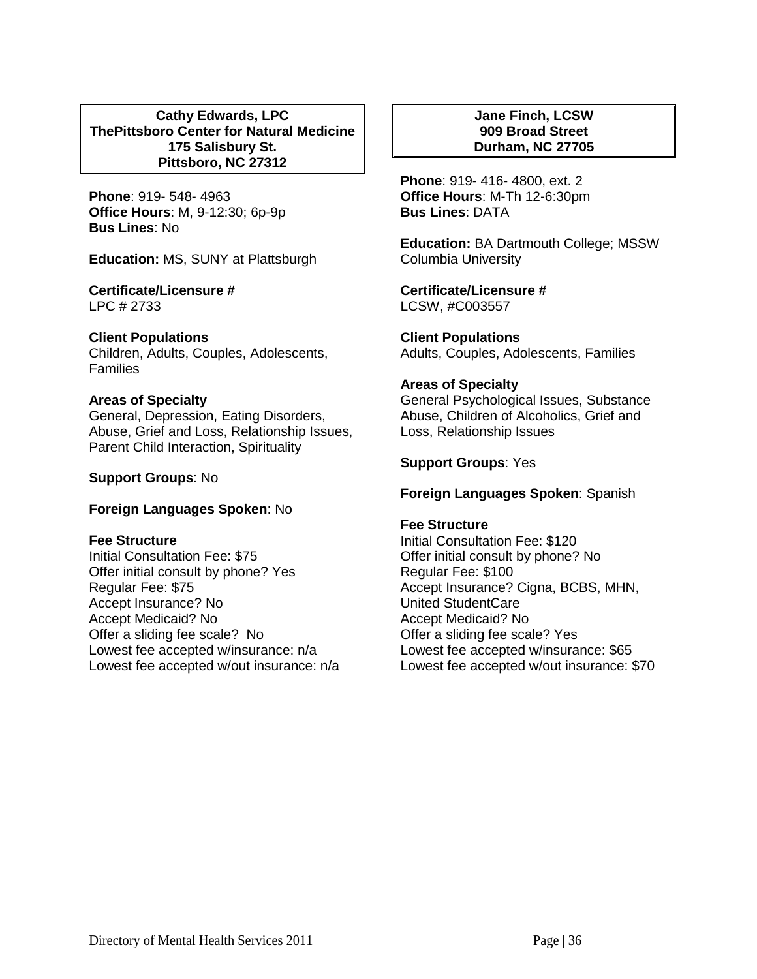**Cathy Edwards, LPC ThePittsboro Center for Natural Medicine 175 Salisbury St. Pittsboro, NC 27312**

**Phone**: 919- 548- 4963 **Office Hours**: M, 9-12:30; 6p-9p **Bus Lines**: No

**Education:** MS, SUNY at Plattsburgh

**Certificate/Licensure #** LPC # 2733

**Client Populations**  Children, Adults, Couples, Adolescents, Families

## **Areas of Specialty**

General, Depression, Eating Disorders, Abuse, Grief and Loss, Relationship Issues, Parent Child Interaction, Spirituality

**Support Groups**: No

### **Foreign Languages Spoken**: No

**Fee Structure** 

Initial Consultation Fee: \$75 Offer initial consult by phone? Yes Regular Fee: \$75 Accept Insurance? No Accept Medicaid? No Offer a sliding fee scale? No Lowest fee accepted w/insurance: n/a Lowest fee accepted w/out insurance: n/a

## **Jane Finch, LCSW 909 Broad Street Durham, NC 27705**

**Phone**: 919- 416- 4800, ext. 2 **Office Hours**: M-Th 12-6:30pm **Bus Lines**: DATA

**Education:** BA Dartmouth College; MSSW Columbia University

**Certificate/Licensure #** LCSW, #C003557

**Client Populations**  Adults, Couples, Adolescents, Families

### **Areas of Specialty**

General Psychological Issues, Substance Abuse, Children of Alcoholics, Grief and Loss, Relationship Issues

**Support Groups**: Yes

**Foreign Languages Spoken**: Spanish

### **Fee Structure**

Initial Consultation Fee: \$120 Offer initial consult by phone? No Regular Fee: \$100 Accept Insurance? Cigna, BCBS, MHN, United StudentCare Accept Medicaid? No Offer a sliding fee scale? Yes Lowest fee accepted w/insurance: \$65 Lowest fee accepted w/out insurance: \$70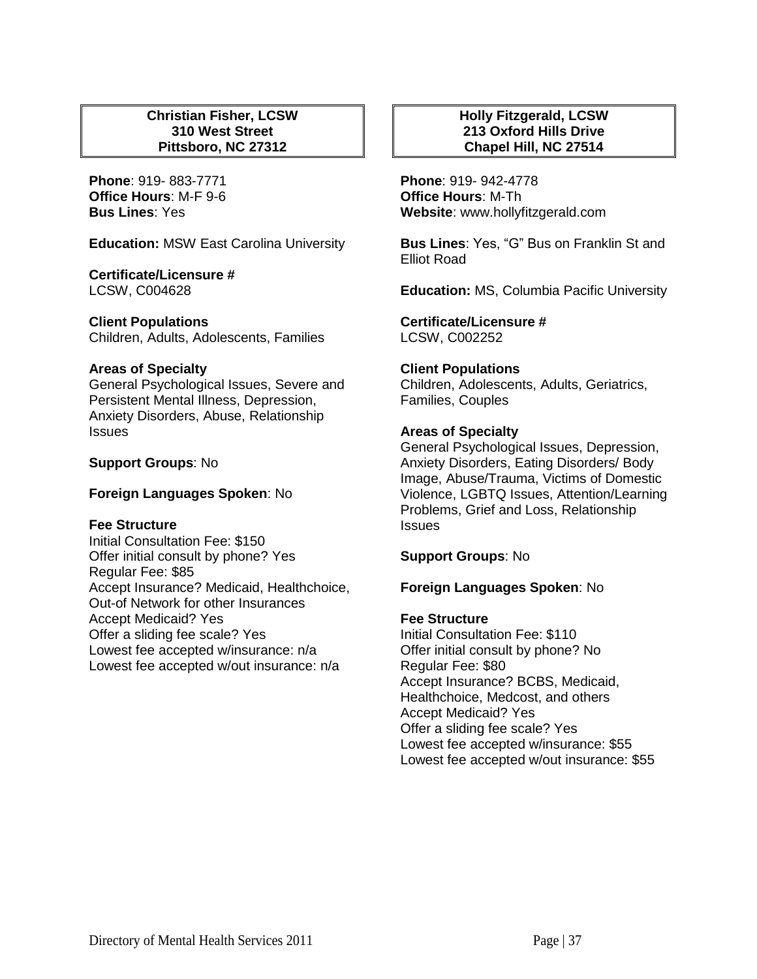## **Christian Fisher, LCSW 310 West Street Pittsboro, NC 27312**

**Phone**: 919- 883-7771 **Office Hours**: M-F 9-6 **Bus Lines**: Yes

**Education:** MSW East Carolina University

### **Certificate/Licensure #**

LCSW, C004628

### **Client Populations**

Children, Adults, Adolescents, Families

### **Areas of Specialty**

General Psychological Issues, Severe and Persistent Mental Illness, Depression, Anxiety Disorders, Abuse, Relationship Issues

### **Support Groups**: No

### **Foreign Languages Spoken**: No

### **Fee Structure**

Initial Consultation Fee: \$150 Offer initial consult by phone? Yes Regular Fee: \$85 Accept Insurance? Medicaid, Healthchoice, Out-of Network for other Insurances Accept Medicaid? Yes Offer a sliding fee scale? Yes Lowest fee accepted w/insurance: n/a Lowest fee accepted w/out insurance: n/a

## **Holly Fitzgerald, LCSW 213 Oxford Hills Drive Chapel Hill, NC 27514**

**Phone**: 919- 942-4778 **Office Hours**: M-Th **Website**: www.hollyfitzgerald.com

**Bus Lines**: Yes, "G" Bus on Franklin St and Elliot Road

**Education:** MS, Columbia Pacific University

**Certificate/Licensure #** LCSW, C002252

### **Client Populations**

Children, Adolescents, Adults, Geriatrics, Families, Couples

### **Areas of Specialty**

General Psychological Issues, Depression, Anxiety Disorders, Eating Disorders/ Body Image, Abuse/Trauma, Victims of Domestic Violence, LGBTQ Issues, Attention/Learning Problems, Grief and Loss, Relationship **Issues** 

**Support Groups**: No

### **Foreign Languages Spoken**: No

#### **Fee Structure**

Initial Consultation Fee: \$110 Offer initial consult by phone? No Regular Fee: \$80 Accept Insurance? BCBS, Medicaid, Healthchoice, Medcost, and others Accept Medicaid? Yes Offer a sliding fee scale? Yes Lowest fee accepted w/insurance: \$55 Lowest fee accepted w/out insurance: \$55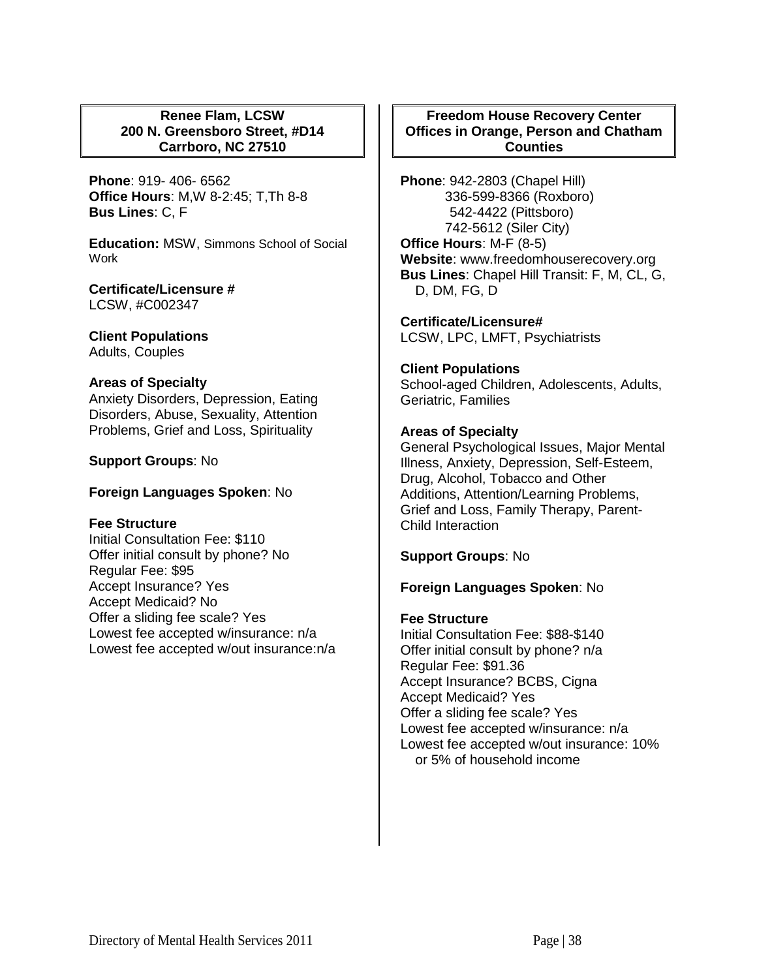## **Renee Flam, LCSW 200 N. Greensboro Street, #D14 Carrboro, NC 27510**

**Phone**: 919- 406- 6562 **Office Hours**: M,W 8-2:45; T,Th 8-8 **Bus Lines**: C, F

**Education:** MSW, Simmons School of Social Work

**Certificate/Licensure #** LCSW, #C002347

**Client Populations**  Adults, Couples

#### **Areas of Specialty**

Anxiety Disorders, Depression, Eating Disorders, Abuse, Sexuality, Attention Problems, Grief and Loss, Spirituality

**Support Groups**: No

**Foreign Languages Spoken**: No

#### **Fee Structure**

Initial Consultation Fee: \$110 Offer initial consult by phone? No Regular Fee: \$95 Accept Insurance? Yes Accept Medicaid? No Offer a sliding fee scale? Yes Lowest fee accepted w/insurance: n/a Lowest fee accepted w/out insurance:n/a

# **Freedom House Recovery Center Offices in Orange, Person and Chatham Counties**

**Phone**: 942-2803 (Chapel Hill) 336-599-8366 (Roxboro) 542-4422 (Pittsboro) 742-5612 (Siler City) **Office Hours**: M-F (8-5) **Website**: www.freedomhouserecovery.org **Bus Lines**: Chapel Hill Transit: F, M, CL, G, D, DM, FG, D

**Certificate/Licensure#** LCSW, LPC, LMFT, Psychiatrists

# **Client Populations**

School-aged Children, Adolescents, Adults, Geriatric, Families

## **Areas of Specialty**

General Psychological Issues, Major Mental Illness, Anxiety, Depression, Self-Esteem, Drug, Alcohol, Tobacco and Other Additions, Attention/Learning Problems, Grief and Loss, Family Therapy, Parent-Child Interaction

**Support Groups**: No

#### **Foreign Languages Spoken**: No

#### **Fee Structure**

Initial Consultation Fee: \$88-\$140 Offer initial consult by phone? n/a Regular Fee: \$91.36 Accept Insurance? BCBS, Cigna Accept Medicaid? Yes Offer a sliding fee scale? Yes Lowest fee accepted w/insurance: n/a Lowest fee accepted w/out insurance: 10% or 5% of household income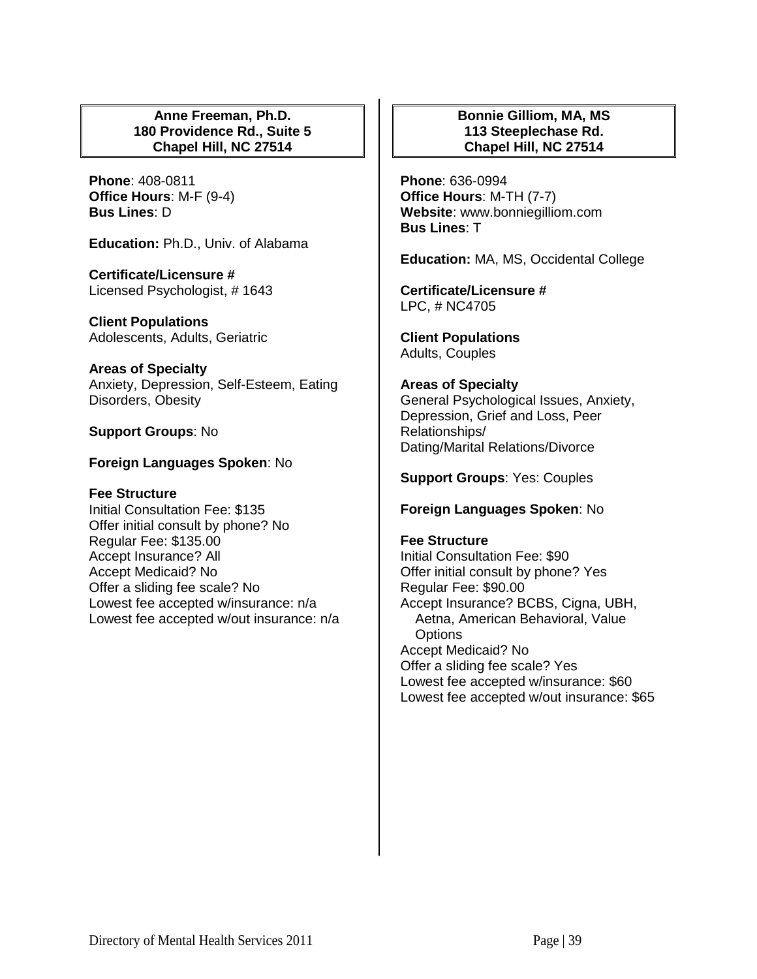## **Anne Freeman, Ph.D. 180 Providence Rd., Suite 5 Chapel Hill, NC 27514**

**Phone**: 408-0811 **Office Hours**: M-F (9-4) **Bus Lines**: D

**Education:** Ph.D., Univ. of Alabama

**Certificate/Licensure #** Licensed Psychologist, # 1643

**Client Populations**  Adolescents, Adults, Geriatric

**Areas of Specialty**  Anxiety, Depression, Self-Esteem, Eating Disorders, Obesity

**Support Groups**: No

## **Foreign Languages Spoken**: No

#### **Fee Structure**

Initial Consultation Fee: \$135 Offer initial consult by phone? No Regular Fee: \$135.00 Accept Insurance? All Accept Medicaid? No Offer a sliding fee scale? No Lowest fee accepted w/insurance: n/a Lowest fee accepted w/out insurance: n/a

# **Bonnie Gilliom, MA, MS 113 Steeplechase Rd. Chapel Hill, NC 27514**

**Phone**: 636-0994 **Office Hours**: M-TH (7-7) **Website**: www.bonniegilliom.com **Bus Lines**: T

**Education:** MA, MS, Occidental College

**Certificate/Licensure #** LPC, # NC4705

**Client Populations**  Adults, Couples

#### **Areas of Specialty**

General Psychological Issues, Anxiety, Depression, Grief and Loss, Peer Relationships/ Dating/Marital Relations/Divorce

**Support Groups**: Yes: Couples

**Foreign Languages Spoken**: No

#### **Fee Structure**

Initial Consultation Fee: \$90 Offer initial consult by phone? Yes Regular Fee: \$90.00 Accept Insurance? BCBS, Cigna, UBH, Aetna, American Behavioral, Value **Options** Accept Medicaid? No Offer a sliding fee scale? Yes Lowest fee accepted w/insurance: \$60 Lowest fee accepted w/out insurance: \$65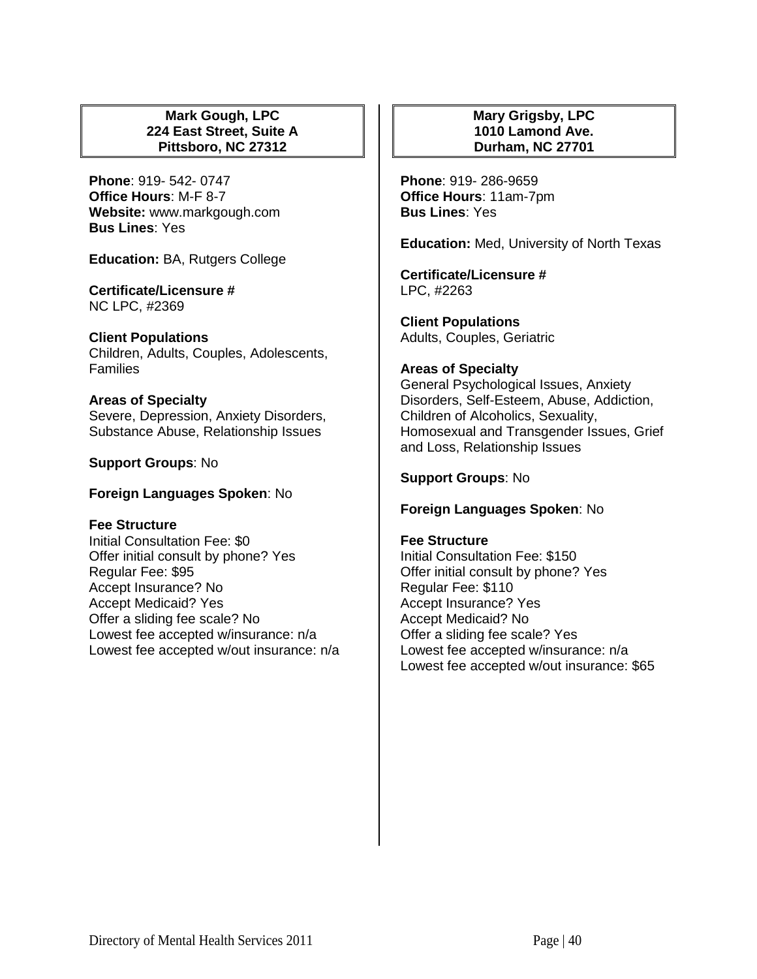## **Mark Gough, LPC 224 East Street, Suite A Pittsboro, NC 27312**

**Phone**: 919- 542- 0747 **Office Hours**: M-F 8-7 **Website:** www.markgough.com **Bus Lines**: Yes

**Education:** BA, Rutgers College

#### **Certificate/Licensure #** NC LPC, #2369

# **Client Populations**

Children, Adults, Couples, Adolescents, **Families** 

#### **Areas of Specialty**

Severe, Depression, Anxiety Disorders, Substance Abuse, Relationship Issues

## **Support Groups**: No

**Foreign Languages Spoken**: No

#### **Fee Structure**

Initial Consultation Fee: \$0 Offer initial consult by phone? Yes Regular Fee: \$95 Accept Insurance? No Accept Medicaid? Yes Offer a sliding fee scale? No Lowest fee accepted w/insurance: n/a Lowest fee accepted w/out insurance: n/a

## **Mary Grigsby, LPC 1010 Lamond Ave. Durham, NC 27701**

**Phone**: 919- 286-9659 **Office Hours**: 11am-7pm **Bus Lines**: Yes

**Education:** Med, University of North Texas

**Certificate/Licensure #** LPC, #2263

**Client Populations**  Adults, Couples, Geriatric

## **Areas of Specialty**

General Psychological Issues, Anxiety Disorders, Self-Esteem, Abuse, Addiction, Children of Alcoholics, Sexuality, Homosexual and Transgender Issues, Grief and Loss, Relationship Issues

# **Support Groups**: No

#### **Foreign Languages Spoken**: No

#### **Fee Structure**

Initial Consultation Fee: \$150 Offer initial consult by phone? Yes Regular Fee: \$110 Accept Insurance? Yes Accept Medicaid? No Offer a sliding fee scale? Yes Lowest fee accepted w/insurance: n/a Lowest fee accepted w/out insurance: \$65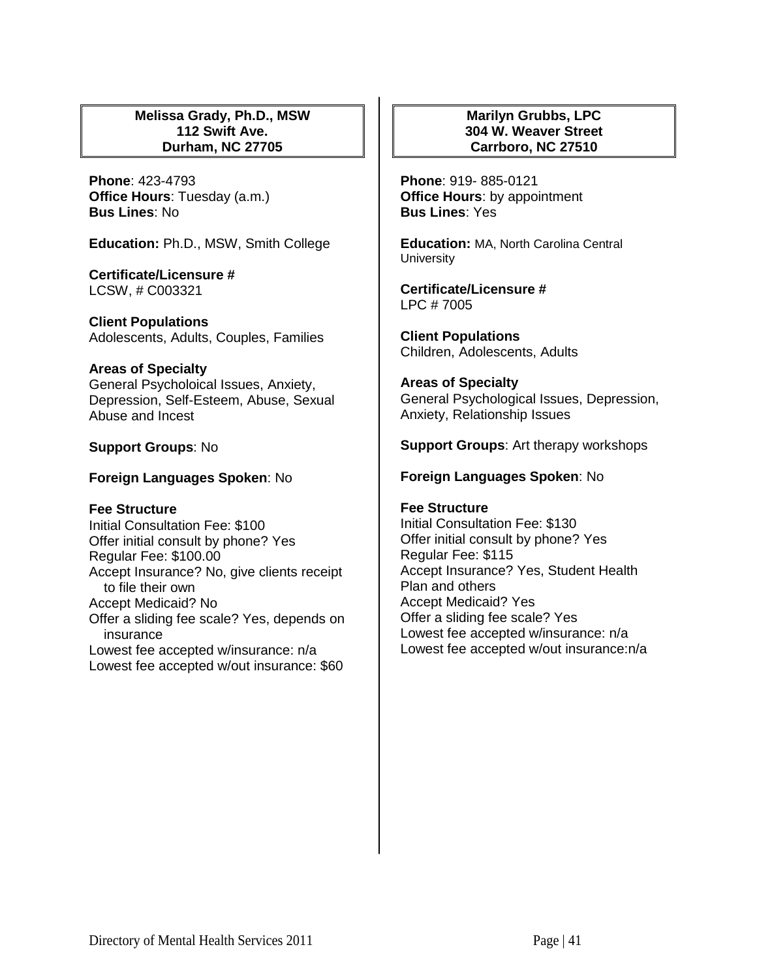## **Melissa Grady, Ph.D., MSW 112 Swift Ave. Durham, NC 27705**

**Phone**: 423-4793 **Office Hours**: Tuesday (a.m.) **Bus Lines**: No

**Education:** Ph.D., MSW, Smith College

**Certificate/Licensure #** LCSW, # C003321

**Client Populations**  Adolescents, Adults, Couples, Families

#### **Areas of Specialty**

General Psycholoical Issues, Anxiety, Depression, Self-Esteem, Abuse, Sexual Abuse and Incest

#### **Support Groups**: No

**Foreign Languages Spoken**: No

#### **Fee Structure**

Initial Consultation Fee: \$100 Offer initial consult by phone? Yes Regular Fee: \$100.00 Accept Insurance? No, give clients receipt to file their own Accept Medicaid? No Offer a sliding fee scale? Yes, depends on insurance Lowest fee accepted w/insurance: n/a Lowest fee accepted w/out insurance: \$60

## **Marilyn Grubbs, LPC 304 W. Weaver Street Carrboro, NC 27510**

**Phone**: 919- 885-0121 **Office Hours**: by appointment **Bus Lines**: Yes

**Education:** MA, North Carolina Central **University** 

**Certificate/Licensure #** LPC # 7005

**Client Populations**  Children, Adolescents, Adults

**Areas of Specialty**  General Psychological Issues, Depression, Anxiety, Relationship Issues

#### **Support Groups**: Art therapy workshops

#### **Foreign Languages Spoken**: No

#### **Fee Structure**

Initial Consultation Fee: \$130 Offer initial consult by phone? Yes Regular Fee: \$115 Accept Insurance? Yes, Student Health Plan and others Accept Medicaid? Yes Offer a sliding fee scale? Yes Lowest fee accepted w/insurance: n/a Lowest fee accepted w/out insurance:n/a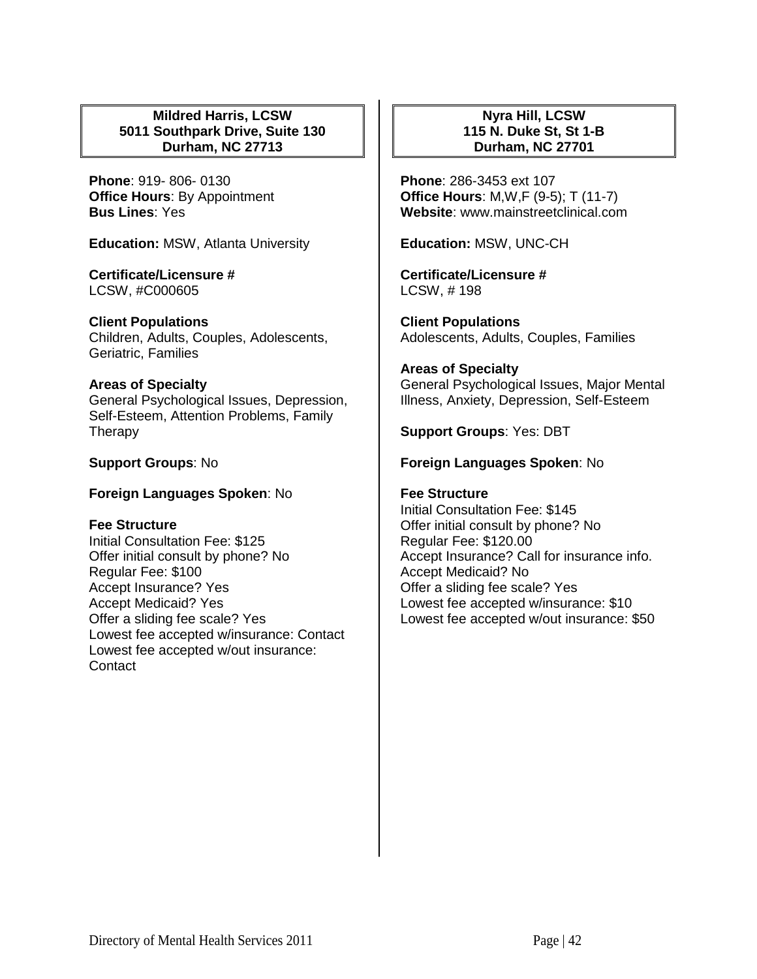## **Mildred Harris, LCSW 5011 Southpark Drive, Suite 130 Durham, NC 27713**

**Phone**: 919- 806- 0130 **Office Hours**: By Appointment **Bus Lines**: Yes

**Education:** MSW, Atlanta University

**Certificate/Licensure #** LCSW, #C000605

# **Client Populations**

Children, Adults, Couples, Adolescents, Geriatric, Families

## **Areas of Specialty**

General Psychological Issues, Depression, Self-Esteem, Attention Problems, Family **Therapy** 

**Support Groups**: No

**Foreign Languages Spoken**: No

# **Fee Structure**

Initial Consultation Fee: \$125 Offer initial consult by phone? No Regular Fee: \$100 Accept Insurance? Yes Accept Medicaid? Yes Offer a sliding fee scale? Yes Lowest fee accepted w/insurance: Contact Lowest fee accepted w/out insurance: **Contact** 

# **Nyra Hill, LCSW 115 N. Duke St, St 1-B Durham, NC 27701**

**Phone**: 286-3453 ext 107 **Office Hours**: M,W,F (9-5); T (11-7) **Website**: www.mainstreetclinical.com

**Education:** MSW, UNC-CH

**Certificate/Licensure #** LCSW, # 198

**Client Populations**  Adolescents, Adults, Couples, Families

## **Areas of Specialty**

General Psychological Issues, Major Mental Illness, Anxiety, Depression, Self-Esteem

**Support Groups**: Yes: DBT

# **Foreign Languages Spoken**: No

## **Fee Structure**

Initial Consultation Fee: \$145 Offer initial consult by phone? No Regular Fee: \$120.00 Accept Insurance? Call for insurance info. Accept Medicaid? No Offer a sliding fee scale? Yes Lowest fee accepted w/insurance: \$10 Lowest fee accepted w/out insurance: \$50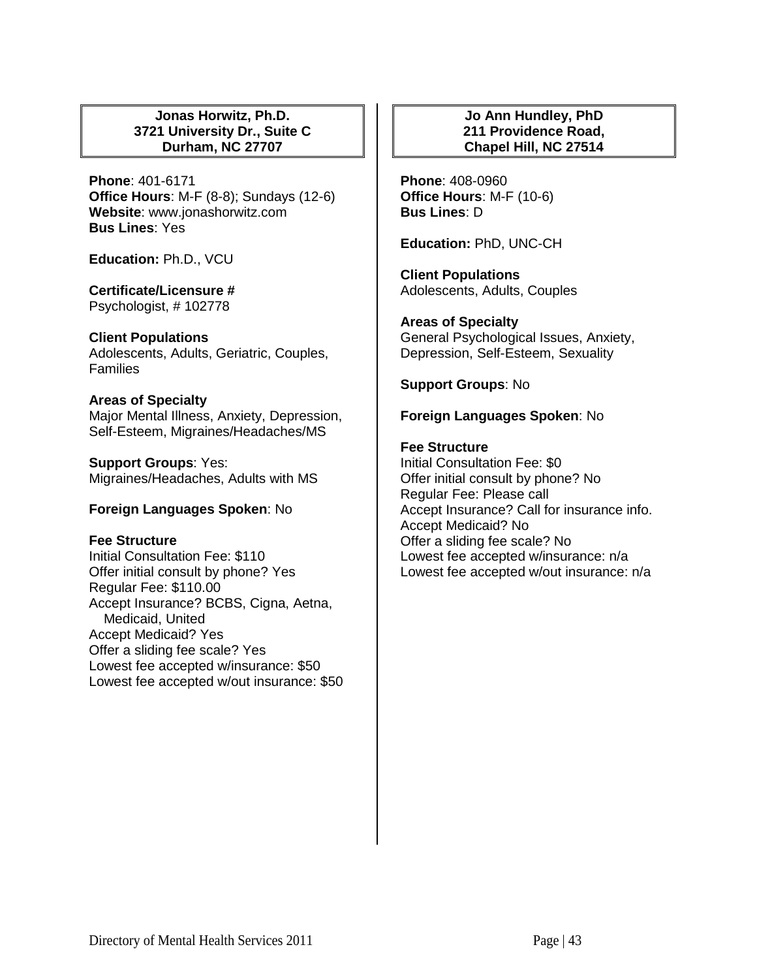## **Jonas Horwitz, Ph.D. 3721 University Dr., Suite C Durham, NC 27707**

**Phone**: 401-6171 **Office Hours**: M-F (8-8); Sundays (12-6) **Website**: www.jonashorwitz.com **Bus Lines**: Yes

**Education:** Ph.D., VCU

# **Certificate/Licensure #**

Psychologist, # 102778

# **Client Populations**

Adolescents, Adults, Geriatric, Couples, **Families** 

## **Areas of Specialty**

Major Mental Illness, Anxiety, Depression, Self-Esteem, Migraines/Headaches/MS

**Support Groups**: Yes: Migraines/Headaches, Adults with MS

# **Foreign Languages Spoken**: No

#### **Fee Structure**

Initial Consultation Fee: \$110 Offer initial consult by phone? Yes Regular Fee: \$110.00 Accept Insurance? BCBS, Cigna, Aetna, Medicaid, United Accept Medicaid? Yes Offer a sliding fee scale? Yes Lowest fee accepted w/insurance: \$50 Lowest fee accepted w/out insurance: \$50

# **Jo Ann Hundley, PhD 211 Providence Road, Chapel Hill, NC 27514**

**Phone**: 408-0960 **Office Hours**: M-F (10-6) **Bus Lines**: D

**Education:** PhD, UNC-CH

**Client Populations**  Adolescents, Adults, Couples

# **Areas of Specialty**

General Psychological Issues, Anxiety, Depression, Self-Esteem, Sexuality

**Support Groups**: No

## **Foreign Languages Spoken**: No

## **Fee Structure**

Initial Consultation Fee: \$0 Offer initial consult by phone? No Regular Fee: Please call Accept Insurance? Call for insurance info. Accept Medicaid? No Offer a sliding fee scale? No Lowest fee accepted w/insurance: n/a Lowest fee accepted w/out insurance: n/a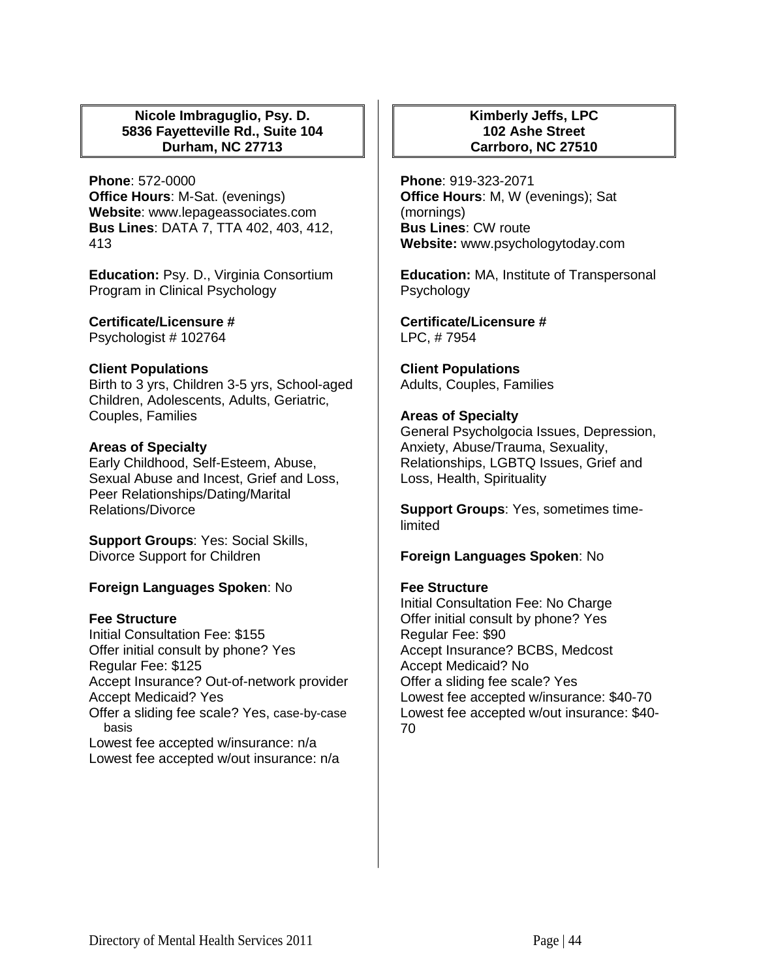## **Nicole Imbraguglio, Psy. D. 5836 Fayetteville Rd., Suite 104 Durham, NC 27713**

**Phone**: 572-0000 **Office Hours**: M-Sat. (evenings) **Website**: www.lepageassociates.com **Bus Lines**: DATA 7, TTA 402, 403, 412, 413

**Education:** Psy. D., Virginia Consortium Program in Clinical Psychology

**Certificate/Licensure #** Psychologist # 102764

#### **Client Populations**

Birth to 3 yrs, Children 3-5 yrs, School-aged Children, Adolescents, Adults, Geriatric, Couples, Families

#### **Areas of Specialty**

Early Childhood, Self-Esteem, Abuse, Sexual Abuse and Incest, Grief and Loss, Peer Relationships/Dating/Marital Relations/Divorce

**Support Groups**: Yes: Social Skills, Divorce Support for Children

# **Foreign Languages Spoken**: No

#### **Fee Structure**

Initial Consultation Fee: \$155 Offer initial consult by phone? Yes Regular Fee: \$125 Accept Insurance? Out-of-network provider Accept Medicaid? Yes Offer a sliding fee scale? Yes, case-by-case basis Lowest fee accepted w/insurance: n/a Lowest fee accepted w/out insurance: n/a

## **Kimberly Jeffs, LPC 102 Ashe Street Carrboro, NC 27510**

**Phone**: 919-323-2071 **Office Hours**: M, W (evenings); Sat (mornings) **Bus Lines**: CW route **Website:** www.psychologytoday.com

**Education:** MA, Institute of Transpersonal Psychology

**Certificate/Licensure #** LPC, # 7954

**Client Populations**  Adults, Couples, Families

#### **Areas of Specialty**

General Psycholgocia Issues, Depression, Anxiety, Abuse/Trauma, Sexuality, Relationships, LGBTQ Issues, Grief and Loss, Health, Spirituality

**Support Groups**: Yes, sometimes timelimited

**Foreign Languages Spoken**: No

#### **Fee Structure**

Initial Consultation Fee: No Charge Offer initial consult by phone? Yes Regular Fee: \$90 Accept Insurance? BCBS, Medcost Accept Medicaid? No Offer a sliding fee scale? Yes Lowest fee accepted w/insurance: \$40-70 Lowest fee accepted w/out insurance: \$40- 70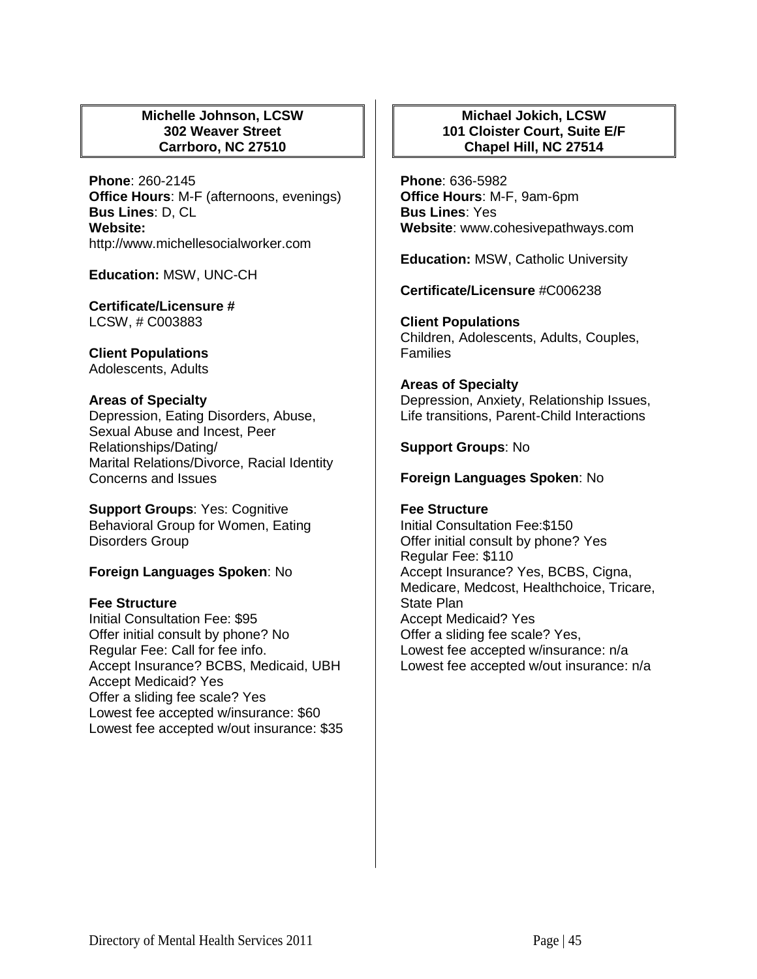# **Michelle Johnson, LCSW 302 Weaver Street Carrboro, NC 27510**

**Phone**: 260-2145 **Office Hours**: M-F (afternoons, evenings) **Bus Lines**: D, CL **Website:** http://www.michellesocialworker.com

**Education:** MSW, UNC-CH

**Certificate/Licensure #** LCSW, # C003883

**Client Populations**  Adolescents, Adults

## **Areas of Specialty**

Depression, Eating Disorders, Abuse, Sexual Abuse and Incest, Peer Relationships/Dating/ Marital Relations/Divorce, Racial Identity Concerns and Issues

**Support Groups**: Yes: Cognitive Behavioral Group for Women, Eating Disorders Group

# **Foreign Languages Spoken**: No

#### **Fee Structure**

Initial Consultation Fee: \$95 Offer initial consult by phone? No Regular Fee: Call for fee info. Accept Insurance? BCBS, Medicaid, UBH Accept Medicaid? Yes Offer a sliding fee scale? Yes Lowest fee accepted w/insurance: \$60 Lowest fee accepted w/out insurance: \$35

# **Michael Jokich, LCSW 101 Cloister Court, Suite E/F Chapel Hill, NC 27514**

**Phone**: 636-5982 **Office Hours**: M-F, 9am-6pm **Bus Lines**: Yes **Website**: www.cohesivepathways.com

**Education:** MSW, Catholic University

**Certificate/Licensure** #C006238

**Client Populations** Children, Adolescents, Adults, Couples, Families

**Areas of Specialty**  Depression, Anxiety, Relationship Issues, Life transitions, Parent-Child Interactions

#### **Support Groups**: No

#### **Foreign Languages Spoken**: No

# **Fee Structure**  Initial Consultation Fee:\$150 Offer initial consult by phone? Yes Regular Fee: \$110 Accept Insurance? Yes, BCBS, Cigna, Medicare, Medcost, Healthchoice, Tricare,

State Plan Accept Medicaid? Yes Offer a sliding fee scale? Yes, Lowest fee accepted w/insurance: n/a Lowest fee accepted w/out insurance: n/a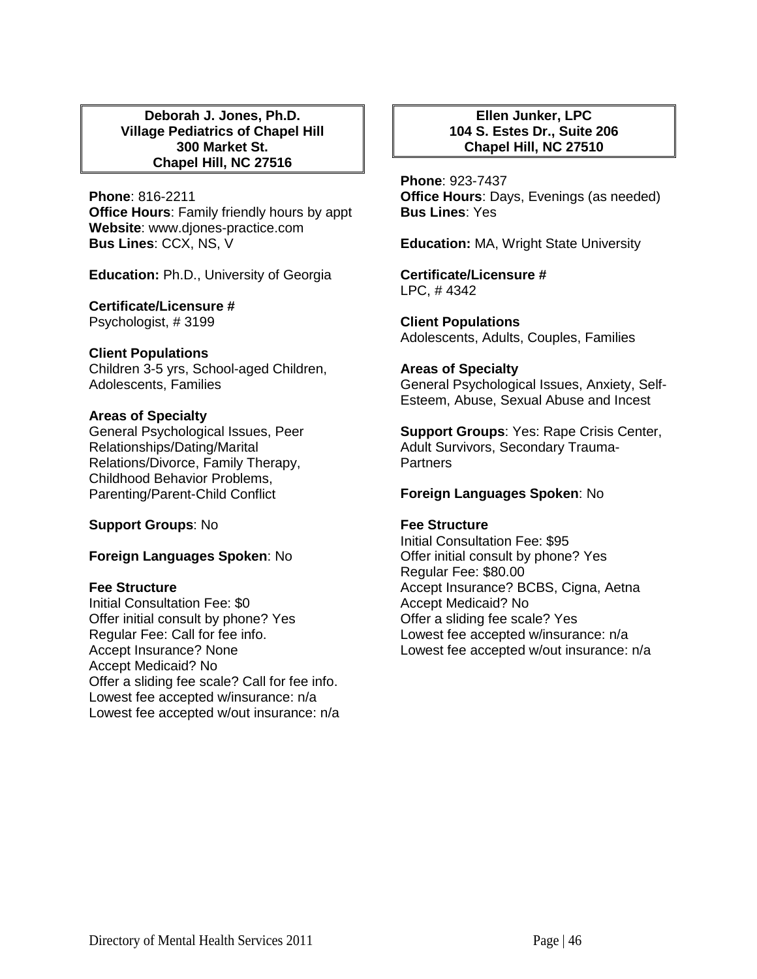#### **Deborah J. Jones, Ph.D. Village Pediatrics of Chapel Hill 300 Market St. Chapel Hill, NC 27516**

**Phone**: 816-2211 **Office Hours**: Family friendly hours by appt **Website**: www.djones-practice.com **Bus Lines**: CCX, NS, V

**Education:** Ph.D., University of Georgia

**Certificate/Licensure #** Psychologist, # 3199

**Client Populations**  Children 3-5 yrs, School-aged Children, Adolescents, Families

## **Areas of Specialty**

General Psychological Issues, Peer Relationships/Dating/Marital Relations/Divorce, Family Therapy, Childhood Behavior Problems, Parenting/Parent-Child Conflict

**Support Groups**: No

**Foreign Languages Spoken**: No

#### **Fee Structure**

Initial Consultation Fee: \$0 Offer initial consult by phone? Yes Regular Fee: Call for fee info. Accept Insurance? None Accept Medicaid? No Offer a sliding fee scale? Call for fee info. Lowest fee accepted w/insurance: n/a Lowest fee accepted w/out insurance: n/a

# **Ellen Junker, LPC 104 S. Estes Dr., Suite 206 Chapel Hill, NC 27510**

**Phone**: 923-7437 **Office Hours**: Days, Evenings (as needed) **Bus Lines**: Yes

**Education:** MA, Wright State University

**Certificate/Licensure #** LPC, # 4342

**Client Populations**  Adolescents, Adults, Couples, Families

#### **Areas of Specialty**

General Psychological Issues, Anxiety, Self-Esteem, Abuse, Sexual Abuse and Incest

**Support Groups**: Yes: Rape Crisis Center, Adult Survivors, Secondary Trauma-**Partners** 

# **Foreign Languages Spoken**: No

#### **Fee Structure**

Initial Consultation Fee: \$95 Offer initial consult by phone? Yes Regular Fee: \$80.00 Accept Insurance? BCBS, Cigna, Aetna Accept Medicaid? No Offer a sliding fee scale? Yes Lowest fee accepted w/insurance: n/a Lowest fee accepted w/out insurance: n/a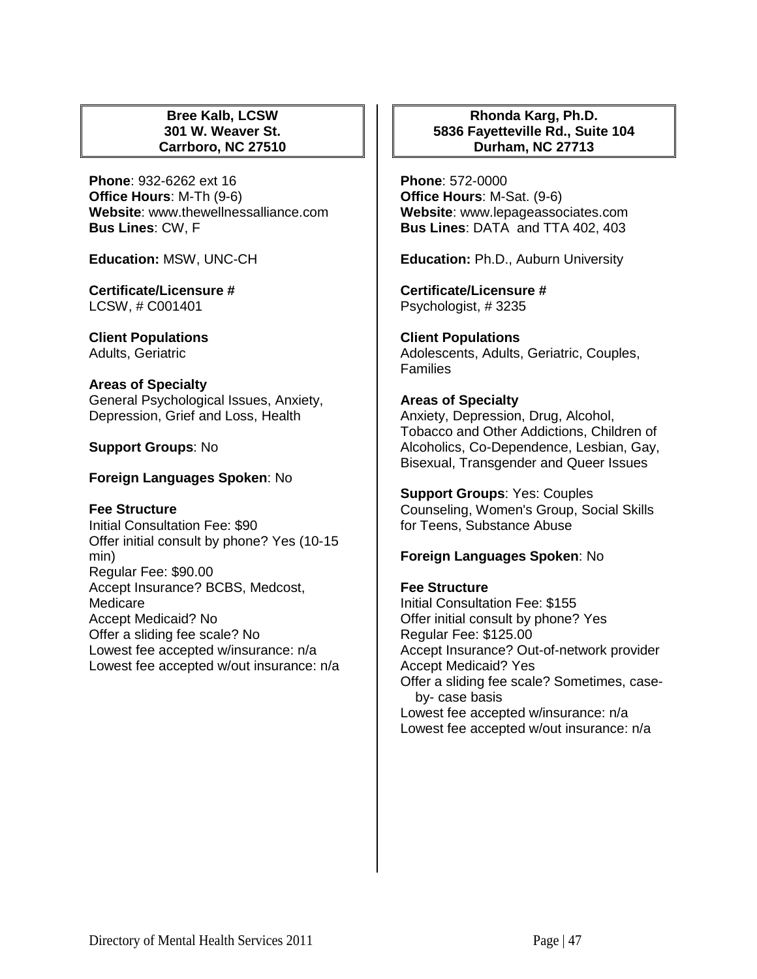## **Bree Kalb, LCSW 301 W. Weaver St. Carrboro, NC 27510**

**Phone**: 932-6262 ext 16 **Office Hours**: M-Th (9-6) **Website**: www.thewellnessalliance.com **Bus Lines**: CW, F

**Education:** MSW, UNC-CH

**Certificate/Licensure #** LCSW, # C001401

**Client Populations**  Adults, Geriatric

#### **Areas of Specialty**

General Psychological Issues, Anxiety, Depression, Grief and Loss, Health

**Support Groups**: No

**Foreign Languages Spoken**: No

# **Fee Structure**

Initial Consultation Fee: \$90 Offer initial consult by phone? Yes (10-15 min) Regular Fee: \$90.00 Accept Insurance? BCBS, Medcost, Medicare Accept Medicaid? No Offer a sliding fee scale? No Lowest fee accepted w/insurance: n/a Lowest fee accepted w/out insurance: n/a

# **Rhonda Karg, Ph.D. 5836 Fayetteville Rd., Suite 104 Durham, NC 27713**

**Phone**: 572-0000 **Office Hours**: M-Sat. (9-6) **Website**: www.lepageassociates.com **Bus Lines**: DATA and TTA 402, 403

**Education:** Ph.D., Auburn University

**Certificate/Licensure #** Psychologist, # 3235

**Client Populations**  Adolescents, Adults, Geriatric, Couples, **Families** 

# **Areas of Specialty**  Anxiety, Depression, Drug, Alcohol,

Tobacco and Other Addictions, Children of Alcoholics, Co-Dependence, Lesbian, Gay, Bisexual, Transgender and Queer Issues

**Support Groups**: Yes: Couples Counseling, Women's Group, Social Skills for Teens, Substance Abuse

# **Foreign Languages Spoken**: No

**Fee Structure**  Initial Consultation Fee: \$155 Offer initial consult by phone? Yes Regular Fee: \$125.00 Accept Insurance? Out-of-network provider Accept Medicaid? Yes Offer a sliding fee scale? Sometimes, caseby- case basis Lowest fee accepted w/insurance: n/a Lowest fee accepted w/out insurance: n/a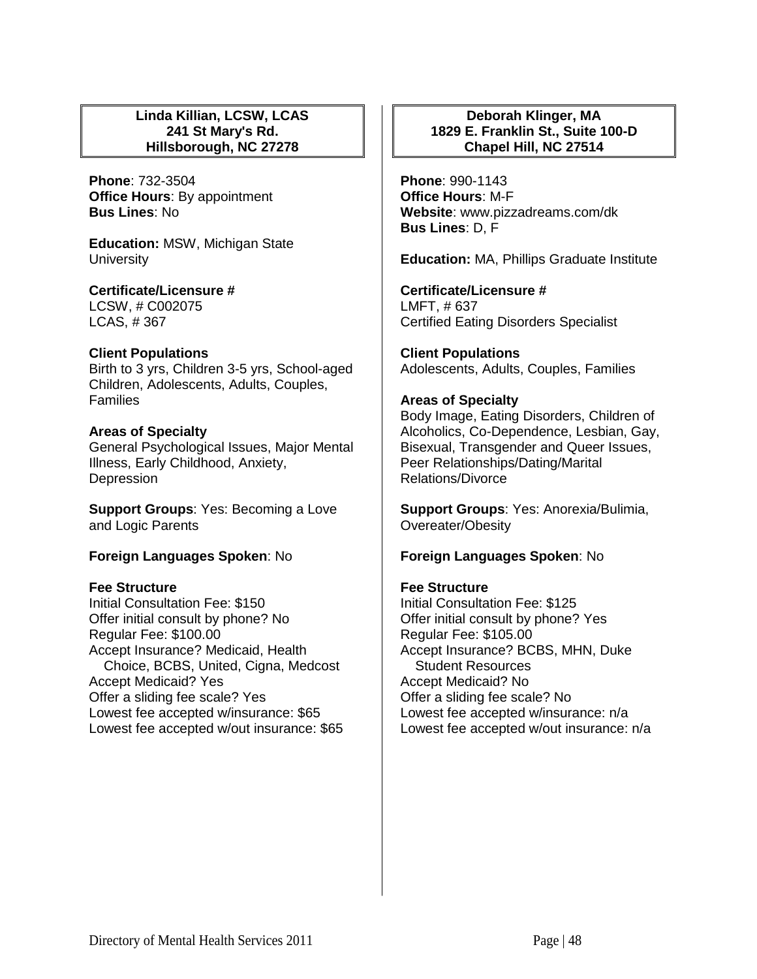## **Linda Killian, LCSW, LCAS 241 St Mary's Rd. Hillsborough, NC 27278**

**Phone**: 732-3504 **Office Hours**: By appointment **Bus Lines**: No

**Education:** MSW, Michigan State **University** 

**Certificate/Licensure #** LCSW, # C002075 LCAS, # 367

**Client Populations** 

Birth to 3 yrs, Children 3-5 yrs, School-aged Children, Adolescents, Adults, Couples, Families

# **Areas of Specialty**

General Psychological Issues, Major Mental Illness, Early Childhood, Anxiety, **Depression** 

**Support Groups**: Yes: Becoming a Love and Logic Parents

# **Foreign Languages Spoken**: No

# **Fee Structure**

Initial Consultation Fee: \$150 Offer initial consult by phone? No Regular Fee: \$100.00 Accept Insurance? Medicaid, Health Choice, BCBS, United, Cigna, Medcost Accept Medicaid? Yes Offer a sliding fee scale? Yes Lowest fee accepted w/insurance: \$65 Lowest fee accepted w/out insurance: \$65

# **Deborah Klinger, MA 1829 E. Franklin St., Suite 100-D Chapel Hill, NC 27514**

**Phone**: 990-1143 **Office Hours**: M-F **Website**: www.pizzadreams.com/dk **Bus Lines**: D, F

**Education:** MA, Phillips Graduate Institute

**Certificate/Licensure #** LMFT, # 637 Certified Eating Disorders Specialist

**Client Populations**  Adolescents, Adults, Couples, Families

# **Areas of Specialty**

Body Image, Eating Disorders, Children of Alcoholics, Co-Dependence, Lesbian, Gay, Bisexual, Transgender and Queer Issues, Peer Relationships/Dating/Marital Relations/Divorce

**Support Groups**: Yes: Anorexia/Bulimia, Overeater/Obesity

# **Foreign Languages Spoken**: No

# **Fee Structure**

Initial Consultation Fee: \$125 Offer initial consult by phone? Yes Regular Fee: \$105.00 Accept Insurance? BCBS, MHN, Duke Student Resources Accept Medicaid? No Offer a sliding fee scale? No Lowest fee accepted w/insurance: n/a Lowest fee accepted w/out insurance: n/a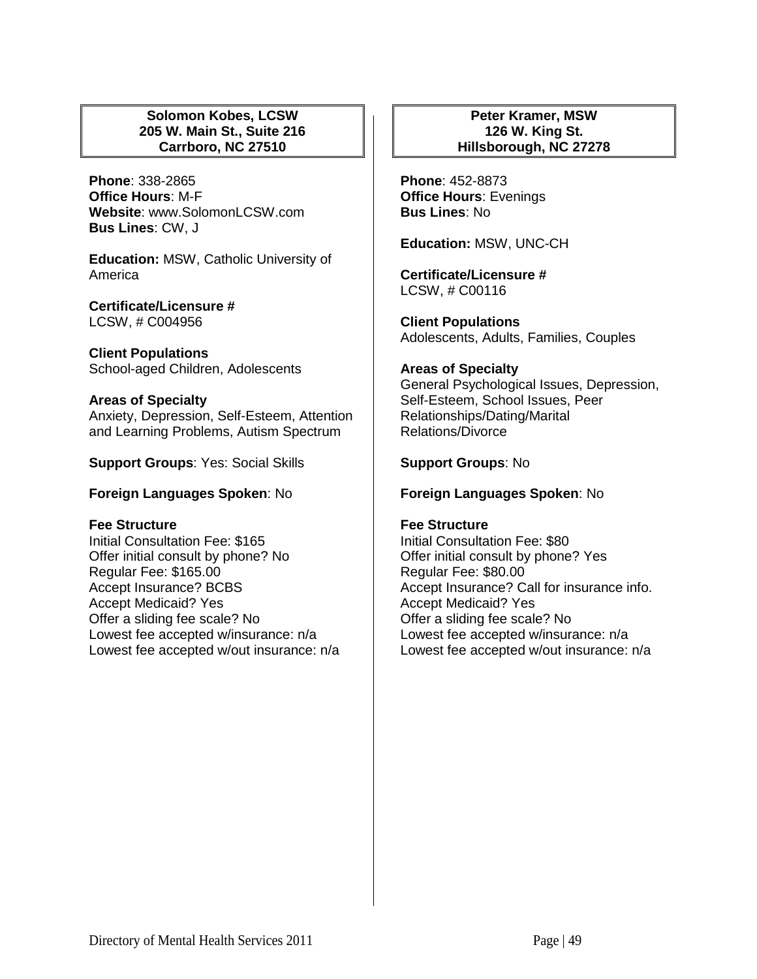# **Solomon Kobes, LCSW 205 W. Main St., Suite 216 Carrboro, NC 27510**

**Phone**: 338-2865 **Office Hours**: M-F **Website**: www.SolomonLCSW.com **Bus Lines**: CW, J

**Education:** MSW, Catholic University of America

**Certificate/Licensure #** LCSW, # C004956

**Client Populations**  School-aged Children, Adolescents

**Areas of Specialty**  Anxiety, Depression, Self-Esteem, Attention and Learning Problems, Autism Spectrum

**Support Groups**: Yes: Social Skills

**Foreign Languages Spoken**: No

#### **Fee Structure**

Initial Consultation Fee: \$165 Offer initial consult by phone? No Regular Fee: \$165.00 Accept Insurance? BCBS Accept Medicaid? Yes Offer a sliding fee scale? No Lowest fee accepted w/insurance: n/a Lowest fee accepted w/out insurance: n/a

**Peter Kramer, MSW 126 W. King St. Hillsborough, NC 27278**

**Phone**: 452-8873 **Office Hours**: Evenings **Bus Lines**: No

**Education:** MSW, UNC-CH

**Certificate/Licensure #** LCSW, # C00116

**Client Populations**  Adolescents, Adults, Families, Couples

#### **Areas of Specialty**

General Psychological Issues, Depression, Self-Esteem, School Issues, Peer Relationships/Dating/Marital Relations/Divorce

**Support Groups**: No

**Foreign Languages Spoken**: No

# **Fee Structure**

Initial Consultation Fee: \$80 Offer initial consult by phone? Yes Regular Fee: \$80.00 Accept Insurance? Call for insurance info. Accept Medicaid? Yes Offer a sliding fee scale? No Lowest fee accepted w/insurance: n/a Lowest fee accepted w/out insurance: n/a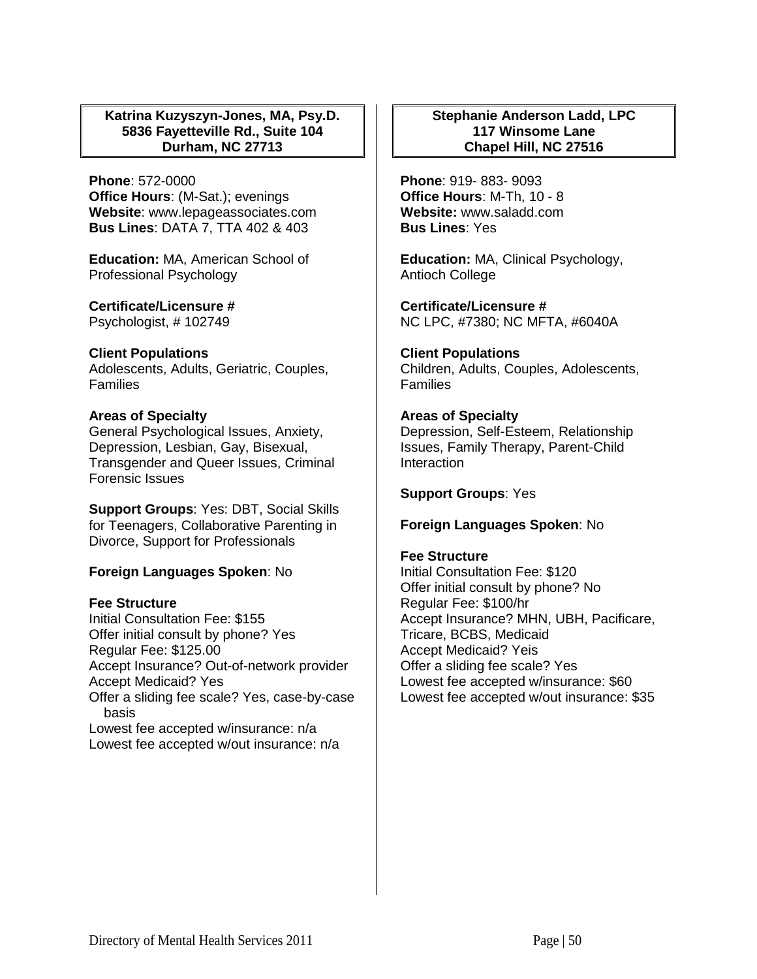# **Katrina Kuzyszyn-Jones, MA, Psy.D. 5836 Fayetteville Rd., Suite 104 Durham, NC 27713**

**Phone**: 572-0000 **Office Hours**: (M-Sat.); evenings **Website**: www.lepageassociates.com **Bus Lines**: DATA 7, TTA 402 & 403

**Education:** MA, American School of Professional Psychology

**Certificate/Licensure #** Psychologist, # 102749

**Client Populations**  Adolescents, Adults, Geriatric, Couples, Families

## **Areas of Specialty**

General Psychological Issues, Anxiety, Depression, Lesbian, Gay, Bisexual, Transgender and Queer Issues, Criminal Forensic Issues

**Support Groups**: Yes: DBT, Social Skills for Teenagers, Collaborative Parenting in Divorce, Support for Professionals

# **Foreign Languages Spoken**: No

#### **Fee Structure**

Initial Consultation Fee: \$155 Offer initial consult by phone? Yes Regular Fee: \$125.00 Accept Insurance? Out-of-network provider Accept Medicaid? Yes Offer a sliding fee scale? Yes, case-by-case basis Lowest fee accepted w/insurance: n/a Lowest fee accepted w/out insurance: n/a

## **Stephanie Anderson Ladd, LPC 117 Winsome Lane Chapel Hill, NC 27516**

**Phone**: 919- 883- 9093 **Office Hours**: M-Th, 10 - 8 **Website:** www.saladd.com **Bus Lines**: Yes

**Education:** MA, Clinical Psychology, Antioch College

**Certificate/Licensure #** NC LPC, #7380; NC MFTA, #6040A

**Client Populations**  Children, Adults, Couples, Adolescents, Families

# **Areas of Specialty**

Depression, Self-Esteem, Relationship Issues, Family Therapy, Parent-Child **Interaction** 

**Support Groups**: Yes

#### **Foreign Languages Spoken**: No

#### **Fee Structure**

Initial Consultation Fee: \$120 Offer initial consult by phone? No Regular Fee: \$100/hr Accept Insurance? MHN, UBH, Pacificare, Tricare, BCBS, Medicaid Accept Medicaid? Yeis Offer a sliding fee scale? Yes Lowest fee accepted w/insurance: \$60 Lowest fee accepted w/out insurance: \$35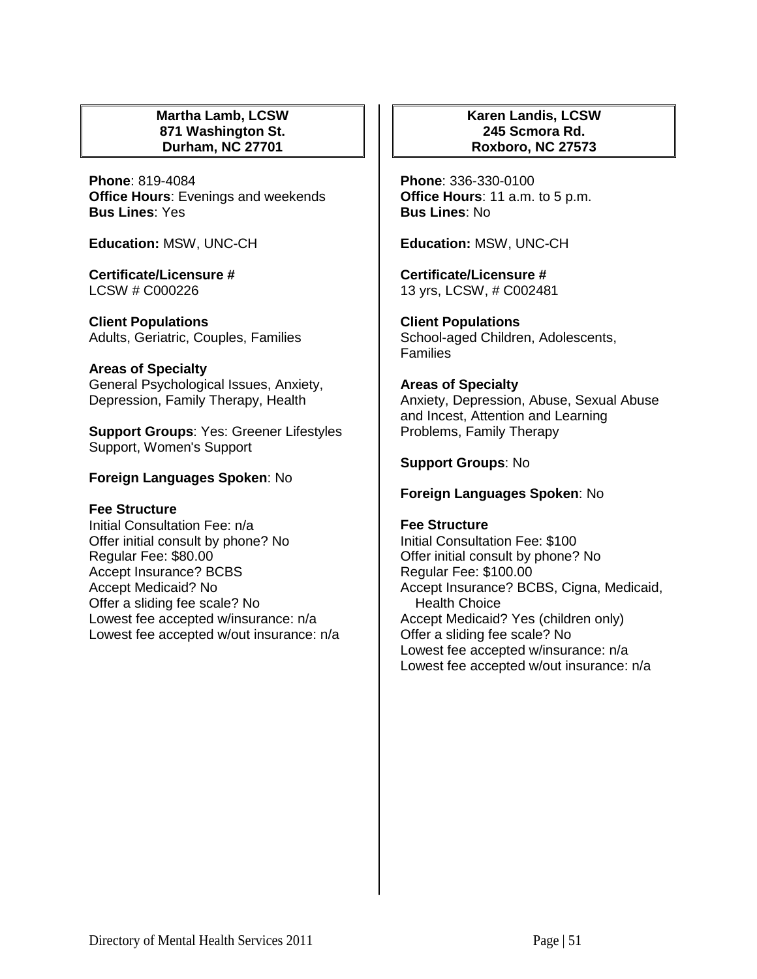## **Martha Lamb, LCSW 871 Washington St. Durham, NC 27701**

**Phone**: 819-4084 **Office Hours**: Evenings and weekends **Bus Lines**: Yes

**Education:** MSW, UNC-CH

**Certificate/Licensure #** LCSW # C000226

**Client Populations**  Adults, Geriatric, Couples, Families

# **Areas of Specialty**

General Psychological Issues, Anxiety, Depression, Family Therapy, Health

**Support Groups**: Yes: Greener Lifestyles Support, Women's Support

## **Foreign Languages Spoken**: No

#### **Fee Structure**

Initial Consultation Fee: n/a Offer initial consult by phone? No Regular Fee: \$80.00 Accept Insurance? BCBS Accept Medicaid? No Offer a sliding fee scale? No Lowest fee accepted w/insurance: n/a Lowest fee accepted w/out insurance: n/a

## **Karen Landis, LCSW 245 Scmora Rd. Roxboro, NC 27573**

**Phone**: 336-330-0100 **Office Hours**: 11 a.m. to 5 p.m. **Bus Lines**: No

**Education:** MSW, UNC-CH

**Certificate/Licensure #** 13 yrs, LCSW, # C002481

**Client Populations**  School-aged Children, Adolescents, **Families** 

## **Areas of Specialty**

Anxiety, Depression, Abuse, Sexual Abuse and Incest, Attention and Learning Problems, Family Therapy

## **Support Groups**: No

#### **Foreign Languages Spoken**: No

#### **Fee Structure**

Initial Consultation Fee: \$100 Offer initial consult by phone? No Regular Fee: \$100.00 Accept Insurance? BCBS, Cigna, Medicaid, Health Choice Accept Medicaid? Yes (children only) Offer a sliding fee scale? No Lowest fee accepted w/insurance: n/a Lowest fee accepted w/out insurance: n/a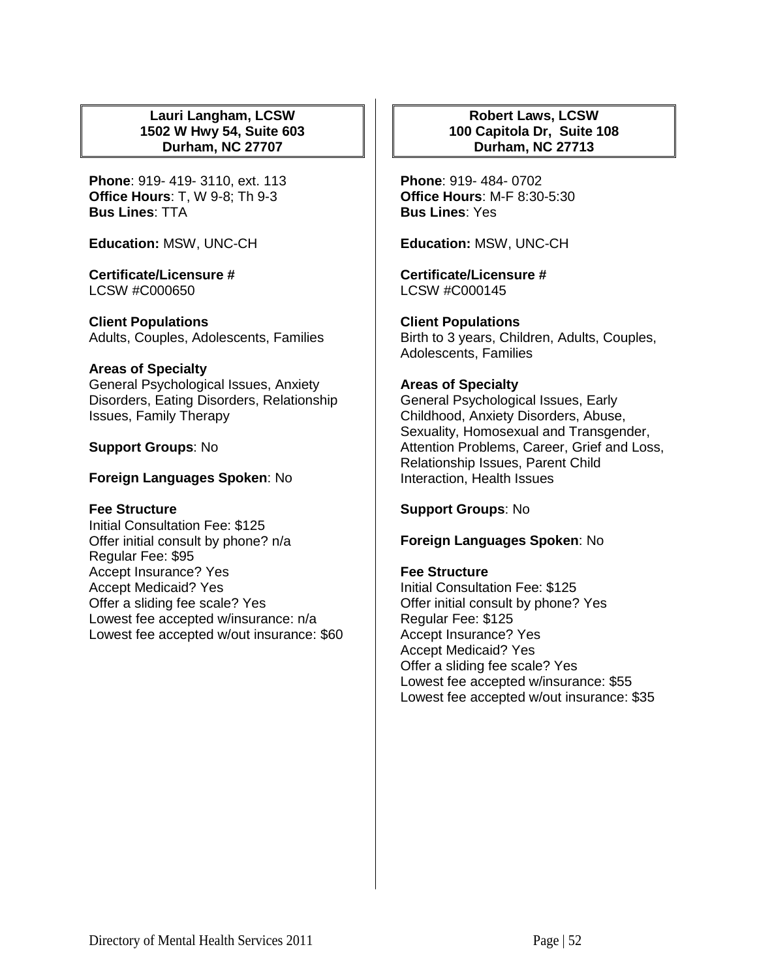## **Lauri Langham, LCSW 1502 W Hwy 54, Suite 603 Durham, NC 27707**

**Phone**: 919- 419- 3110, ext. 113 **Office Hours**: T, W 9-8; Th 9-3 **Bus Lines**: TTA

**Education:** MSW, UNC-CH

**Certificate/Licensure #** LCSW #C000650

**Client Populations**  Adults, Couples, Adolescents, Families

#### **Areas of Specialty**

General Psychological Issues, Anxiety Disorders, Eating Disorders, Relationship Issues, Family Therapy

## **Support Groups**: No

## **Foreign Languages Spoken**: No

# **Fee Structure**

Initial Consultation Fee: \$125 Offer initial consult by phone? n/a Regular Fee: \$95 Accept Insurance? Yes Accept Medicaid? Yes Offer a sliding fee scale? Yes Lowest fee accepted w/insurance: n/a Lowest fee accepted w/out insurance: \$60

# **Robert Laws, LCSW 100 Capitola Dr, Suite 108 Durham, NC 27713**

**Phone**: 919- 484- 0702 **Office Hours**: M-F 8:30-5:30 **Bus Lines**: Yes

**Education:** MSW, UNC-CH

**Certificate/Licensure #** LCSW #C000145

**Client Populations**  Birth to 3 years, Children, Adults, Couples, Adolescents, Families

# **Areas of Specialty**

General Psychological Issues, Early Childhood, Anxiety Disorders, Abuse, Sexuality, Homosexual and Transgender, Attention Problems, Career, Grief and Loss, Relationship Issues, Parent Child Interaction, Health Issues

**Support Groups**: No

**Foreign Languages Spoken**: No

# **Fee Structure**

Initial Consultation Fee: \$125 Offer initial consult by phone? Yes Regular Fee: \$125 Accept Insurance? Yes Accept Medicaid? Yes Offer a sliding fee scale? Yes Lowest fee accepted w/insurance: \$55 Lowest fee accepted w/out insurance: \$35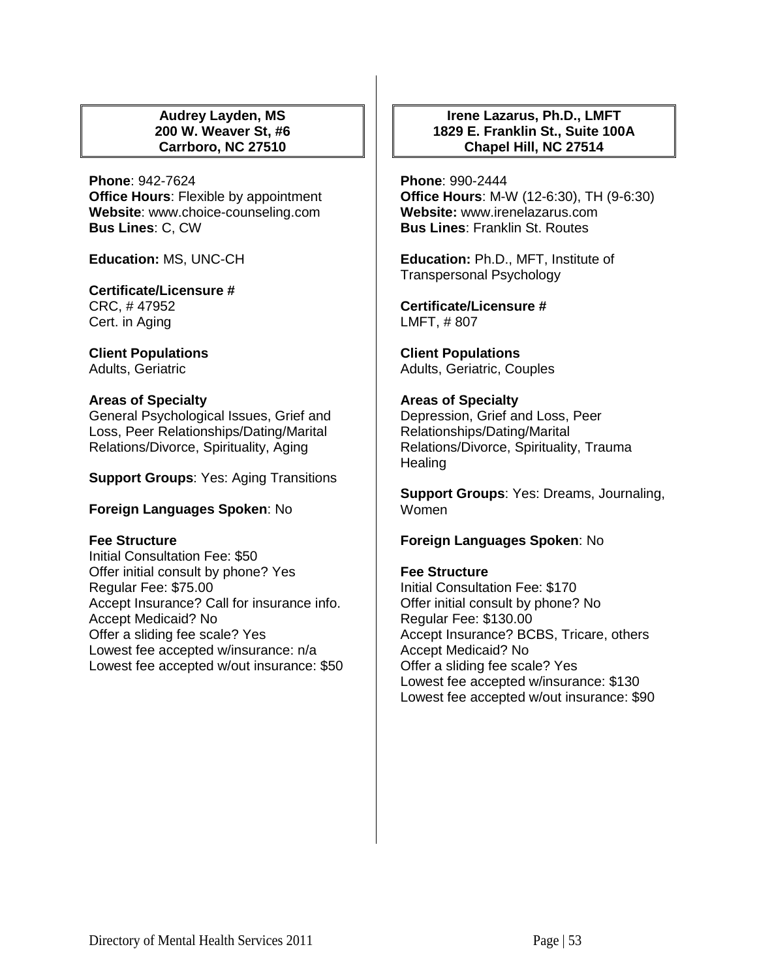### **Audrey Layden, MS 200 W. Weaver St, #6 Carrboro, NC 27510**

**Phone**: 942-7624 **Office Hours**: Flexible by appointment **Website**: www.choice-counseling.com **Bus Lines**: C, CW

**Education:** MS, UNC-CH

#### **Certificate/Licensure #** CRC, # 47952

Cert. in Aging

**Client Populations**  Adults, Geriatric

# **Areas of Specialty**

General Psychological Issues, Grief and Loss, Peer Relationships/Dating/Marital Relations/Divorce, Spirituality, Aging

**Support Groups**: Yes: Aging Transitions

# **Foreign Languages Spoken**: No

# **Fee Structure**

Initial Consultation Fee: \$50 Offer initial consult by phone? Yes Regular Fee: \$75.00 Accept Insurance? Call for insurance info. Accept Medicaid? No Offer a sliding fee scale? Yes Lowest fee accepted w/insurance: n/a Lowest fee accepted w/out insurance: \$50

# **Irene Lazarus, Ph.D., LMFT 1829 E. Franklin St., Suite 100A Chapel Hill, NC 27514**

**Phone**: 990-2444 **Office Hours**: M-W (12-6:30), TH (9-6:30) **Website:** www.irenelazarus.com **Bus Lines**: Franklin St. Routes

**Education:** Ph.D., MFT, Institute of Transpersonal Psychology

**Certificate/Licensure #** LMFT, # 807

**Client Populations**  Adults, Geriatric, Couples

# **Areas of Specialty**

Depression, Grief and Loss, Peer Relationships/Dating/Marital Relations/Divorce, Spirituality, Trauma **Healing** 

**Support Groups**: Yes: Dreams, Journaling, Women

# **Foreign Languages Spoken**: No

# **Fee Structure**

Initial Consultation Fee: \$170 Offer initial consult by phone? No Regular Fee: \$130.00 Accept Insurance? BCBS, Tricare, others Accept Medicaid? No Offer a sliding fee scale? Yes Lowest fee accepted w/insurance: \$130 Lowest fee accepted w/out insurance: \$90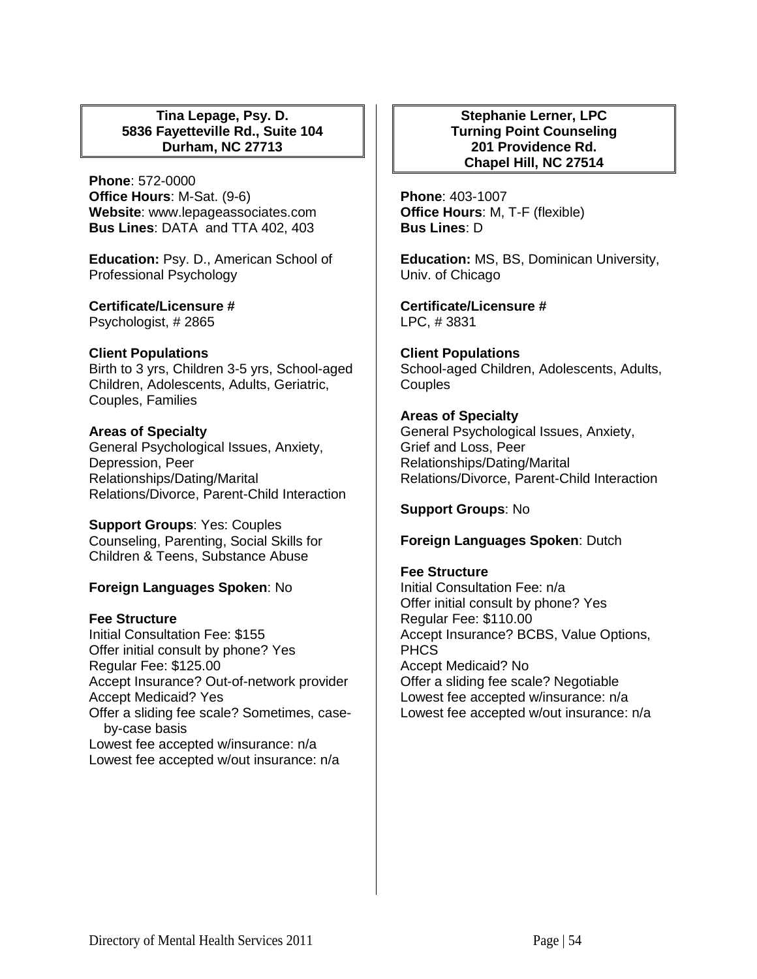## **Tina Lepage, Psy. D. 5836 Fayetteville Rd., Suite 104 Durham, NC 27713**

**Phone**: 572-0000 **Office Hours**: M-Sat. (9-6) **Website**: www.lepageassociates.com **Bus Lines**: DATA and TTA 402, 403

**Education:** Psy. D., American School of Professional Psychology

**Certificate/Licensure #** Psychologist, # 2865

## **Client Populations**

Birth to 3 yrs, Children 3-5 yrs, School-aged Children, Adolescents, Adults, Geriatric, Couples, Families

## **Areas of Specialty**

General Psychological Issues, Anxiety, Depression, Peer Relationships/Dating/Marital Relations/Divorce, Parent-Child Interaction

**Support Groups**: Yes: Couples Counseling, Parenting, Social Skills for Children & Teens, Substance Abuse

# **Foreign Languages Spoken**: No

# **Fee Structure**

Initial Consultation Fee: \$155 Offer initial consult by phone? Yes Regular Fee: \$125.00 Accept Insurance? Out-of-network provider Accept Medicaid? Yes Offer a sliding fee scale? Sometimes, caseby-case basis Lowest fee accepted w/insurance: n/a Lowest fee accepted w/out insurance: n/a

#### **Stephanie Lerner, LPC Turning Point Counseling 201 Providence Rd. Chapel Hill, NC 27514**

**Phone**: 403-1007 **Office Hours**: M, T-F (flexible) **Bus Lines**: D

**Education:** MS, BS, Dominican University, Univ. of Chicago

**Certificate/Licensure #** LPC, # 3831

**Client Populations**  School-aged Children, Adolescents, Adults, **Couples** 

# **Areas of Specialty**

General Psychological Issues, Anxiety, Grief and Loss, Peer Relationships/Dating/Marital Relations/Divorce, Parent-Child Interaction

**Support Groups**: No

**Foreign Languages Spoken**: Dutch

# **Fee Structure**

Initial Consultation Fee: n/a Offer initial consult by phone? Yes Regular Fee: \$110.00 Accept Insurance? BCBS, Value Options, **PHCS** Accept Medicaid? No Offer a sliding fee scale? Negotiable Lowest fee accepted w/insurance: n/a Lowest fee accepted w/out insurance: n/a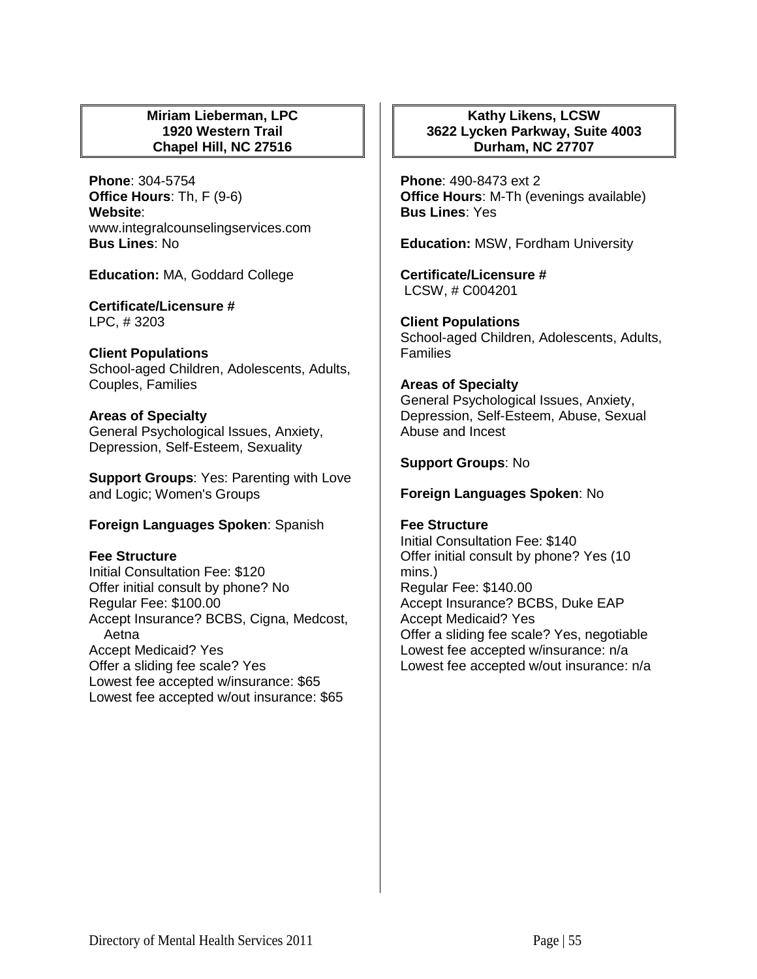## **Miriam Lieberman, LPC 1920 Western Trail Chapel Hill, NC 27516**

**Phone**: 304-5754 **Office Hours**: Th, F (9-6) **Website**: www.integralcounselingservices.com **Bus Lines**: No

**Education:** MA, Goddard College

**Certificate/Licensure #** LPC, # 3203

**Client Populations**  School-aged Children, Adolescents, Adults, Couples, Families

**Areas of Specialty**  General Psychological Issues, Anxiety, Depression, Self-Esteem, Sexuality

**Support Groups**: Yes: Parenting with Love and Logic; Women's Groups

#### **Foreign Languages Spoken**: Spanish

#### **Fee Structure**

Initial Consultation Fee: \$120 Offer initial consult by phone? No Regular Fee: \$100.00 Accept Insurance? BCBS, Cigna, Medcost, Aetna Accept Medicaid? Yes Offer a sliding fee scale? Yes Lowest fee accepted w/insurance: \$65 Lowest fee accepted w/out insurance: \$65

# **Kathy Likens, LCSW 3622 Lycken Parkway, Suite 4003 Durham, NC 27707**

**Phone**: 490-8473 ext 2 **Office Hours**: M-Th (evenings available) **Bus Lines**: Yes

**Education:** MSW, Fordham University

**Certificate/Licensure #** LCSW, # C004201

**Client Populations**  School-aged Children, Adolescents, Adults, **Families** 

**Areas of Specialty**  General Psychological Issues, Anxiety,

Depression, Self-Esteem, Abuse, Sexual Abuse and Incest

**Support Groups**: No

**Foreign Languages Spoken**: No

**Fee Structure**  Initial Consultation Fee: \$140 Offer initial consult by phone? Yes (10 mins.) Regular Fee: \$140.00 Accept Insurance? BCBS, Duke EAP Accept Medicaid? Yes Offer a sliding fee scale? Yes, negotiable Lowest fee accepted w/insurance: n/a Lowest fee accepted w/out insurance: n/a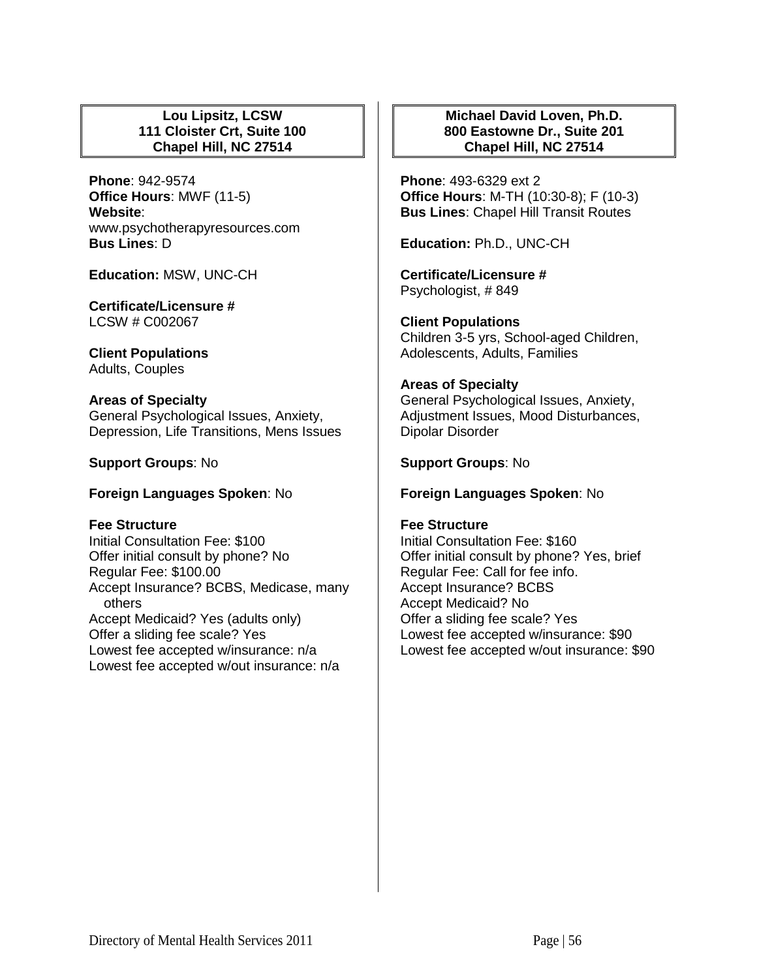## **Lou Lipsitz, LCSW 111 Cloister Crt, Suite 100 Chapel Hill, NC 27514**

**Phone**: 942-9574 **Office Hours**: MWF (11-5) **Website**: www.psychotherapyresources.com **Bus Lines**: D

**Education:** MSW, UNC-CH

**Certificate/Licensure #** LCSW # C002067

**Client Populations**  Adults, Couples

**Areas of Specialty**  General Psychological Issues, Anxiety, Depression, Life Transitions, Mens Issues

**Support Groups**: No

**Foreign Languages Spoken**: No

#### **Fee Structure**

Initial Consultation Fee: \$100 Offer initial consult by phone? No Regular Fee: \$100.00 Accept Insurance? BCBS, Medicase, many others Accept Medicaid? Yes (adults only) Offer a sliding fee scale? Yes Lowest fee accepted w/insurance: n/a Lowest fee accepted w/out insurance: n/a

# **Michael David Loven, Ph.D. 800 Eastowne Dr., Suite 201 Chapel Hill, NC 27514**

**Phone**: 493-6329 ext 2 **Office Hours**: M-TH (10:30-8); F (10-3) **Bus Lines**: Chapel Hill Transit Routes

**Education:** Ph.D., UNC-CH

**Certificate/Licensure #** Psychologist, # 849

**Client Populations**  Children 3-5 yrs, School-aged Children, Adolescents, Adults, Families

# **Areas of Specialty**

General Psychological Issues, Anxiety, Adjustment Issues, Mood Disturbances, Dipolar Disorder

**Support Groups**: No

**Foreign Languages Spoken**: No

# **Fee Structure**

Initial Consultation Fee: \$160 Offer initial consult by phone? Yes, brief Regular Fee: Call for fee info. Accept Insurance? BCBS Accept Medicaid? No Offer a sliding fee scale? Yes Lowest fee accepted w/insurance: \$90 Lowest fee accepted w/out insurance: \$90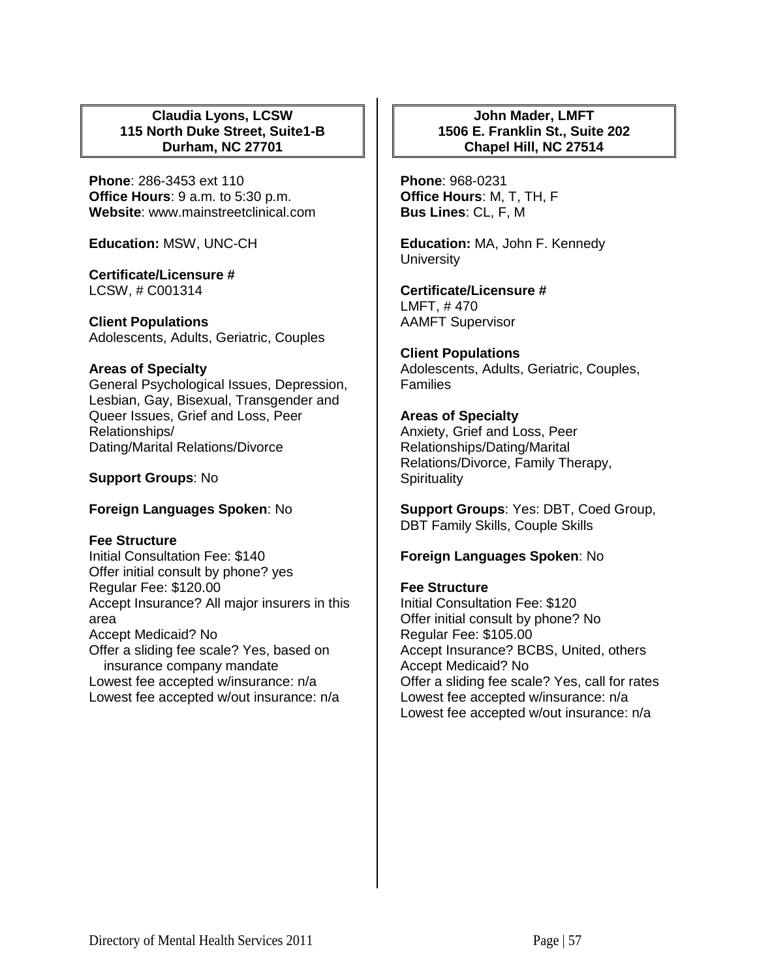## **Claudia Lyons, LCSW 115 North Duke Street, Suite1-B Durham, NC 27701**

**Phone**: 286-3453 ext 110 **Office Hours**: 9 a.m. to 5:30 p.m. **Website**: www.mainstreetclinical.com

**Education:** MSW, UNC-CH

**Certificate/Licensure #** LCSW, # C001314

**Client Populations**  Adolescents, Adults, Geriatric, Couples

## **Areas of Specialty**

General Psychological Issues, Depression, Lesbian, Gay, Bisexual, Transgender and Queer Issues, Grief and Loss, Peer Relationships/ Dating/Marital Relations/Divorce

## **Support Groups**: No

# **Foreign Languages Spoken**: No

#### **Fee Structure**

Initial Consultation Fee: \$140 Offer initial consult by phone? yes Regular Fee: \$120.00 Accept Insurance? All major insurers in this area Accept Medicaid? No Offer a sliding fee scale? Yes, based on insurance company mandate Lowest fee accepted w/insurance: n/a Lowest fee accepted w/out insurance: n/a

# **John Mader, LMFT 1506 E. Franklin St., Suite 202 Chapel Hill, NC 27514**

**Phone**: 968-0231 **Office Hours**: M, T, TH, F **Bus Lines**: CL, F, M

**Education:** MA, John F. Kennedy **University** 

**Certificate/Licensure #** LMFT, # 470 AAMFT Supervisor

# **Client Populations**

Adolescents, Adults, Geriatric, Couples, **Families** 

## **Areas of Specialty**

Anxiety, Grief and Loss, Peer Relationships/Dating/Marital Relations/Divorce, Family Therapy, **Spirituality** 

**Support Groups**: Yes: DBT, Coed Group, DBT Family Skills, Couple Skills

# **Foreign Languages Spoken**: No

#### **Fee Structure**

Initial Consultation Fee: \$120 Offer initial consult by phone? No Regular Fee: \$105.00 Accept Insurance? BCBS, United, others Accept Medicaid? No Offer a sliding fee scale? Yes, call for rates Lowest fee accepted w/insurance: n/a Lowest fee accepted w/out insurance: n/a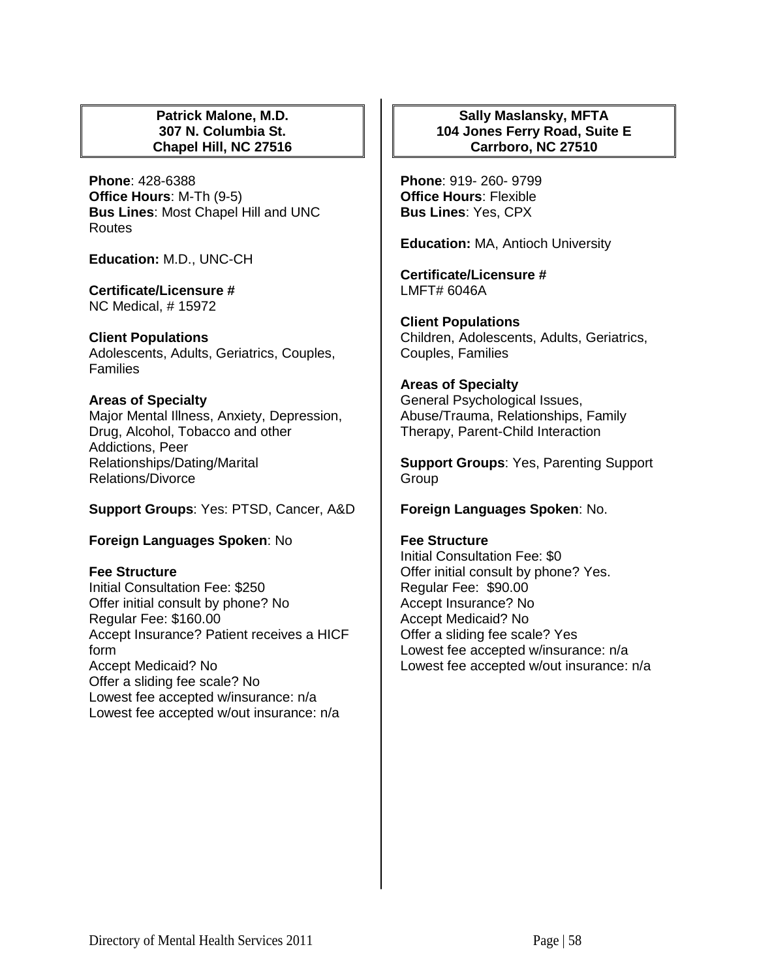#### **Patrick Malone, M.D. 307 N. Columbia St. Chapel Hill, NC 27516**

**Phone**: 428-6388 **Office Hours**: M-Th (9-5) **Bus Lines**: Most Chapel Hill and UNC Routes

**Education:** M.D., UNC-CH

**Certificate/Licensure #** NC Medical, # 15972

## **Client Populations**

Adolescents, Adults, Geriatrics, Couples, **Families** 

# **Areas of Specialty**

Major Mental Illness, Anxiety, Depression, Drug, Alcohol, Tobacco and other Addictions, Peer Relationships/Dating/Marital Relations/Divorce

# **Support Groups**: Yes: PTSD, Cancer, A&D

# **Foreign Languages Spoken**: No

# **Fee Structure**

Initial Consultation Fee: \$250 Offer initial consult by phone? No Regular Fee: \$160.00 Accept Insurance? Patient receives a HICF form Accept Medicaid? No Offer a sliding fee scale? No Lowest fee accepted w/insurance: n/a Lowest fee accepted w/out insurance: n/a

# **Sally Maslansky, MFTA 104 Jones Ferry Road, Suite E Carrboro, NC 27510**

**Phone**: 919- 260- 9799 **Office Hours**: Flexible **Bus Lines**: Yes, CPX

**Education:** MA, Antioch University

**Certificate/Licensure #** LMFT# 6046A

**Client Populations**  Children, Adolescents, Adults, Geriatrics, Couples, Families

## **Areas of Specialty**

General Psychological Issues, Abuse/Trauma, Relationships, Family Therapy, Parent-Child Interaction

**Support Groups**: Yes, Parenting Support Group

# **Foreign Languages Spoken**: No.

#### **Fee Structure**

Initial Consultation Fee: \$0 Offer initial consult by phone? Yes. Regular Fee: \$90.00 Accept Insurance? No Accept Medicaid? No Offer a sliding fee scale? Yes Lowest fee accepted w/insurance: n/a Lowest fee accepted w/out insurance: n/a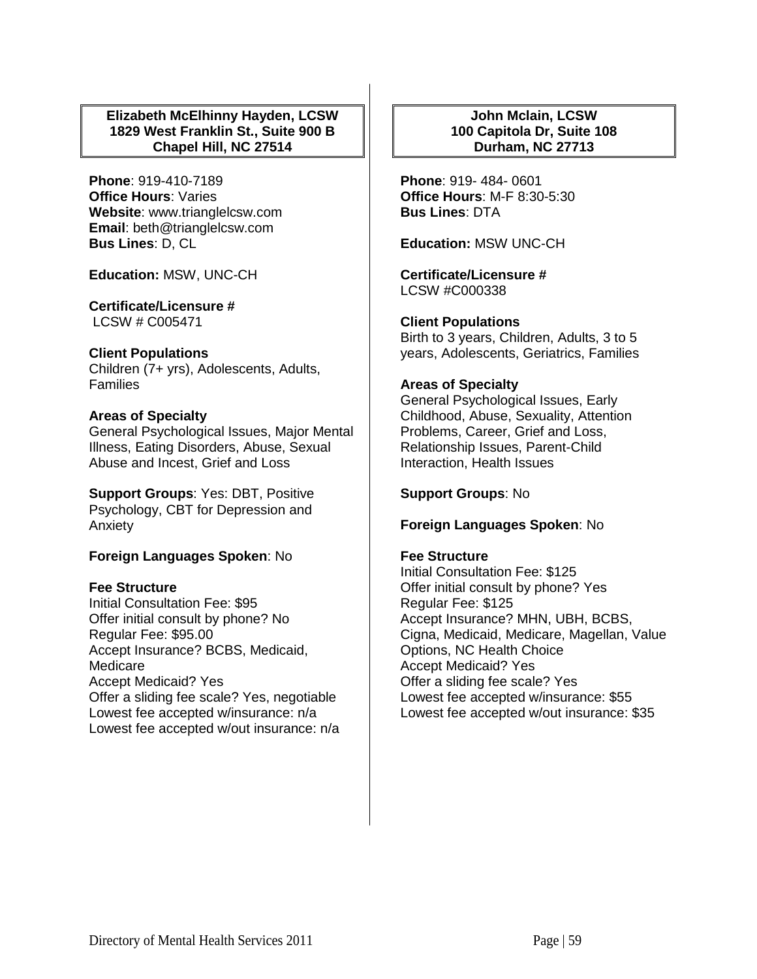# **Elizabeth McElhinny Hayden, LCSW 1829 West Franklin St., Suite 900 B Chapel Hill, NC 27514**

**Phone**: 919-410-7189 **Office Hours**: Varies **Website**: www.trianglelcsw.com **Email**: beth@trianglelcsw.com **Bus Lines**: D, CL

**Education:** MSW, UNC-CH

**Certificate/Licensure #** LCSW # C005471

## **Client Populations**

Children (7+ yrs), Adolescents, Adults, **Families** 

## **Areas of Specialty**

General Psychological Issues, Major Mental Illness, Eating Disorders, Abuse, Sexual Abuse and Incest, Grief and Loss

**Support Groups**: Yes: DBT, Positive Psychology, CBT for Depression and Anxiety

# **Foreign Languages Spoken**: No

#### **Fee Structure**

Initial Consultation Fee: \$95 Offer initial consult by phone? No Regular Fee: \$95.00 Accept Insurance? BCBS, Medicaid, Medicare Accept Medicaid? Yes Offer a sliding fee scale? Yes, negotiable Lowest fee accepted w/insurance: n/a Lowest fee accepted w/out insurance: n/a

# **John Mclain, LCSW 100 Capitola Dr, Suite 108 Durham, NC 27713**

**Phone**: 919- 484- 0601 **Office Hours**: M-F 8:30-5:30 **Bus Lines**: DTA

**Education:** MSW UNC-CH

**Certificate/Licensure #** LCSW #C000338

# **Client Populations**

Birth to 3 years, Children, Adults, 3 to 5 years, Adolescents, Geriatrics, Families

## **Areas of Specialty**

General Psychological Issues, Early Childhood, Abuse, Sexuality, Attention Problems, Career, Grief and Loss, Relationship Issues, Parent-Child Interaction, Health Issues

**Support Groups**: No

#### **Foreign Languages Spoken**: No

#### **Fee Structure**

Initial Consultation Fee: \$125 Offer initial consult by phone? Yes Regular Fee: \$125 Accept Insurance? MHN, UBH, BCBS, Cigna, Medicaid, Medicare, Magellan, Value Options, NC Health Choice Accept Medicaid? Yes Offer a sliding fee scale? Yes Lowest fee accepted w/insurance: \$55 Lowest fee accepted w/out insurance: \$35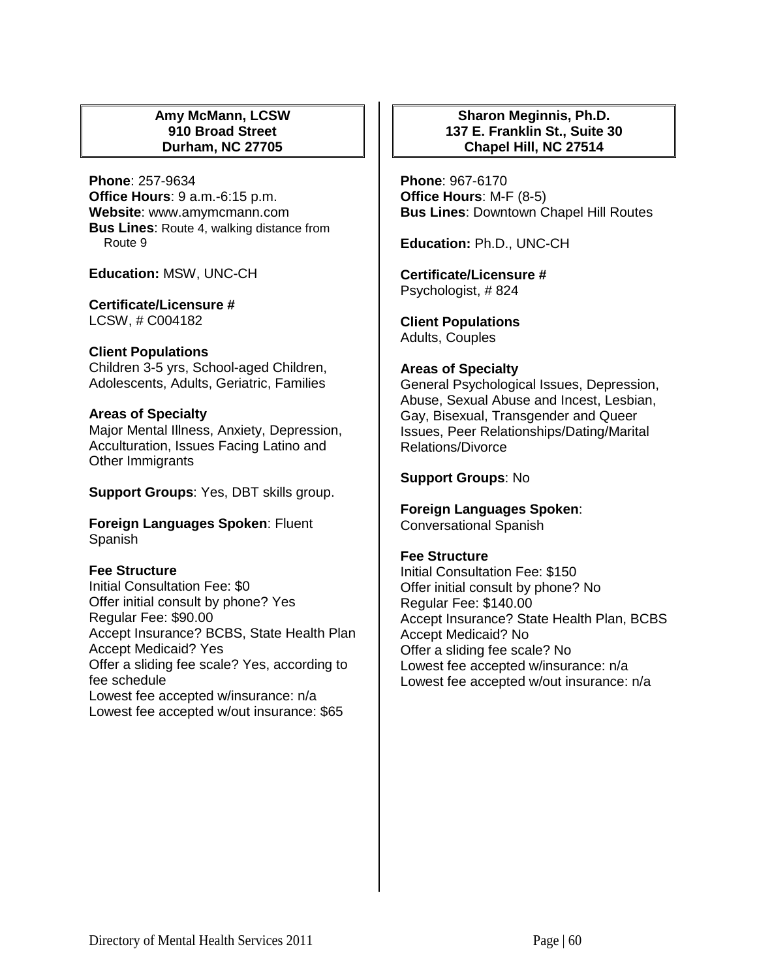# **Amy McMann, LCSW 910 Broad Street Durham, NC 27705**

**Phone**: 257-9634 **Office Hours**: 9 a.m.-6:15 p.m. **Website**: www.amymcmann.com **Bus Lines**: Route 4, walking distance from Route 9

**Education:** MSW, UNC-CH

**Certificate/Licensure #** LCSW, # C004182

**Client Populations**  Children 3-5 yrs, School-aged Children, Adolescents, Adults, Geriatric, Families

#### **Areas of Specialty**

Major Mental Illness, Anxiety, Depression, Acculturation, Issues Facing Latino and Other Immigrants

**Support Groups**: Yes, DBT skills group.

**Foreign Languages Spoken**: Fluent Spanish

# **Fee Structure**

Initial Consultation Fee: \$0 Offer initial consult by phone? Yes Regular Fee: \$90.00 Accept Insurance? BCBS, State Health Plan Accept Medicaid? Yes Offer a sliding fee scale? Yes, according to fee schedule Lowest fee accepted w/insurance: n/a Lowest fee accepted w/out insurance: \$65

# **Sharon Meginnis, Ph.D. 137 E. Franklin St., Suite 30 Chapel Hill, NC 27514**

**Phone**: 967-6170 **Office Hours**: M-F (8-5) **Bus Lines**: Downtown Chapel Hill Routes

**Education:** Ph.D., UNC-CH

**Certificate/Licensure #** Psychologist, # 824

**Client Populations**  Adults, Couples

## **Areas of Specialty**

General Psychological Issues, Depression, Abuse, Sexual Abuse and Incest, Lesbian, Gay, Bisexual, Transgender and Queer Issues, Peer Relationships/Dating/Marital Relations/Divorce

## **Support Groups**: No

# **Foreign Languages Spoken**:

Conversational Spanish

#### **Fee Structure**

Initial Consultation Fee: \$150 Offer initial consult by phone? No Regular Fee: \$140.00 Accept Insurance? State Health Plan, BCBS Accept Medicaid? No Offer a sliding fee scale? No Lowest fee accepted w/insurance: n/a Lowest fee accepted w/out insurance: n/a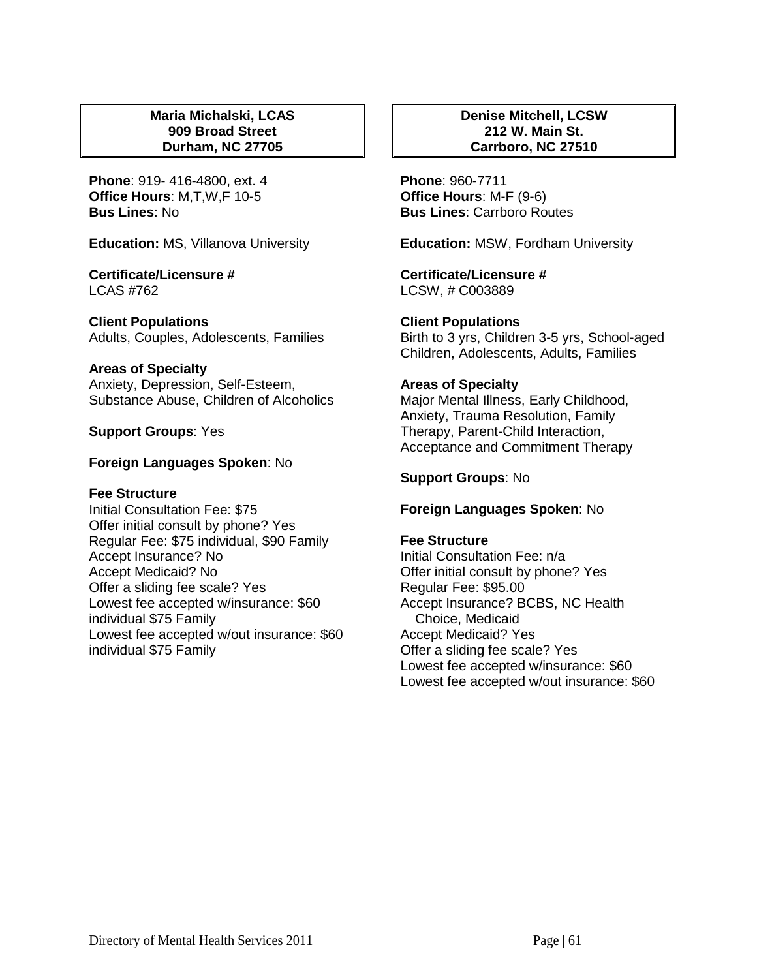## **Maria Michalski, LCAS 909 Broad Street Durham, NC 27705**

**Phone**: 919- 416-4800, ext. 4 **Office Hours**: M,T,W,F 10-5 **Bus Lines**: No

**Education:** MS, Villanova University

**Certificate/Licensure #** LCAS #762

**Client Populations**  Adults, Couples, Adolescents, Families

# **Areas of Specialty**

Anxiety, Depression, Self-Esteem, Substance Abuse, Children of Alcoholics

**Support Groups**: Yes

# **Foreign Languages Spoken**: No

# **Fee Structure**

Initial Consultation Fee: \$75 Offer initial consult by phone? Yes Regular Fee: \$75 individual, \$90 Family Accept Insurance? No Accept Medicaid? No Offer a sliding fee scale? Yes Lowest fee accepted w/insurance: \$60 individual \$75 Family Lowest fee accepted w/out insurance: \$60 individual \$75 Family

## **Denise Mitchell, LCSW 212 W. Main St. Carrboro, NC 27510**

**Phone**: 960-7711 **Office Hours**: M-F (9-6) **Bus Lines**: Carrboro Routes

**Education:** MSW, Fordham University

**Certificate/Licensure #** LCSW, # C003889

**Client Populations**  Birth to 3 yrs, Children 3-5 yrs, School-aged Children, Adolescents, Adults, Families

# **Areas of Specialty**

Major Mental Illness, Early Childhood, Anxiety, Trauma Resolution, Family Therapy, Parent-Child Interaction, Acceptance and Commitment Therapy

**Support Groups**: No

# **Foreign Languages Spoken**: No

## **Fee Structure**

Initial Consultation Fee: n/a Offer initial consult by phone? Yes Regular Fee: \$95.00 Accept Insurance? BCBS, NC Health Choice, Medicaid Accept Medicaid? Yes Offer a sliding fee scale? Yes Lowest fee accepted w/insurance: \$60 Lowest fee accepted w/out insurance: \$60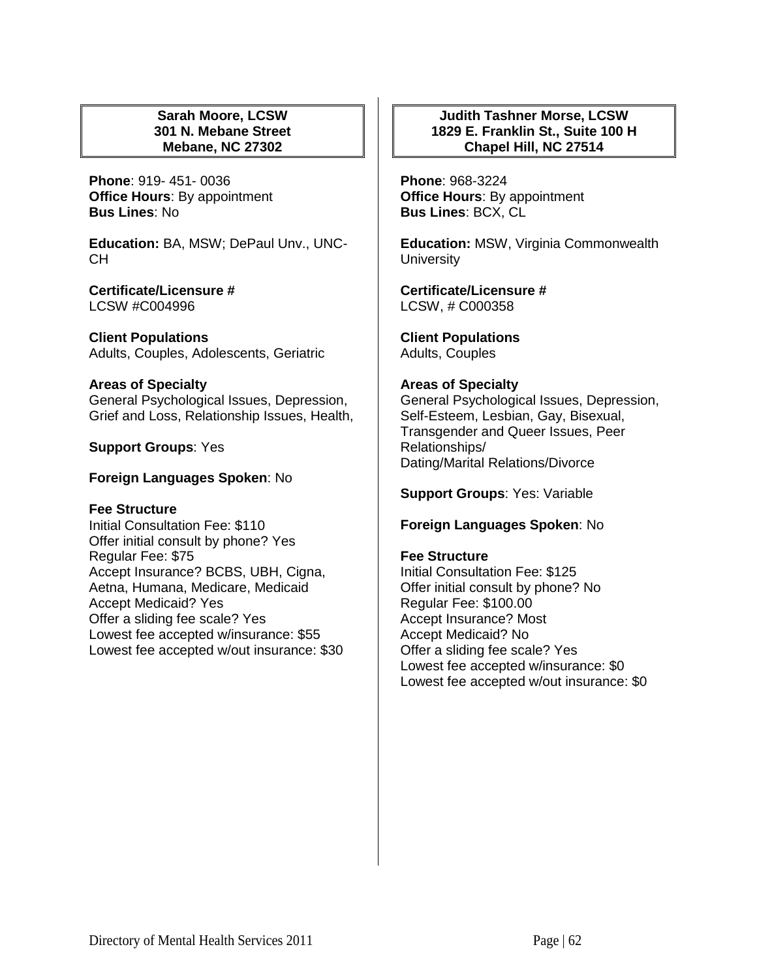## **Sarah Moore, LCSW 301 N. Mebane Street Mebane, NC 27302**

**Phone**: 919- 451- 0036 **Office Hours**: By appointment **Bus Lines**: No

**Education:** BA, MSW; DePaul Unv., UNC-CH

**Certificate/Licensure #** LCSW #C004996

**Client Populations**  Adults, Couples, Adolescents, Geriatric

#### **Areas of Specialty**  General Psychological Issues, Depression, Grief and Loss, Relationship Issues, Health,

**Support Groups**: Yes

## **Foreign Languages Spoken**: No

#### **Fee Structure**

Initial Consultation Fee: \$110 Offer initial consult by phone? Yes Regular Fee: \$75 Accept Insurance? BCBS, UBH, Cigna, Aetna, Humana, Medicare, Medicaid Accept Medicaid? Yes Offer a sliding fee scale? Yes Lowest fee accepted w/insurance: \$55 Lowest fee accepted w/out insurance: \$30

# **Judith Tashner Morse, LCSW 1829 E. Franklin St., Suite 100 H Chapel Hill, NC 27514**

**Phone**: 968-3224 **Office Hours**: By appointment **Bus Lines**: BCX, CL

**Education:** MSW, Virginia Commonwealth **University** 

**Certificate/Licensure #** LCSW, # C000358

**Client Populations**  Adults, Couples

#### **Areas of Specialty**

General Psychological Issues, Depression, Self-Esteem, Lesbian, Gay, Bisexual, Transgender and Queer Issues, Peer Relationships/ Dating/Marital Relations/Divorce

**Support Groups**: Yes: Variable

#### **Foreign Languages Spoken**: No

#### **Fee Structure**

Initial Consultation Fee: \$125 Offer initial consult by phone? No Regular Fee: \$100.00 Accept Insurance? Most Accept Medicaid? No Offer a sliding fee scale? Yes Lowest fee accepted w/insurance: \$0 Lowest fee accepted w/out insurance: \$0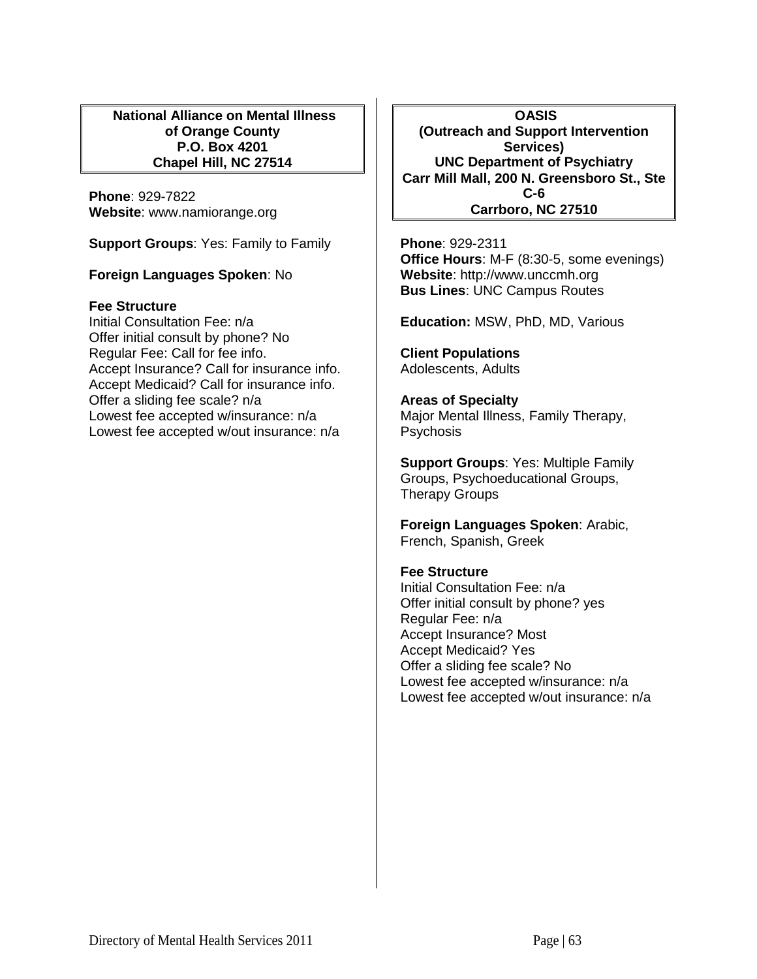**National Alliance on Mental Illness of Orange County P.O. Box 4201 Chapel Hill, NC 27514**

**Phone**: 929-7822 **Website**: www.namiorange.org

**Support Groups**: Yes: Family to Family

# **Foreign Languages Spoken**: No

#### **Fee Structure**

Initial Consultation Fee: n/a Offer initial consult by phone? No Regular Fee: Call for fee info. Accept Insurance? Call for insurance info. Accept Medicaid? Call for insurance info. Offer a sliding fee scale? n/a Lowest fee accepted w/insurance: n/a Lowest fee accepted w/out insurance: n/a

**OASIS (Outreach and Support Intervention Services) UNC Department of Psychiatry Carr Mill Mall, 200 N. Greensboro St., Ste C-6 Carrboro, NC 27510**

**Phone**: 929-2311 **Office Hours**: M-F (8:30-5, some evenings) **Website**: http://www.unccmh.org **Bus Lines**: UNC Campus Routes

**Education:** MSW, PhD, MD, Various

**Client Populations**  Adolescents, Adults

#### **Areas of Specialty**

Major Mental Illness, Family Therapy, **Psychosis** 

**Support Groups**: Yes: Multiple Family Groups, Psychoeducational Groups, Therapy Groups

**Foreign Languages Spoken**: Arabic, French, Spanish, Greek

## **Fee Structure**

Initial Consultation Fee: n/a Offer initial consult by phone? yes Regular Fee: n/a Accept Insurance? Most Accept Medicaid? Yes Offer a sliding fee scale? No Lowest fee accepted w/insurance: n/a Lowest fee accepted w/out insurance: n/a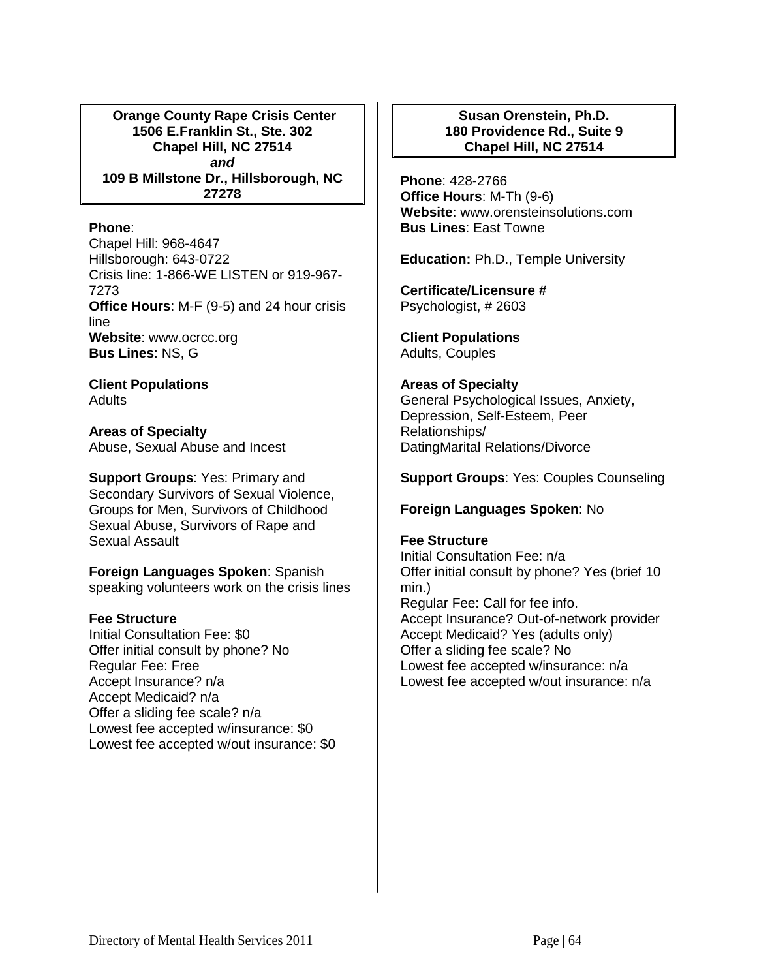**Orange County Rape Crisis Center 1506 E.Franklin St., Ste. 302 Chapel Hill, NC 27514** *and* **109 B Millstone Dr., Hillsborough, NC 27278**

## **Phone**:

Chapel Hill: 968-4647 Hillsborough: 643-0722 Crisis line: 1-866-WE LISTEN or 919-967- 7273 **Office Hours**: M-F (9-5) and 24 hour crisis line Website: www.ocrcc.org **Bus Lines**: NS, G

**Client Populations Adults** 

**Areas of Specialty**  Abuse, Sexual Abuse and Incest

**Support Groups**: Yes: Primary and Secondary Survivors of Sexual Violence, Groups for Men, Survivors of Childhood Sexual Abuse, Survivors of Rape and Sexual Assault

**Foreign Languages Spoken**: Spanish speaking volunteers work on the crisis lines

# **Fee Structure**

Initial Consultation Fee: \$0 Offer initial consult by phone? No Regular Fee: Free Accept Insurance? n/a Accept Medicaid? n/a Offer a sliding fee scale? n/a Lowest fee accepted w/insurance: \$0 Lowest fee accepted w/out insurance: \$0

# **Susan Orenstein, Ph.D. 180 Providence Rd., Suite 9 Chapel Hill, NC 27514**

**Phone**: 428-2766 **Office Hours**: M-Th (9-6) **Website**: www.orensteinsolutions.com **Bus Lines**: East Towne

**Education:** Ph.D., Temple University

**Certificate/Licensure #** Psychologist, # 2603

**Client Populations**  Adults, Couples

## **Areas of Specialty**

General Psychological Issues, Anxiety, Depression, Self-Esteem, Peer Relationships/ DatingMarital Relations/Divorce

## **Support Groups**: Yes: Couples Counseling

#### **Foreign Languages Spoken**: No

## **Fee Structure**

Initial Consultation Fee: n/a Offer initial consult by phone? Yes (brief 10 min.) Regular Fee: Call for fee info. Accept Insurance? Out-of-network provider Accept Medicaid? Yes (adults only) Offer a sliding fee scale? No Lowest fee accepted w/insurance: n/a Lowest fee accepted w/out insurance: n/a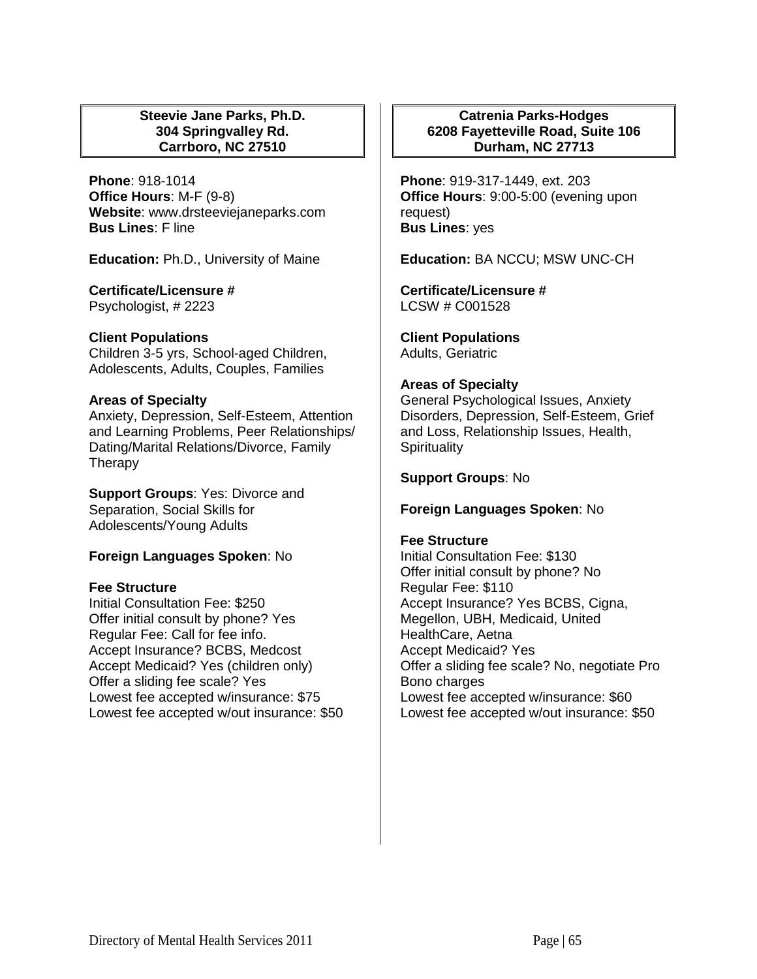## **Steevie Jane Parks, Ph.D. 304 Springvalley Rd. Carrboro, NC 27510**

**Phone**: 918-1014 **Office Hours**: M-F (9-8) **Website**: www.drsteeviejaneparks.com **Bus Lines**: F line

**Education:** Ph.D., University of Maine

# **Certificate/Licensure #**

Psychologist, # 2223

## **Client Populations**

Children 3-5 yrs, School-aged Children, Adolescents, Adults, Couples, Families

## **Areas of Specialty**

Anxiety, Depression, Self-Esteem, Attention and Learning Problems, Peer Relationships/ Dating/Marital Relations/Divorce, Family **Therapy** 

**Support Groups**: Yes: Divorce and Separation, Social Skills for Adolescents/Young Adults

# **Foreign Languages Spoken**: No

#### **Fee Structure**

Initial Consultation Fee: \$250 Offer initial consult by phone? Yes Regular Fee: Call for fee info. Accept Insurance? BCBS, Medcost Accept Medicaid? Yes (children only) Offer a sliding fee scale? Yes Lowest fee accepted w/insurance: \$75 Lowest fee accepted w/out insurance: \$50

# **Catrenia Parks-Hodges 6208 Fayetteville Road, Suite 106 Durham, NC 27713**

**Phone**: 919-317-1449, ext. 203 **Office Hours**: 9:00-5:00 (evening upon request) **Bus Lines**: yes

**Education:** BA NCCU; MSW UNC-CH

**Certificate/Licensure #** LCSW # C001528

**Client Populations**  Adults, Geriatric

## **Areas of Specialty**

General Psychological Issues, Anxiety Disorders, Depression, Self-Esteem, Grief and Loss, Relationship Issues, Health, **Spirituality** 

## **Support Groups**: No

#### **Foreign Languages Spoken**: No

#### **Fee Structure**

Initial Consultation Fee: \$130 Offer initial consult by phone? No Regular Fee: \$110 Accept Insurance? Yes BCBS, Cigna, Megellon, UBH, Medicaid, United HealthCare, Aetna Accept Medicaid? Yes Offer a sliding fee scale? No, negotiate Pro Bono charges Lowest fee accepted w/insurance: \$60 Lowest fee accepted w/out insurance: \$50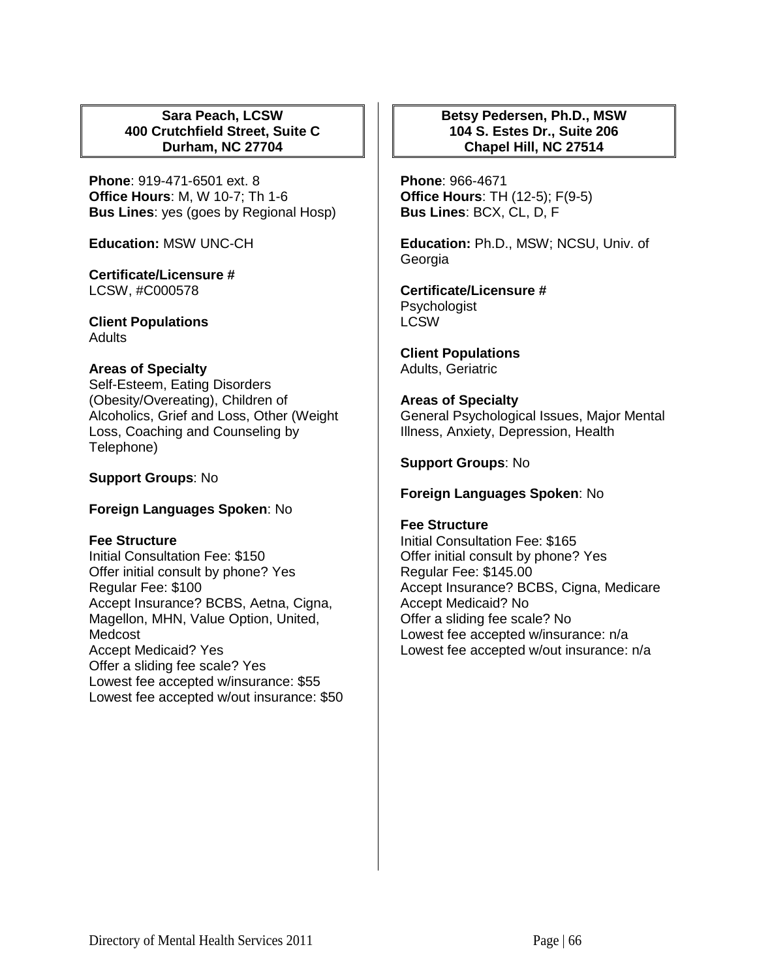## **Sara Peach, LCSW 400 Crutchfield Street, Suite C Durham, NC 27704**

**Phone**: 919-471-6501 ext. 8 **Office Hours**: M, W 10-7; Th 1-6 **Bus Lines**: yes (goes by Regional Hosp)

**Education:** MSW UNC-CH

**Certificate/Licensure #** LCSW, #C000578

**Client Populations**  Adults

## **Areas of Specialty**

Self-Esteem, Eating Disorders (Obesity/Overeating), Children of Alcoholics, Grief and Loss, Other (Weight Loss, Coaching and Counseling by Telephone)

## **Support Groups**: No

# **Foreign Languages Spoken**: No

#### **Fee Structure**

Initial Consultation Fee: \$150 Offer initial consult by phone? Yes Regular Fee: \$100 Accept Insurance? BCBS, Aetna, Cigna, Magellon, MHN, Value Option, United, Medcost Accept Medicaid? Yes Offer a sliding fee scale? Yes Lowest fee accepted w/insurance: \$55 Lowest fee accepted w/out insurance: \$50

# **Betsy Pedersen, Ph.D., MSW 104 S. Estes Dr., Suite 206 Chapel Hill, NC 27514**

**Phone**: 966-4671 **Office Hours**: TH (12-5); F(9-5) **Bus Lines**: BCX, CL, D, F

**Education:** Ph.D., MSW; NCSU, Univ. of Georgia

#### **Certificate/Licensure #** Psychologist LCSW

**Client Populations**  Adults, Geriatric

## **Areas of Specialty**

General Psychological Issues, Major Mental Illness, Anxiety, Depression, Health

# **Support Groups**: No

## **Foreign Languages Spoken**: No

#### **Fee Structure**

Initial Consultation Fee: \$165 Offer initial consult by phone? Yes Regular Fee: \$145.00 Accept Insurance? BCBS, Cigna, Medicare Accept Medicaid? No Offer a sliding fee scale? No Lowest fee accepted w/insurance: n/a Lowest fee accepted w/out insurance: n/a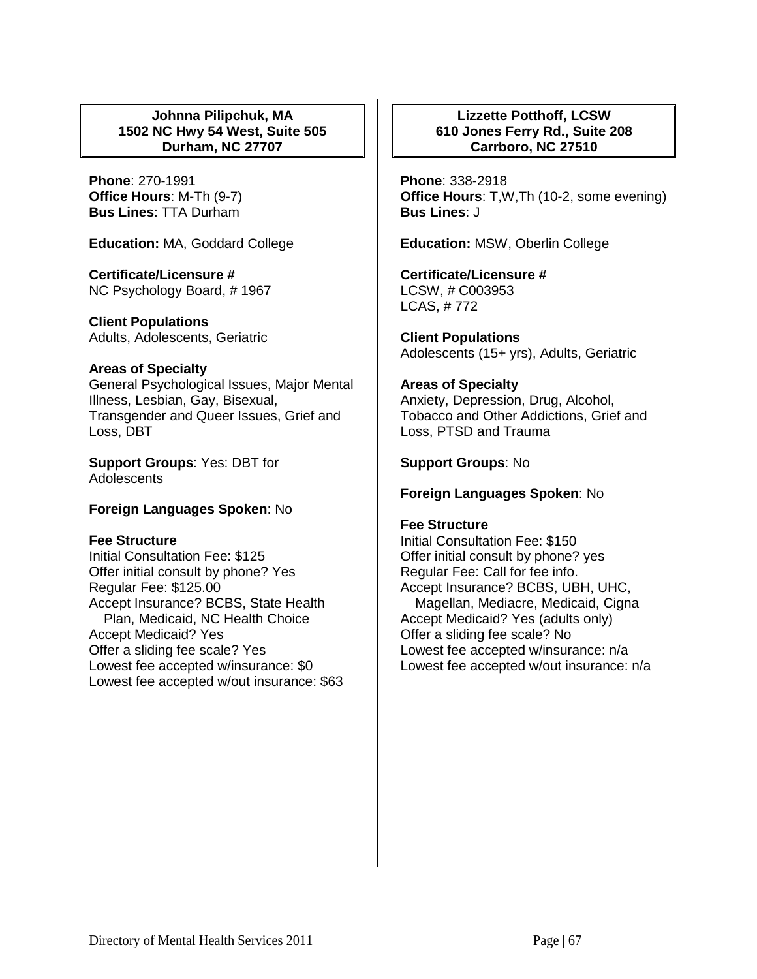## **Johnna Pilipchuk, MA 1502 NC Hwy 54 West, Suite 505 Durham, NC 27707**

**Phone**: 270-1991 **Office Hours**: M-Th (9-7) **Bus Lines**: TTA Durham

**Education:** MA, Goddard College

**Certificate/Licensure #** NC Psychology Board, # 1967

**Client Populations**  Adults, Adolescents, Geriatric

#### **Areas of Specialty**

General Psychological Issues, Major Mental Illness, Lesbian, Gay, Bisexual, Transgender and Queer Issues, Grief and Loss, DBT

**Support Groups**: Yes: DBT for **Adolescents** 

#### **Foreign Languages Spoken**: No

#### **Fee Structure**

Initial Consultation Fee: \$125 Offer initial consult by phone? Yes Regular Fee: \$125.00 Accept Insurance? BCBS, State Health Plan, Medicaid, NC Health Choice Accept Medicaid? Yes Offer a sliding fee scale? Yes Lowest fee accepted w/insurance: \$0 Lowest fee accepted w/out insurance: \$63

# **Lizzette Potthoff, LCSW 610 Jones Ferry Rd., Suite 208 Carrboro, NC 27510**

**Phone**: 338-2918 **Office Hours**: T,W,Th (10-2, some evening) **Bus Lines**: J

**Education:** MSW, Oberlin College

**Certificate/Licensure #** LCSW, # C003953 LCAS, # 772

**Client Populations**  Adolescents (15+ yrs), Adults, Geriatric

## **Areas of Specialty**

Anxiety, Depression, Drug, Alcohol, Tobacco and Other Addictions, Grief and Loss, PTSD and Trauma

**Support Groups**: No

#### **Foreign Languages Spoken**: No

#### **Fee Structure**

Initial Consultation Fee: \$150 Offer initial consult by phone? yes Regular Fee: Call for fee info. Accept Insurance? BCBS, UBH, UHC, Magellan, Mediacre, Medicaid, Cigna Accept Medicaid? Yes (adults only) Offer a sliding fee scale? No Lowest fee accepted w/insurance: n/a Lowest fee accepted w/out insurance: n/a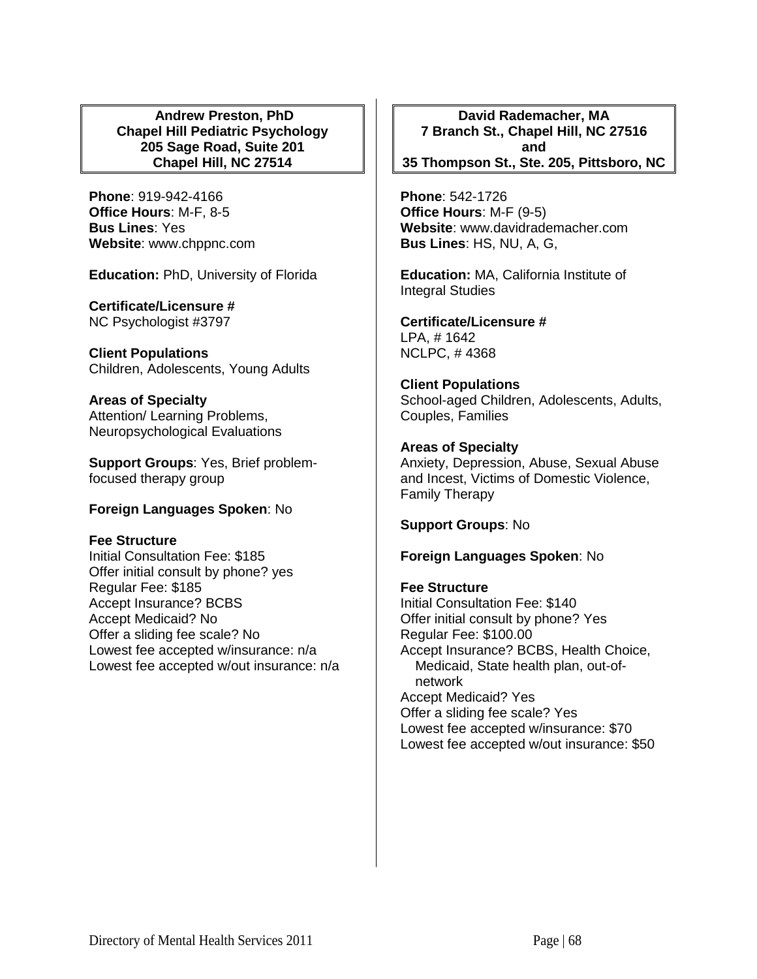#### **Andrew Preston, PhD Chapel Hill Pediatric Psychology 205 Sage Road, Suite 201 Chapel Hill, NC 27514**

**Phone**: 919-942-4166 **Office Hours**: M-F, 8-5 **Bus Lines**: Yes **Website**: www.chppnc.com

**Education:** PhD, University of Florida

**Certificate/Licensure #** NC Psychologist #3797

**Client Populations**  Children, Adolescents, Young Adults

**Areas of Specialty**  Attention/ Learning Problems, Neuropsychological Evaluations

**Support Groups**: Yes, Brief problemfocused therapy group

# **Foreign Languages Spoken**: No

# **Fee Structure**

Initial Consultation Fee: \$185 Offer initial consult by phone? yes Regular Fee: \$185 Accept Insurance? BCBS Accept Medicaid? No Offer a sliding fee scale? No Lowest fee accepted w/insurance: n/a Lowest fee accepted w/out insurance: n/a

**David Rademacher, MA 7 Branch St., Chapel Hill, NC 27516 and 35 Thompson St., Ste. 205, Pittsboro, NC**

**Phone**: 542-1726 **Office Hours**: M-F (9-5) **Website**: www.davidrademacher.com **Bus Lines**: HS, NU, A, G,

**Education:** MA, California Institute of Integral Studies

**Certificate/Licensure #** LPA, # 1642 NCLPC, # 4368

**Client Populations**  School-aged Children, Adolescents, Adults, Couples, Families

**Areas of Specialty**  Anxiety, Depression, Abuse, Sexual Abuse and Incest, Victims of Domestic Violence, Family Therapy

**Support Groups**: No

**Foreign Languages Spoken**: No

**Fee Structure**  Initial Consultation Fee: \$140 Offer initial consult by phone? Yes Regular Fee: \$100.00 Accept Insurance? BCBS, Health Choice, Medicaid, State health plan, out-ofnetwork Accept Medicaid? Yes Offer a sliding fee scale? Yes Lowest fee accepted w/insurance: \$70 Lowest fee accepted w/out insurance: \$50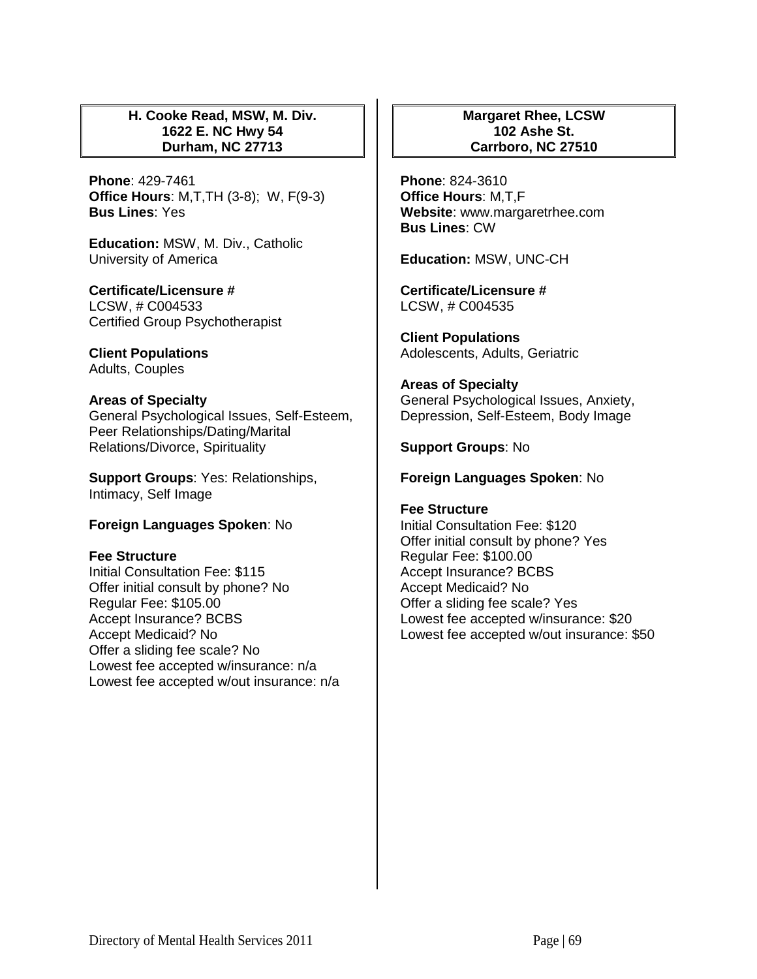## **H. Cooke Read, MSW, M. Div. 1622 E. NC Hwy 54 Durham, NC 27713**

**Phone**: 429-7461 **Office Hours**: M,T,TH (3-8); W, F(9-3) **Bus Lines**: Yes

**Education:** MSW, M. Div., Catholic University of America

**Certificate/Licensure #** LCSW, # C004533 Certified Group Psychotherapist

**Client Populations**  Adults, Couples

## **Areas of Specialty**

General Psychological Issues, Self-Esteem, Peer Relationships/Dating/Marital Relations/Divorce, Spirituality

**Support Groups**: Yes: Relationships, Intimacy, Self Image

#### **Foreign Languages Spoken**: No

#### **Fee Structure**

Initial Consultation Fee: \$115 Offer initial consult by phone? No Regular Fee: \$105.00 Accept Insurance? BCBS Accept Medicaid? No Offer a sliding fee scale? No Lowest fee accepted w/insurance: n/a Lowest fee accepted w/out insurance: n/a

## **Margaret Rhee, LCSW 102 Ashe St. Carrboro, NC 27510**

**Phone**: 824-3610 **Office Hours**: M,T,F **Website**: www.margaretrhee.com **Bus Lines**: CW

**Education:** MSW, UNC-CH

**Certificate/Licensure #** LCSW, # C004535

**Client Populations**  Adolescents, Adults, Geriatric

**Areas of Specialty**  General Psychological Issues, Anxiety, Depression, Self-Esteem, Body Image

**Support Groups**: No

## **Foreign Languages Spoken**: No

**Fee Structure**  Initial Consultation Fee: \$120 Offer initial consult by phone? Yes Regular Fee: \$100.00 Accept Insurance? BCBS Accept Medicaid? No Offer a sliding fee scale? Yes Lowest fee accepted w/insurance: \$20 Lowest fee accepted w/out insurance: \$50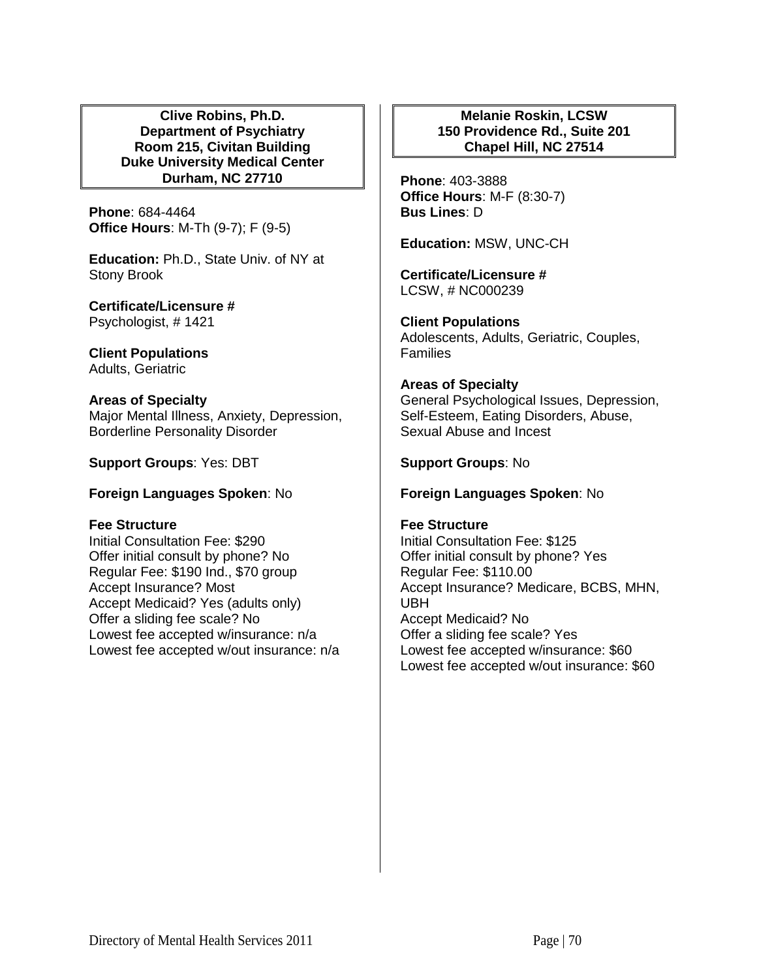**Clive Robins, Ph.D. Department of Psychiatry Room 215, Civitan Building Duke University Medical Center Durham, NC 27710**

**Phone**: 684-4464 **Office Hours**: M-Th (9-7); F (9-5)

**Education:** Ph.D., State Univ. of NY at Stony Brook

**Certificate/Licensure #** Psychologist, # 1421

**Client Populations**  Adults, Geriatric

**Areas of Specialty**  Major Mental Illness, Anxiety, Depression, Borderline Personality Disorder

**Support Groups**: Yes: DBT

**Foreign Languages Spoken**: No

#### **Fee Structure**

Initial Consultation Fee: \$290 Offer initial consult by phone? No Regular Fee: \$190 Ind., \$70 group Accept Insurance? Most Accept Medicaid? Yes (adults only) Offer a sliding fee scale? No Lowest fee accepted w/insurance: n/a Lowest fee accepted w/out insurance: n/a

# **Melanie Roskin, LCSW 150 Providence Rd., Suite 201 Chapel Hill, NC 27514**

**Phone**: 403-3888 **Office Hours**: M-F (8:30-7) **Bus Lines**: D

**Education:** MSW, UNC-CH

**Certificate/Licensure #** LCSW, # NC000239

**Client Populations**  Adolescents, Adults, Geriatric, Couples, **Families** 

**Areas of Specialty**  General Psychological Issues, Depression, Self-Esteem, Eating Disorders, Abuse, Sexual Abuse and Incest

**Support Groups**: No

**Foreign Languages Spoken**: No

# **Fee Structure**

Initial Consultation Fee: \$125 Offer initial consult by phone? Yes Regular Fee: \$110.00 Accept Insurance? Medicare, BCBS, MHN, UBH Accept Medicaid? No Offer a sliding fee scale? Yes Lowest fee accepted w/insurance: \$60 Lowest fee accepted w/out insurance: \$60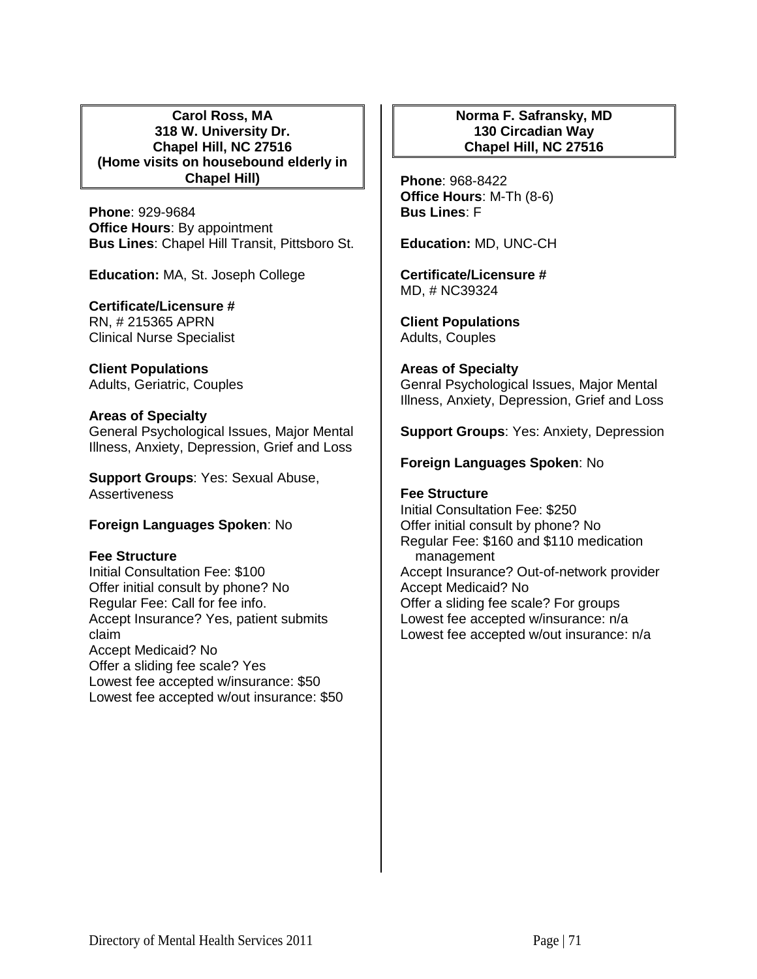## **Carol Ross, MA 318 W. University Dr. Chapel Hill, NC 27516 (Home visits on housebound elderly in Chapel Hill)**

**Phone**: 929-9684 **Office Hours**: By appointment **Bus Lines**: Chapel Hill Transit, Pittsboro St.

**Education:** MA, St. Joseph College

# **Certificate/Licensure #**

RN, # 215365 APRN Clinical Nurse Specialist

**Client Populations**  Adults, Geriatric, Couples

## **Areas of Specialty**

General Psychological Issues, Major Mental Illness, Anxiety, Depression, Grief and Loss

**Support Groups**: Yes: Sexual Abuse, Assertiveness

# **Foreign Languages Spoken**: No

#### **Fee Structure**

Initial Consultation Fee: \$100 Offer initial consult by phone? No Regular Fee: Call for fee info. Accept Insurance? Yes, patient submits claim Accept Medicaid? No Offer a sliding fee scale? Yes Lowest fee accepted w/insurance: \$50 Lowest fee accepted w/out insurance: \$50

# **Norma F. Safransky, MD 130 Circadian Way Chapel Hill, NC 27516**

**Phone**: 968-8422 **Office Hours**: M-Th (8-6) **Bus Lines**: F

**Education:** MD, UNC-CH

**Certificate/Licensure #** MD, # NC39324

**Client Populations**  Adults, Couples

# **Areas of Specialty**

Genral Psychological Issues, Major Mental Illness, Anxiety, Depression, Grief and Loss

**Support Groups**: Yes: Anxiety, Depression

## **Foreign Languages Spoken**: No

# **Fee Structure**

Initial Consultation Fee: \$250 Offer initial consult by phone? No Regular Fee: \$160 and \$110 medication management Accept Insurance? Out-of-network provider Accept Medicaid? No Offer a sliding fee scale? For groups Lowest fee accepted w/insurance: n/a Lowest fee accepted w/out insurance: n/a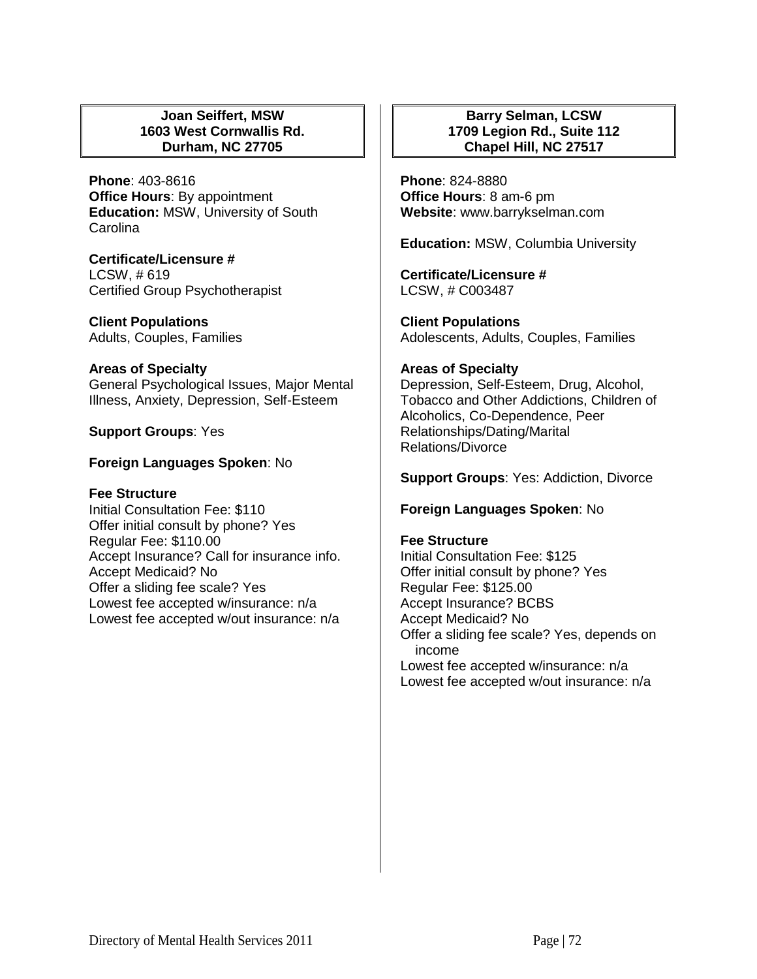## **Joan Seiffert, MSW 1603 West Cornwallis Rd. Durham, NC 27705**

**Phone**: 403-8616 **Office Hours**: By appointment **Education:** MSW, University of South Carolina

**Certificate/Licensure #** LCSW, # 619 Certified Group Psychotherapist

**Client Populations**  Adults, Couples, Families

## **Areas of Specialty**

General Psychological Issues, Major Mental Illness, Anxiety, Depression, Self-Esteem

# **Support Groups**: Yes

# **Foreign Languages Spoken**: No

# **Fee Structure**

Initial Consultation Fee: \$110 Offer initial consult by phone? Yes Regular Fee: \$110.00 Accept Insurance? Call for insurance info. Accept Medicaid? No Offer a sliding fee scale? Yes Lowest fee accepted w/insurance: n/a Lowest fee accepted w/out insurance: n/a

# **Barry Selman, LCSW 1709 Legion Rd., Suite 112 Chapel Hill, NC 27517**

**Phone**: 824-8880 **Office Hours**: 8 am-6 pm **Website**: www.barrykselman.com

**Education:** MSW, Columbia University

**Certificate/Licensure #** LCSW, # C003487

**Client Populations**  Adolescents, Adults, Couples, Families

## **Areas of Specialty**

Depression, Self-Esteem, Drug, Alcohol, Tobacco and Other Addictions, Children of Alcoholics, Co-Dependence, Peer Relationships/Dating/Marital Relations/Divorce

**Support Groups**: Yes: Addiction, Divorce

# **Foreign Languages Spoken**: No

#### **Fee Structure**

Initial Consultation Fee: \$125 Offer initial consult by phone? Yes Regular Fee: \$125.00 Accept Insurance? BCBS Accept Medicaid? No Offer a sliding fee scale? Yes, depends on income Lowest fee accepted w/insurance: n/a Lowest fee accepted w/out insurance: n/a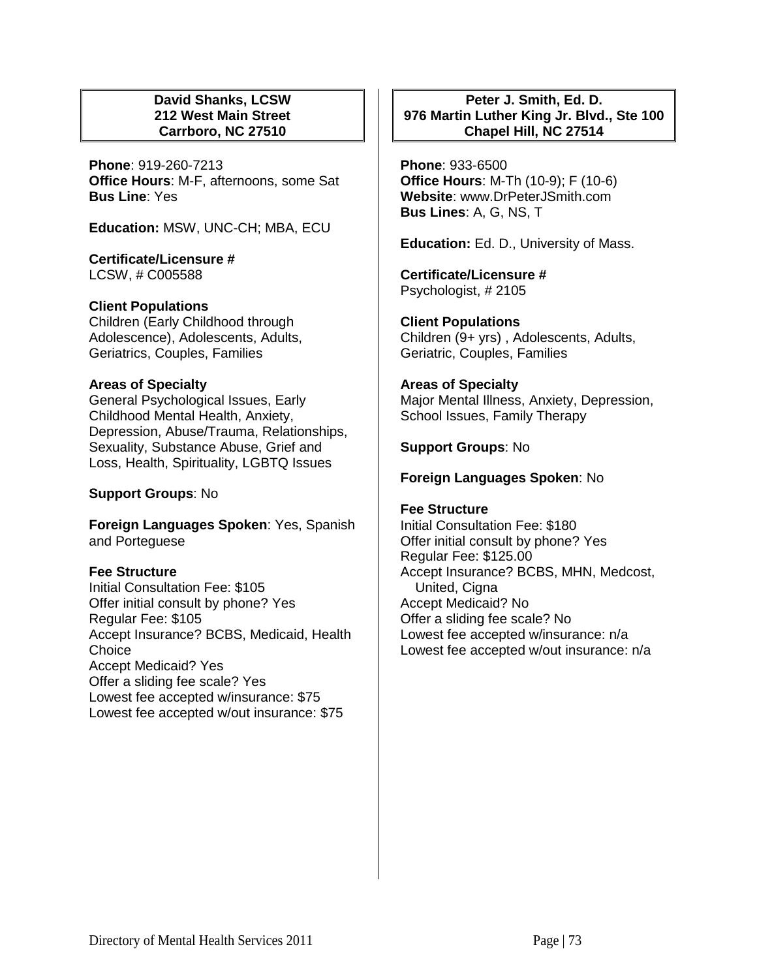## **David Shanks, LCSW 212 West Main Street Carrboro, NC 27510**

**Phone**: 919-260-7213 **Office Hours**: M-F, afternoons, some Sat **Bus Line**: Yes

**Education:** MSW, UNC-CH; MBA, ECU

**Certificate/Licensure #** LCSW, # C005588

# **Client Populations**

Children (Early Childhood through Adolescence), Adolescents, Adults, Geriatrics, Couples, Families

## **Areas of Specialty**

General Psychological Issues, Early Childhood Mental Health, Anxiety, Depression, Abuse/Trauma, Relationships, Sexuality, Substance Abuse, Grief and Loss, Health, Spirituality, LGBTQ Issues

# **Support Groups**: No

**Foreign Languages Spoken**: Yes, Spanish and Porteguese

# **Fee Structure**

Initial Consultation Fee: \$105 Offer initial consult by phone? Yes Regular Fee: \$105 Accept Insurance? BCBS, Medicaid, Health Choice Accept Medicaid? Yes Offer a sliding fee scale? Yes Lowest fee accepted w/insurance: \$75 Lowest fee accepted w/out insurance: \$75

## **Peter J. Smith, Ed. D. 976 Martin Luther King Jr. Blvd., Ste 100 Chapel Hill, NC 27514**

**Phone**: 933-6500 **Office Hours**: M-Th (10-9); F (10-6) **Website**: www.DrPeterJSmith.com **Bus Lines**: A, G, NS, T

**Education:** Ed. D., University of Mass.

**Certificate/Licensure #** Psychologist, # 2105

**Client Populations**  Children (9+ yrs) , Adolescents, Adults, Geriatric, Couples, Families

## **Areas of Specialty**

Major Mental Illness, Anxiety, Depression, School Issues, Family Therapy

#### **Support Groups**: No

## **Foreign Languages Spoken**: No

#### **Fee Structure**

Initial Consultation Fee: \$180 Offer initial consult by phone? Yes Regular Fee: \$125.00 Accept Insurance? BCBS, MHN, Medcost, United, Cigna Accept Medicaid? No Offer a sliding fee scale? No Lowest fee accepted w/insurance: n/a Lowest fee accepted w/out insurance: n/a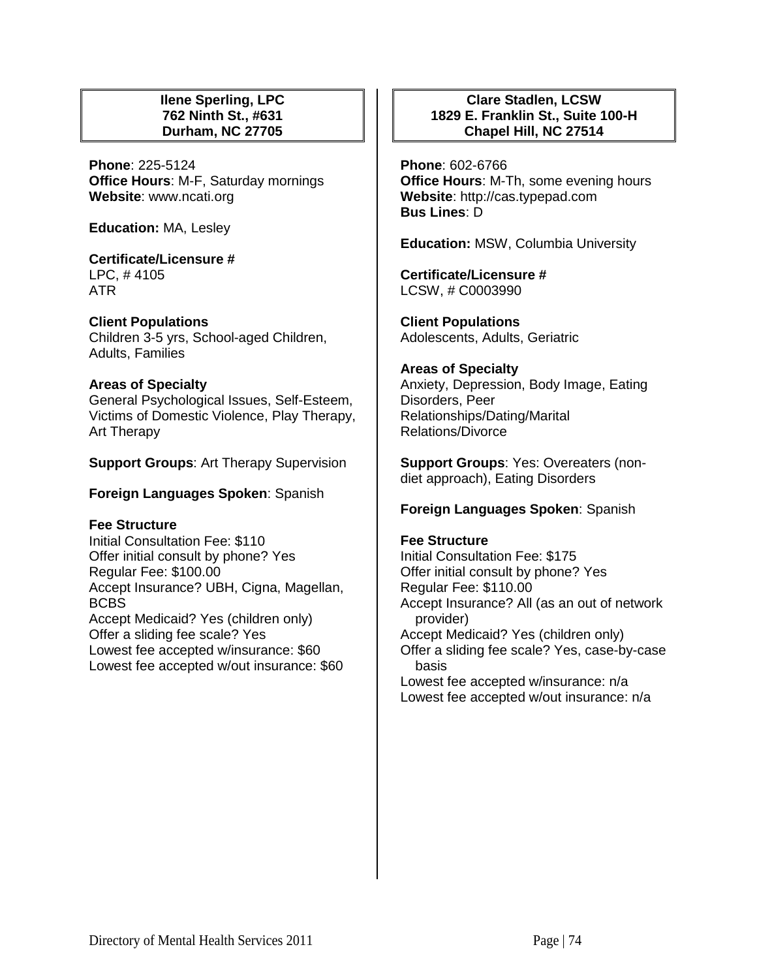## **Ilene Sperling, LPC 762 Ninth St., #631 Durham, NC 27705**

**Phone**: 225-5124 **Office Hours**: M-F, Saturday mornings **Website**: www.ncati.org

**Education:** MA, Lesley

#### **Certificate/Licensure #** LPC, # 4105 ATR

## **Client Populations**

Children 3-5 yrs, School-aged Children, Adults, Families

## **Areas of Specialty**

General Psychological Issues, Self-Esteem, Victims of Domestic Violence, Play Therapy, Art Therapy

**Support Groups**: Art Therapy Supervision

## **Foreign Languages Spoken**: Spanish

## **Fee Structure**

Initial Consultation Fee: \$110 Offer initial consult by phone? Yes Regular Fee: \$100.00 Accept Insurance? UBH, Cigna, Magellan, BCBS Accept Medicaid? Yes (children only) Offer a sliding fee scale? Yes Lowest fee accepted w/insurance: \$60 Lowest fee accepted w/out insurance: \$60

## **Clare Stadlen, LCSW 1829 E. Franklin St., Suite 100-H Chapel Hill, NC 27514**

**Phone**: 602-6766 **Office Hours**: M-Th, some evening hours **Website**: http://cas.typepad.com **Bus Lines**: D

**Education:** MSW, Columbia University

**Certificate/Licensure #** LCSW, # C0003990

**Client Populations**  Adolescents, Adults, Geriatric

## **Areas of Specialty**

Anxiety, Depression, Body Image, Eating Disorders, Peer Relationships/Dating/Marital Relations/Divorce

**Support Groups**: Yes: Overeaters (nondiet approach), Eating Disorders

## **Foreign Languages Spoken**: Spanish

## **Fee Structure**

Initial Consultation Fee: \$175 Offer initial consult by phone? Yes Regular Fee: \$110.00 Accept Insurance? All (as an out of network provider) Accept Medicaid? Yes (children only) Offer a sliding fee scale? Yes, case-by-case basis Lowest fee accepted w/insurance: n/a Lowest fee accepted w/out insurance: n/a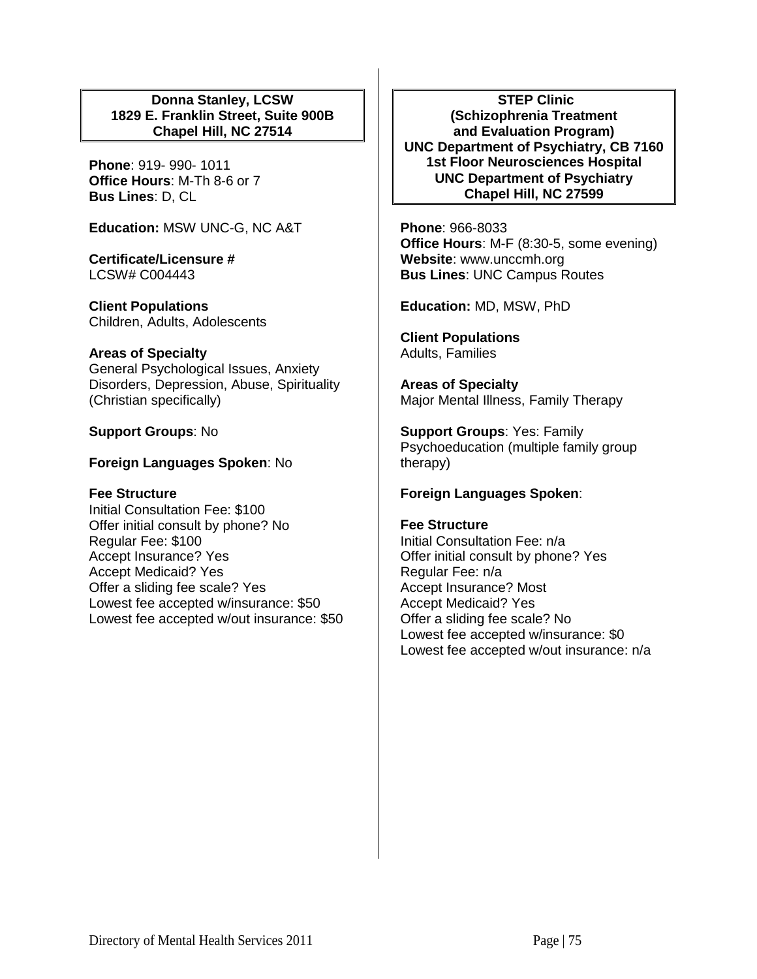## **Donna Stanley, LCSW 1829 E. Franklin Street, Suite 900B Chapel Hill, NC 27514**

**Phone**: 919- 990- 1011 **Office Hours**: M-Th 8-6 or 7 **Bus Lines**: D, CL

**Education:** MSW UNC-G, NC A&T

**Certificate/Licensure #** LCSW# C004443

**Client Populations**  Children, Adults, Adolescents

## **Areas of Specialty**

General Psychological Issues, Anxiety Disorders, Depression, Abuse, Spirituality (Christian specifically)

**Support Groups**: No

## **Foreign Languages Spoken**: No

## **Fee Structure**

Initial Consultation Fee: \$100 Offer initial consult by phone? No Regular Fee: \$100 Accept Insurance? Yes Accept Medicaid? Yes Offer a sliding fee scale? Yes Lowest fee accepted w/insurance: \$50 Lowest fee accepted w/out insurance: \$50

**STEP Clinic (Schizophrenia Treatment and Evaluation Program) UNC Department of Psychiatry, CB 7160 1st Floor Neurosciences Hospital UNC Department of Psychiatry Chapel Hill, NC 27599**

**Phone**: 966-8033 **Office Hours**: M-F (8:30-5, some evening) **Website**: www.unccmh.org **Bus Lines**: UNC Campus Routes

**Education:** MD, MSW, PhD

**Client Populations**  Adults, Families

**Areas of Specialty**  Major Mental Illness, Family Therapy

**Support Groups**: Yes: Family Psychoeducation (multiple family group therapy)

## **Foreign Languages Spoken**:

#### **Fee Structure**

Initial Consultation Fee: n/a Offer initial consult by phone? Yes Regular Fee: n/a Accept Insurance? Most Accept Medicaid? Yes Offer a sliding fee scale? No Lowest fee accepted w/insurance: \$0 Lowest fee accepted w/out insurance: n/a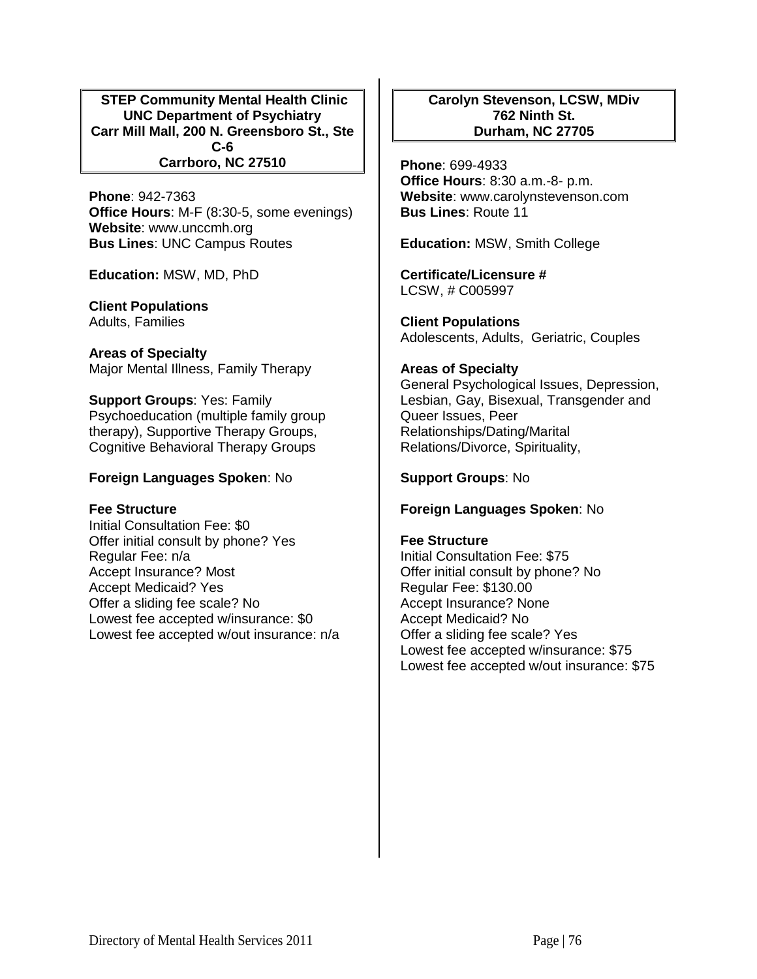**STEP Community Mental Health Clinic UNC Department of Psychiatry Carr Mill Mall, 200 N. Greensboro St., Ste C-6 Carrboro, NC 27510**

**Phone**: 942-7363 **Office Hours**: M-F (8:30-5, some evenings) **Website**: www.unccmh.org **Bus Lines**: UNC Campus Routes

**Education:** MSW, MD, PhD

**Client Populations**  Adults, Families

**Areas of Specialty**  Major Mental Illness, Family Therapy

**Support Groups**: Yes: Family Psychoeducation (multiple family group therapy), Supportive Therapy Groups, Cognitive Behavioral Therapy Groups

#### **Foreign Languages Spoken**: No

#### **Fee Structure**

Initial Consultation Fee: \$0 Offer initial consult by phone? Yes Regular Fee: n/a Accept Insurance? Most Accept Medicaid? Yes Offer a sliding fee scale? No Lowest fee accepted w/insurance: \$0 Lowest fee accepted w/out insurance: n/a

## **Carolyn Stevenson, LCSW, MDiv 762 Ninth St. Durham, NC 27705**

**Phone**: 699-4933 **Office Hours**: 8:30 a.m.-8- p.m. **Website**: www.carolynstevenson.com **Bus Lines**: Route 11

**Education:** MSW, Smith College

**Certificate/Licensure #** LCSW, # C005997

**Client Populations**  Adolescents, Adults, Geriatric, Couples

#### **Areas of Specialty**

General Psychological Issues, Depression, Lesbian, Gay, Bisexual, Transgender and Queer Issues, Peer Relationships/Dating/Marital Relations/Divorce, Spirituality,

## **Support Groups**: No

#### **Foreign Languages Spoken**: No

#### **Fee Structure**

Initial Consultation Fee: \$75 Offer initial consult by phone? No Regular Fee: \$130.00 Accept Insurance? None Accept Medicaid? No Offer a sliding fee scale? Yes Lowest fee accepted w/insurance: \$75 Lowest fee accepted w/out insurance: \$75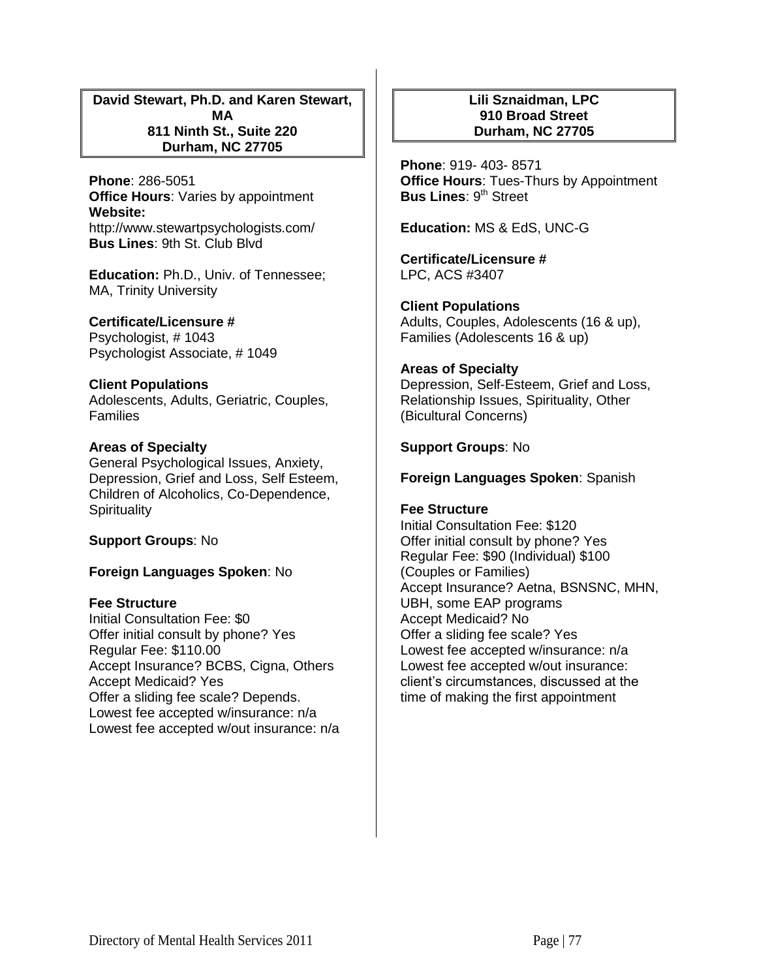**David Stewart, Ph.D. and Karen Stewart, MA 811 Ninth St., Suite 220 Durham, NC 27705**

**Phone**: 286-5051 **Office Hours**: Varies by appointment **Website:** http://www.stewartpsychologists.com/ **Bus Lines**: 9th St. Club Blvd

**Education:** Ph.D., Univ. of Tennessee; MA, Trinity University

**Certificate/Licensure #** Psychologist, # 1043 Psychologist Associate, # 1049

## **Client Populations**

Adolescents, Adults, Geriatric, Couples, Families

#### **Areas of Specialty**

General Psychological Issues, Anxiety, Depression, Grief and Loss, Self Esteem, Children of Alcoholics, Co-Dependence, **Spirituality** 

**Support Groups**: No

#### **Foreign Languages Spoken**: No

#### **Fee Structure**

Initial Consultation Fee: \$0 Offer initial consult by phone? Yes Regular Fee: \$110.00 Accept Insurance? BCBS, Cigna, Others Accept Medicaid? Yes Offer a sliding fee scale? Depends. Lowest fee accepted w/insurance: n/a Lowest fee accepted w/out insurance: n/a

## **Lili Sznaidman, LPC 910 Broad Street Durham, NC 27705**

**Phone**: 919- 403- 8571 **Office Hours**: Tues-Thurs by Appointment **Bus Lines: 9<sup>th</sup> Street** 

**Education:** MS & EdS, UNC-G

**Certificate/Licensure #** LPC, ACS #3407

**Client Populations**  Adults, Couples, Adolescents (16 & up), Families (Adolescents 16 & up)

#### **Areas of Specialty**

Depression, Self-Esteem, Grief and Loss, Relationship Issues, Spirituality, Other (Bicultural Concerns)

#### **Support Groups**: No

#### **Foreign Languages Spoken**: Spanish

#### **Fee Structure**

Initial Consultation Fee: \$120 Offer initial consult by phone? Yes Regular Fee: \$90 (Individual) \$100 (Couples or Families) Accept Insurance? Aetna, BSNSNC, MHN, UBH, some EAP programs Accept Medicaid? No Offer a sliding fee scale? Yes Lowest fee accepted w/insurance: n/a Lowest fee accepted w/out insurance: client's circumstances, discussed at the time of making the first appointment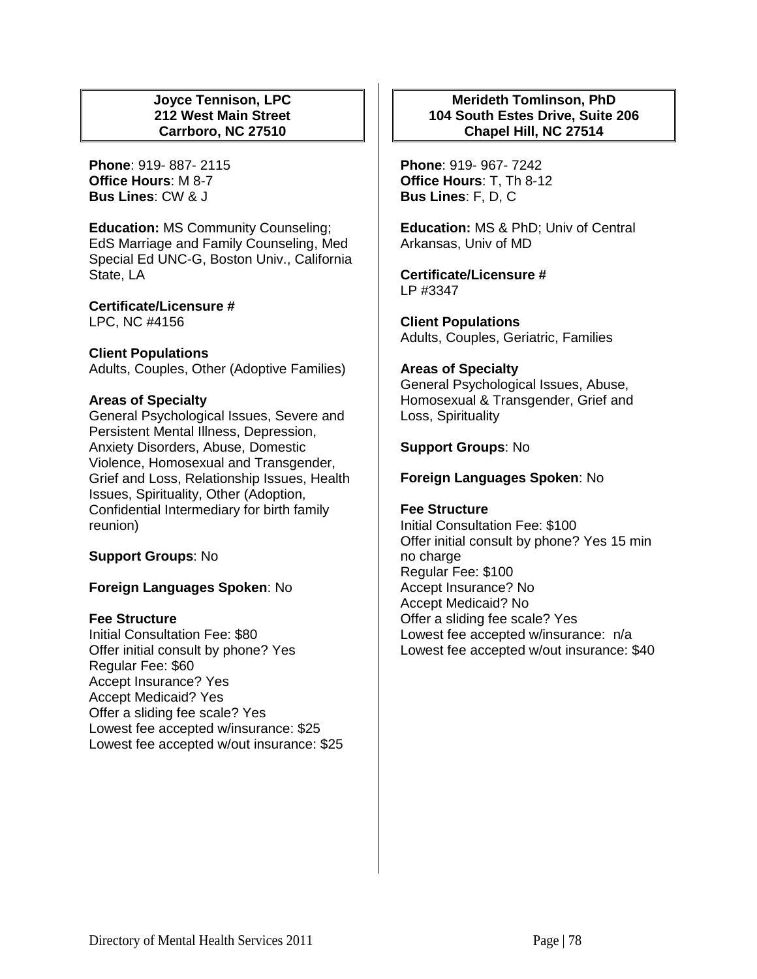## **Joyce Tennison, LPC 212 West Main Street Carrboro, NC 27510**

**Phone**: 919- 887- 2115 **Office Hours**: M 8-7 **Bus Lines**: CW & J

**Education:** MS Community Counseling; EdS Marriage and Family Counseling, Med Special Ed UNC-G, Boston Univ., California State, LA

**Certificate/Licensure #** LPC, NC #4156

#### **Client Populations**

Adults, Couples, Other (Adoptive Families)

#### **Areas of Specialty**

General Psychological Issues, Severe and Persistent Mental Illness, Depression, Anxiety Disorders, Abuse, Domestic Violence, Homosexual and Transgender, Grief and Loss, Relationship Issues, Health Issues, Spirituality, Other (Adoption, Confidential Intermediary for birth family reunion)

#### **Support Groups**: No

## **Foreign Languages Spoken**: No

#### **Fee Structure**

Initial Consultation Fee: \$80 Offer initial consult by phone? Yes Regular Fee: \$60 Accept Insurance? Yes Accept Medicaid? Yes Offer a sliding fee scale? Yes Lowest fee accepted w/insurance: \$25 Lowest fee accepted w/out insurance: \$25

## **Merideth Tomlinson, PhD 104 South Estes Drive, Suite 206 Chapel Hill, NC 27514**

**Phone**: 919- 967- 7242 **Office Hours**: T, Th 8-12 **Bus Lines**: F, D, C

**Education:** MS & PhD; Univ of Central Arkansas, Univ of MD

**Certificate/Licensure #** LP #3347

**Client Populations**  Adults, Couples, Geriatric, Families

#### **Areas of Specialty**

General Psychological Issues, Abuse, Homosexual & Transgender, Grief and Loss, Spirituality

#### **Support Groups**: No

#### **Foreign Languages Spoken**: No

#### **Fee Structure**

Initial Consultation Fee: \$100 Offer initial consult by phone? Yes 15 min no charge Regular Fee: \$100 Accept Insurance? No Accept Medicaid? No Offer a sliding fee scale? Yes Lowest fee accepted w/insurance: n/a Lowest fee accepted w/out insurance: \$40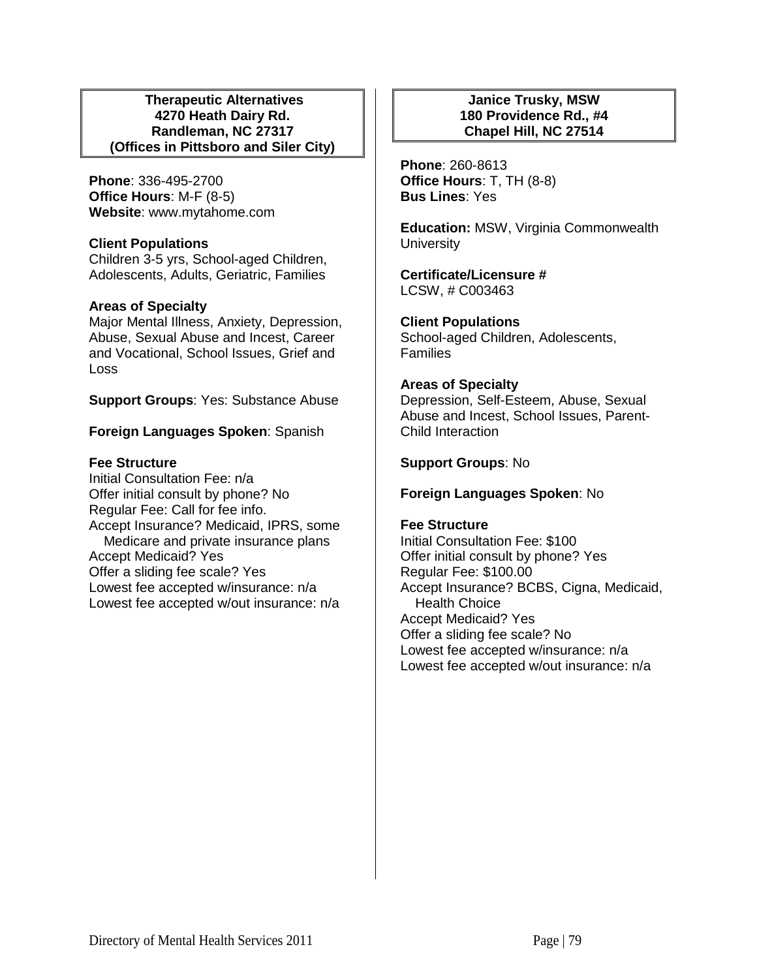#### **Therapeutic Alternatives 4270 Heath Dairy Rd. Randleman, NC 27317 (Offices in Pittsboro and Siler City)**

**Phone**: 336-495-2700 **Office Hours**: M-F (8-5) **Website**: www.mytahome.com

## **Client Populations**

Children 3-5 yrs, School-aged Children, Adolescents, Adults, Geriatric, Families

## **Areas of Specialty**

Major Mental Illness, Anxiety, Depression, Abuse, Sexual Abuse and Incest, Career and Vocational, School Issues, Grief and Loss

**Support Groups**: Yes: Substance Abuse

## **Foreign Languages Spoken**: Spanish

## **Fee Structure**

Initial Consultation Fee: n/a Offer initial consult by phone? No Regular Fee: Call for fee info. Accept Insurance? Medicaid, IPRS, some Medicare and private insurance plans Accept Medicaid? Yes Offer a sliding fee scale? Yes Lowest fee accepted w/insurance: n/a Lowest fee accepted w/out insurance: n/a

## **Janice Trusky, MSW 180 Providence Rd., #4 Chapel Hill, NC 27514**

**Phone**: 260-8613 **Office Hours**: T, TH (8-8) **Bus Lines**: Yes

**Education:** MSW, Virginia Commonwealth **University** 

**Certificate/Licensure #** LCSW, # C003463

**Client Populations**  School-aged Children, Adolescents, Families

#### **Areas of Specialty**

Depression, Self-Esteem, Abuse, Sexual Abuse and Incest, School Issues, Parent-Child Interaction

## **Support Groups**: No

## **Foreign Languages Spoken**: No

#### **Fee Structure**

Initial Consultation Fee: \$100 Offer initial consult by phone? Yes Regular Fee: \$100.00 Accept Insurance? BCBS, Cigna, Medicaid, Health Choice Accept Medicaid? Yes Offer a sliding fee scale? No Lowest fee accepted w/insurance: n/a Lowest fee accepted w/out insurance: n/a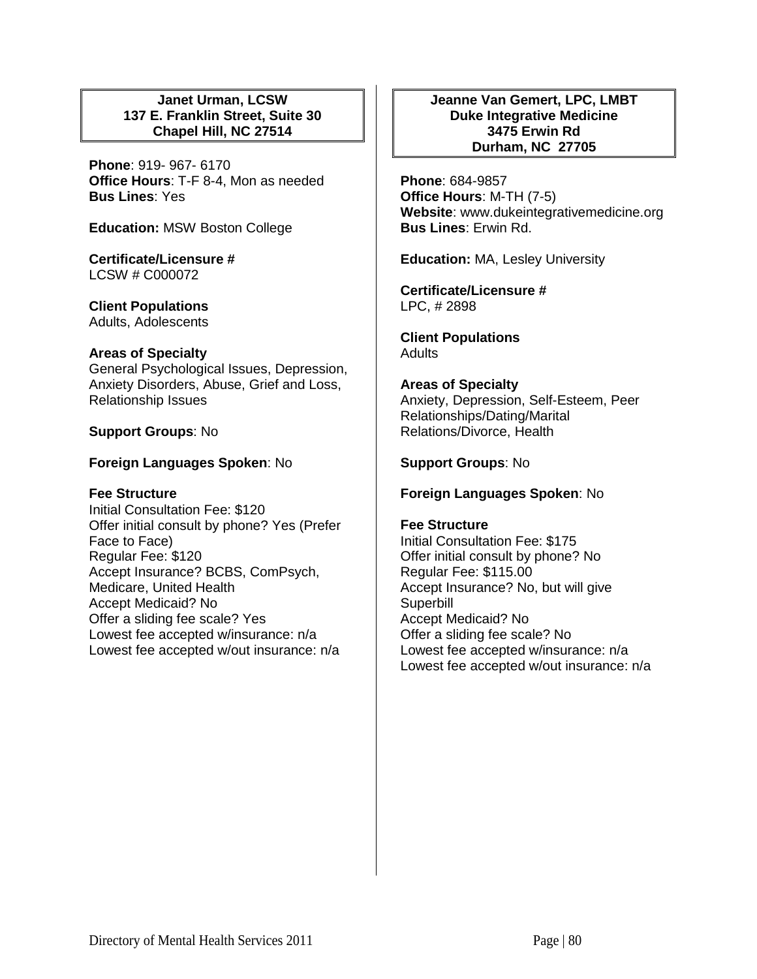## **Janet Urman, LCSW 137 E. Franklin Street, Suite 30 Chapel Hill, NC 27514**

**Phone**: 919- 967- 6170 **Office Hours**: T-F 8-4, Mon as needed **Bus Lines**: Yes

**Education:** MSW Boston College

**Certificate/Licensure #** LCSW # C000072

**Client Populations**  Adults, Adolescents

## **Areas of Specialty**

General Psychological Issues, Depression, Anxiety Disorders, Abuse, Grief and Loss, Relationship Issues

## **Support Groups**: No

## **Foreign Languages Spoken**: No

## **Fee Structure**

Initial Consultation Fee: \$120 Offer initial consult by phone? Yes (Prefer Face to Face) Regular Fee: \$120 Accept Insurance? BCBS, ComPsych, Medicare, United Health Accept Medicaid? No Offer a sliding fee scale? Yes Lowest fee accepted w/insurance: n/a Lowest fee accepted w/out insurance: n/a

### **Jeanne Van Gemert, LPC, LMBT Duke Integrative Medicine 3475 Erwin Rd Durham, NC 27705**

**Phone**: 684-9857 **Office Hours**: M-TH (7-5) **Website**: www.dukeintegrativemedicine.org **Bus Lines**: Erwin Rd.

**Education:** MA, Lesley University

**Certificate/Licensure #** LPC, # 2898

**Client Populations Adults** 

**Areas of Specialty**  Anxiety, Depression, Self-Esteem, Peer Relationships/Dating/Marital Relations/Divorce, Health

## **Support Groups**: No

## **Foreign Languages Spoken**: No

#### **Fee Structure**

Initial Consultation Fee: \$175 Offer initial consult by phone? No Regular Fee: \$115.00 Accept Insurance? No, but will give Superbill Accept Medicaid? No Offer a sliding fee scale? No Lowest fee accepted w/insurance: n/a Lowest fee accepted w/out insurance: n/a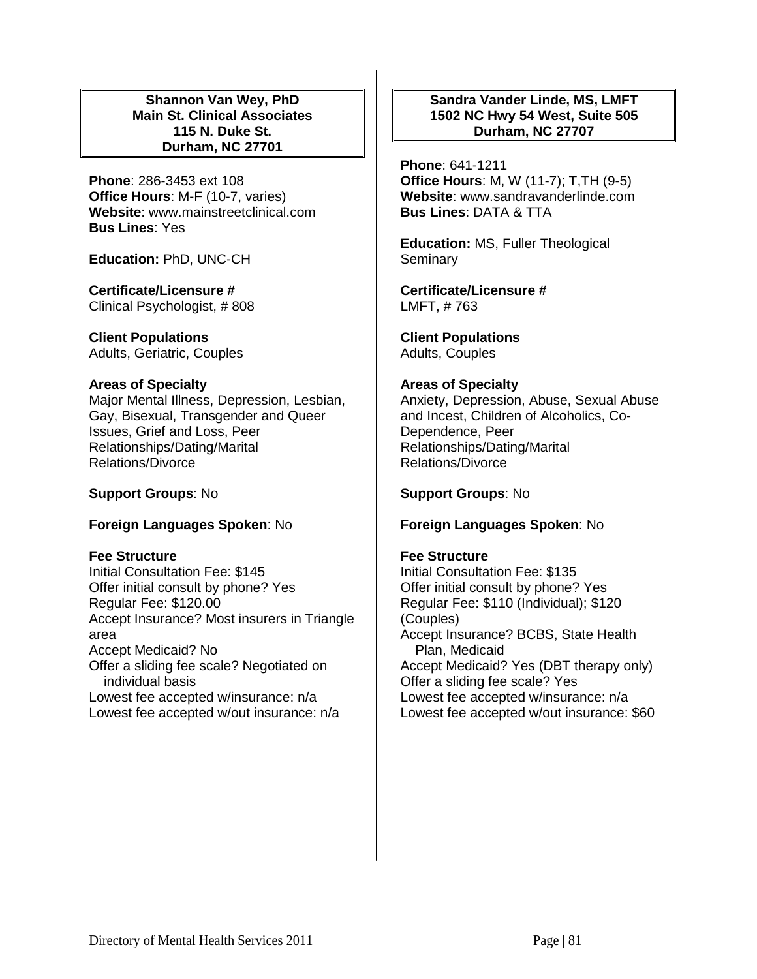## **Shannon Van Wey, PhD Main St. Clinical Associates 115 N. Duke St. Durham, NC 27701**

**Phone**: 286-3453 ext 108 **Office Hours**: M-F (10-7, varies) **Website**: www.mainstreetclinical.com **Bus Lines**: Yes

**Education:** PhD, UNC-CH

**Certificate/Licensure #** Clinical Psychologist, # 808

**Client Populations**  Adults, Geriatric, Couples

## **Areas of Specialty**

Major Mental Illness, Depression, Lesbian, Gay, Bisexual, Transgender and Queer Issues, Grief and Loss, Peer Relationships/Dating/Marital Relations/Divorce

**Support Groups**: No

## **Foreign Languages Spoken**: No

**Fee Structure** 

Initial Consultation Fee: \$145 Offer initial consult by phone? Yes Regular Fee: \$120.00 Accept Insurance? Most insurers in Triangle area Accept Medicaid? No Offer a sliding fee scale? Negotiated on individual basis Lowest fee accepted w/insurance: n/a Lowest fee accepted w/out insurance: n/a

## **Sandra Vander Linde, MS, LMFT 1502 NC Hwy 54 West, Suite 505 Durham, NC 27707**

**Phone**: 641-1211 **Office Hours**: M, W (11-7); T,TH (9-5) **Website**: www.sandravanderlinde.com **Bus Lines**: DATA & TTA

**Education:** MS, Fuller Theological Seminary

**Certificate/Licensure #** LMFT, # 763

**Client Populations**  Adults, Couples

## **Areas of Specialty**

Anxiety, Depression, Abuse, Sexual Abuse and Incest, Children of Alcoholics, Co-Dependence, Peer Relationships/Dating/Marital Relations/Divorce

**Support Groups**: No

## **Foreign Languages Spoken**: No

## **Fee Structure**

Initial Consultation Fee: \$135 Offer initial consult by phone? Yes Regular Fee: \$110 (Individual); \$120 (Couples) Accept Insurance? BCBS, State Health Plan, Medicaid Accept Medicaid? Yes (DBT therapy only) Offer a sliding fee scale? Yes Lowest fee accepted w/insurance: n/a Lowest fee accepted w/out insurance: \$60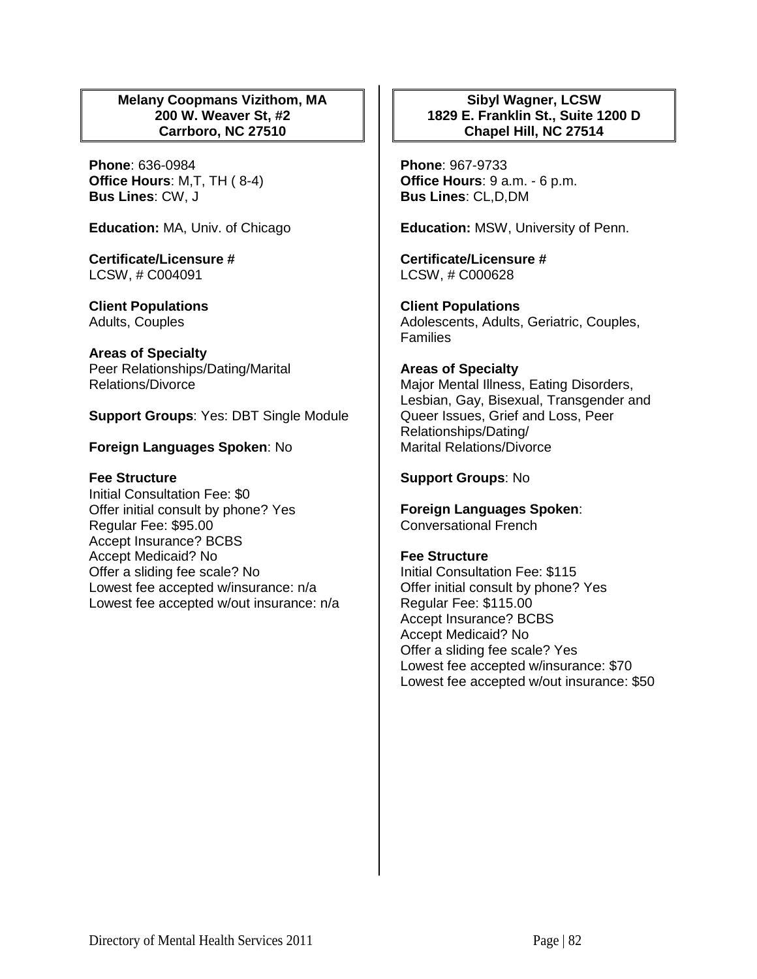## **Melany Coopmans Vizithom, MA 200 W. Weaver St, #2 Carrboro, NC 27510**

**Phone**: 636-0984 **Office Hours**: M,T, TH ( 8-4) **Bus Lines**: CW, J

**Education:** MA, Univ. of Chicago

**Certificate/Licensure #** LCSW, # C004091

**Client Populations**  Adults, Couples

**Areas of Specialty**  Peer Relationships/Dating/Marital Relations/Divorce

**Support Groups**: Yes: DBT Single Module

**Foreign Languages Spoken**: No

**Fee Structure**  Initial Consultation Fee: \$0 Offer initial consult by phone? Yes Regular Fee: \$95.00 Accept Insurance? BCBS Accept Medicaid? No Offer a sliding fee scale? No Lowest fee accepted w/insurance: n/a Lowest fee accepted w/out insurance: n/a

## **Sibyl Wagner, LCSW 1829 E. Franklin St., Suite 1200 D Chapel Hill, NC 27514**

**Phone**: 967-9733 **Office Hours**: 9 a.m. - 6 p.m. **Bus Lines**: CL,D,DM

**Education:** MSW, University of Penn.

**Certificate/Licensure #** LCSW, # C000628

**Client Populations**  Adolescents, Adults, Geriatric, Couples, Families

#### **Areas of Specialty**

Major Mental Illness, Eating Disorders, Lesbian, Gay, Bisexual, Transgender and Queer Issues, Grief and Loss, Peer Relationships/Dating/ Marital Relations/Divorce

## **Support Groups**: No

**Foreign Languages Spoken**: Conversational French

#### **Fee Structure**

Initial Consultation Fee: \$115 Offer initial consult by phone? Yes Regular Fee: \$115.00 Accept Insurance? BCBS Accept Medicaid? No Offer a sliding fee scale? Yes Lowest fee accepted w/insurance: \$70 Lowest fee accepted w/out insurance: \$50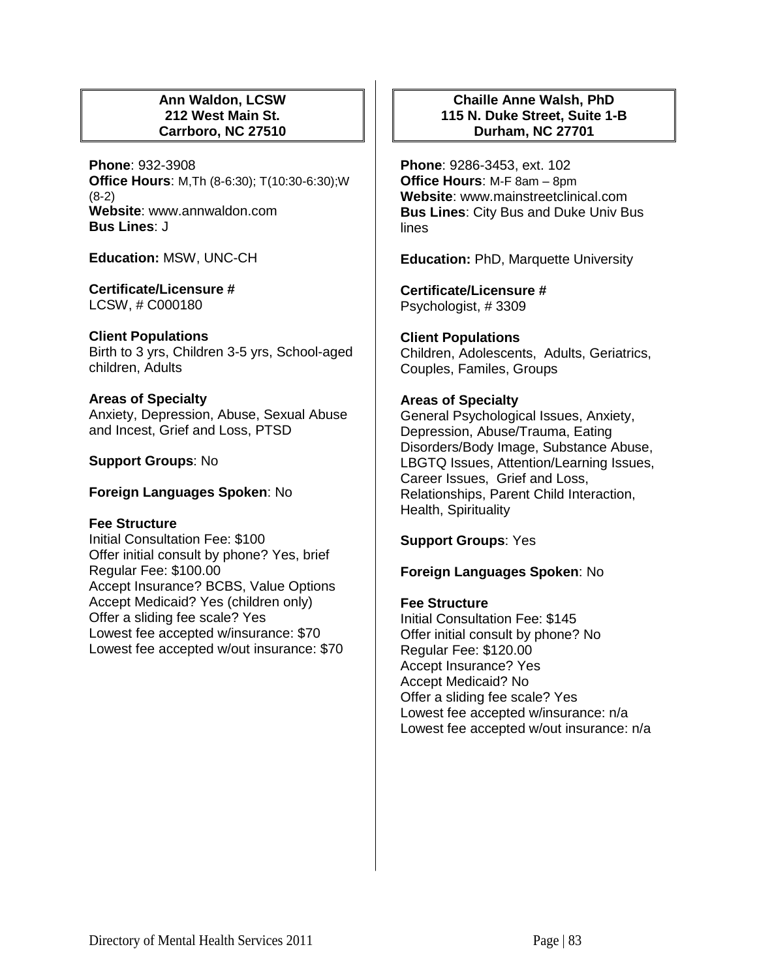## **Ann Waldon, LCSW 212 West Main St. Carrboro, NC 27510**

**Phone**: 932-3908 **Office Hours**: M,Th (8-6:30); T(10:30-6:30);W (8-2) **Website**: www.annwaldon.com **Bus Lines**: J

**Education:** MSW, UNC-CH

#### **Certificate/Licensure #** LCSW, # C000180

## **Client Populations**

Birth to 3 yrs, Children 3-5 yrs, School-aged children, Adults

#### **Areas of Specialty**

Anxiety, Depression, Abuse, Sexual Abuse and Incest, Grief and Loss, PTSD

## **Support Groups**: No

## **Foreign Languages Spoken**: No

## **Fee Structure**

Initial Consultation Fee: \$100 Offer initial consult by phone? Yes, brief Regular Fee: \$100.00 Accept Insurance? BCBS, Value Options Accept Medicaid? Yes (children only) Offer a sliding fee scale? Yes Lowest fee accepted w/insurance: \$70 Lowest fee accepted w/out insurance: \$70

## **Chaille Anne Walsh, PhD 115 N. Duke Street, Suite 1-B Durham, NC 27701**

**Phone**: 9286-3453, ext. 102 **Office Hours**: M-F 8am – 8pm **Website**: www.mainstreetclinical.com **Bus Lines**: City Bus and Duke Univ Bus lines

**Education:** PhD, Marquette University

**Certificate/Licensure #** Psychologist, # 3309

## **Client Populations**

Children, Adolescents, Adults, Geriatrics, Couples, Familes, Groups

## **Areas of Specialty**

General Psychological Issues, Anxiety, Depression, Abuse/Trauma, Eating Disorders/Body Image, Substance Abuse, LBGTQ Issues, Attention/Learning Issues, Career Issues, Grief and Loss, Relationships, Parent Child Interaction, Health, Spirituality

**Support Groups**: Yes

## **Foreign Languages Spoken**: No

#### **Fee Structure**

Initial Consultation Fee: \$145 Offer initial consult by phone? No Regular Fee: \$120.00 Accept Insurance? Yes Accept Medicaid? No Offer a sliding fee scale? Yes Lowest fee accepted w/insurance: n/a Lowest fee accepted w/out insurance: n/a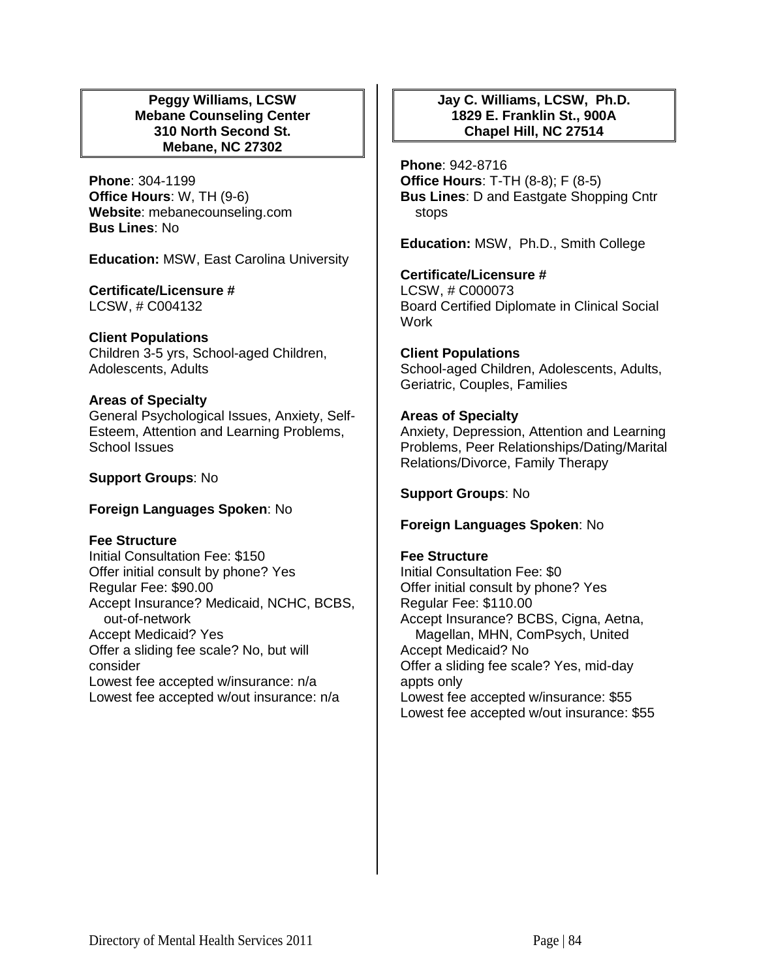## **Peggy Williams, LCSW Mebane Counseling Center 310 North Second St. Mebane, NC 27302**

**Phone**: 304-1199 **Office Hours**: W, TH (9-6) **Website**: mebanecounseling.com **Bus Lines**: No

**Education:** MSW, East Carolina University

## **Certificate/Licensure #**

LCSW, # C004132

## **Client Populations**

Children 3-5 yrs, School-aged Children, Adolescents, Adults

## **Areas of Specialty**

General Psychological Issues, Anxiety, Self-Esteem, Attention and Learning Problems, School Issues

## **Support Groups**: No

## **Foreign Languages Spoken**: No

## **Fee Structure**

Initial Consultation Fee: \$150 Offer initial consult by phone? Yes Regular Fee: \$90.00 Accept Insurance? Medicaid, NCHC, BCBS, out-of-network Accept Medicaid? Yes Offer a sliding fee scale? No, but will consider Lowest fee accepted w/insurance: n/a Lowest fee accepted w/out insurance: n/a

## **Jay C. Williams, LCSW, Ph.D. 1829 E. Franklin St., 900A Chapel Hill, NC 27514**

**Phone**: 942-8716 **Office Hours**: T-TH (8-8); F (8-5) **Bus Lines**: D and Eastgate Shopping Cntr stops

**Education:** MSW, Ph.D., Smith College

## **Certificate/Licensure #**

LCSW, # C000073 Board Certified Diplomate in Clinical Social **Work** 

**Client Populations**  School-aged Children, Adolescents, Adults, Geriatric, Couples, Families

## **Areas of Specialty**

Anxiety, Depression, Attention and Learning Problems, Peer Relationships/Dating/Marital Relations/Divorce, Family Therapy

**Support Groups**: No

#### **Foreign Languages Spoken**: No

## **Fee Structure**

Initial Consultation Fee: \$0 Offer initial consult by phone? Yes Regular Fee: \$110.00 Accept Insurance? BCBS, Cigna, Aetna, Magellan, MHN, ComPsych, United Accept Medicaid? No Offer a sliding fee scale? Yes, mid-day appts only Lowest fee accepted w/insurance: \$55 Lowest fee accepted w/out insurance: \$55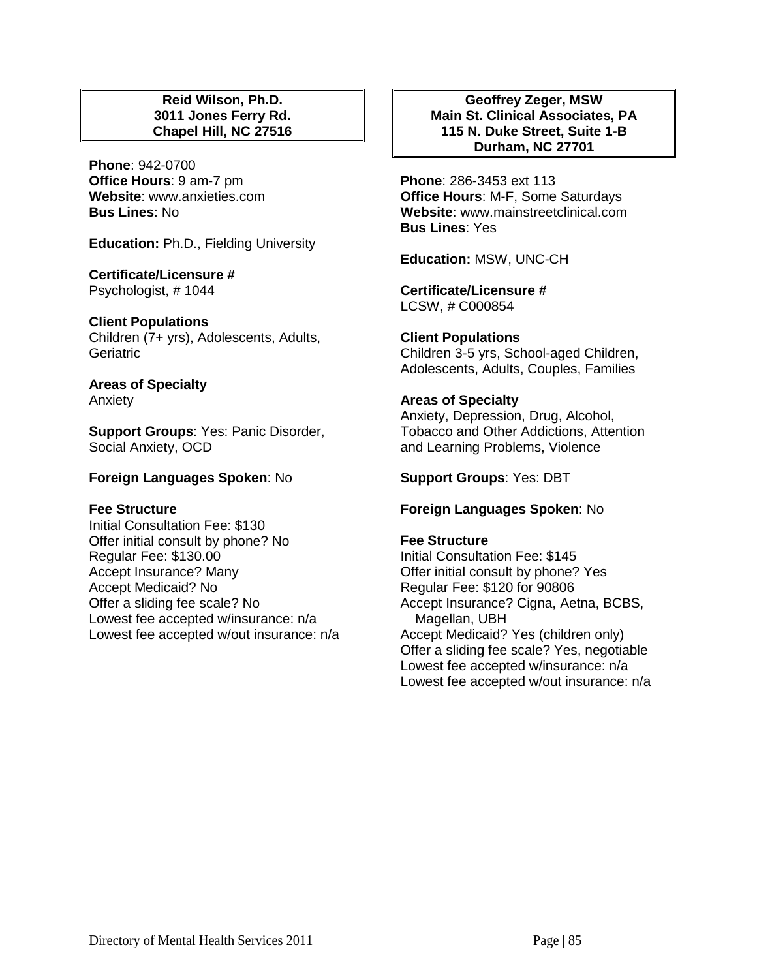## **Reid Wilson, Ph.D. 3011 Jones Ferry Rd. Chapel Hill, NC 27516**

**Phone**: 942-0700 **Office Hours**: 9 am-7 pm **Website**: www.anxieties.com **Bus Lines**: No

**Education:** Ph.D., Fielding University

**Certificate/Licensure #** Psychologist, # 1044

**Client Populations**  Children (7+ yrs), Adolescents, Adults, **Geriatric** 

**Areas of Specialty**  Anxiety

**Support Groups**: Yes: Panic Disorder, Social Anxiety, OCD

## **Foreign Languages Spoken**: No

#### **Fee Structure**

Initial Consultation Fee: \$130 Offer initial consult by phone? No Regular Fee: \$130.00 Accept Insurance? Many Accept Medicaid? No Offer a sliding fee scale? No Lowest fee accepted w/insurance: n/a Lowest fee accepted w/out insurance: n/a

**Geoffrey Zeger, MSW Main St. Clinical Associates, PA 115 N. Duke Street, Suite 1-B Durham, NC 27701**

**Phone**: 286-3453 ext 113 **Office Hours**: M-F, Some Saturdays **Website**: www.mainstreetclinical.com **Bus Lines**: Yes

**Education:** MSW, UNC-CH

**Certificate/Licensure #** LCSW, # C000854

**Client Populations**  Children 3-5 yrs, School-aged Children, Adolescents, Adults, Couples, Families

# **Areas of Specialty**  Anxiety, Depression, Drug, Alcohol,

Tobacco and Other Addictions, Attention and Learning Problems, Violence

**Support Groups**: Yes: DBT

**Foreign Languages Spoken**: No

## **Fee Structure**

Initial Consultation Fee: \$145 Offer initial consult by phone? Yes Regular Fee: \$120 for 90806 Accept Insurance? Cigna, Aetna, BCBS, Magellan, UBH Accept Medicaid? Yes (children only) Offer a sliding fee scale? Yes, negotiable Lowest fee accepted w/insurance: n/a Lowest fee accepted w/out insurance: n/a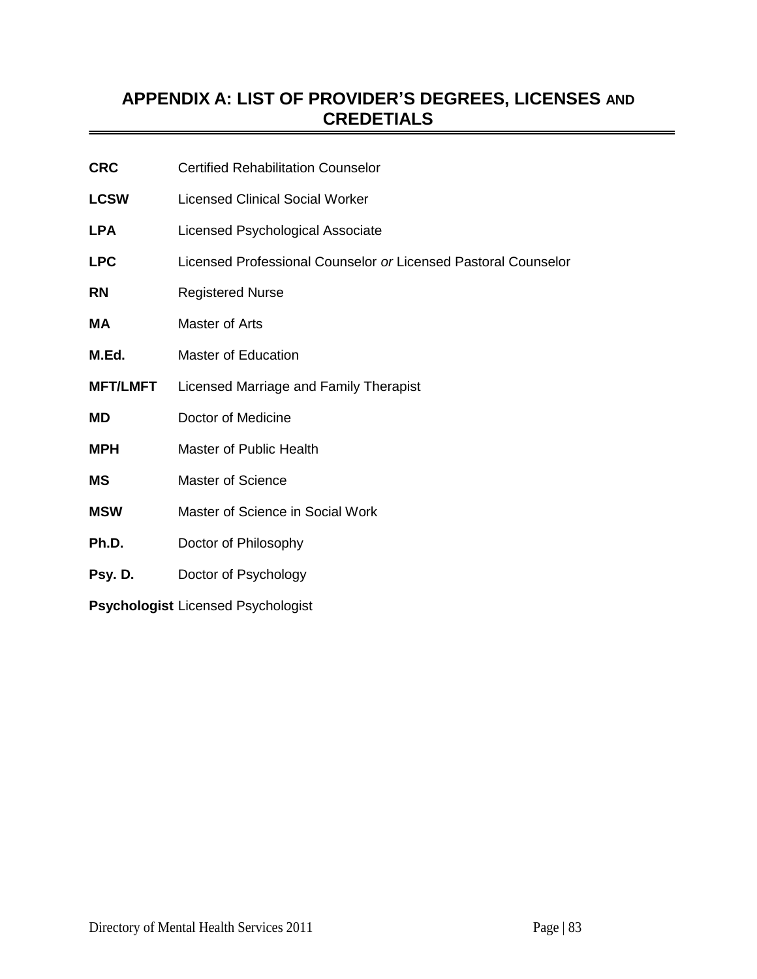# **APPENDIX A: LIST OF PROVIDER'S DEGREES, LICENSES AND CREDETIALS**

| <b>CRC</b>                                | <b>Certified Rehabilitation Counselor</b>                      |
|-------------------------------------------|----------------------------------------------------------------|
| <b>LCSW</b>                               | <b>Licensed Clinical Social Worker</b>                         |
| <b>LPA</b>                                | Licensed Psychological Associate                               |
| <b>LPC</b>                                | Licensed Professional Counselor or Licensed Pastoral Counselor |
| <b>RN</b>                                 | <b>Registered Nurse</b>                                        |
| МA                                        | Master of Arts                                                 |
| M.Ed.                                     | <b>Master of Education</b>                                     |
| <b>MFT/LMFT</b>                           | Licensed Marriage and Family Therapist                         |
| MD                                        | Doctor of Medicine                                             |
| <b>MPH</b>                                | <b>Master of Public Health</b>                                 |
| MS                                        | <b>Master of Science</b>                                       |
| <b>MSW</b>                                | Master of Science in Social Work                               |
| Ph.D.                                     | Doctor of Philosophy                                           |
| Psy. D.                                   | Doctor of Psychology                                           |
| <b>Psychologist Licensed Psychologist</b> |                                                                |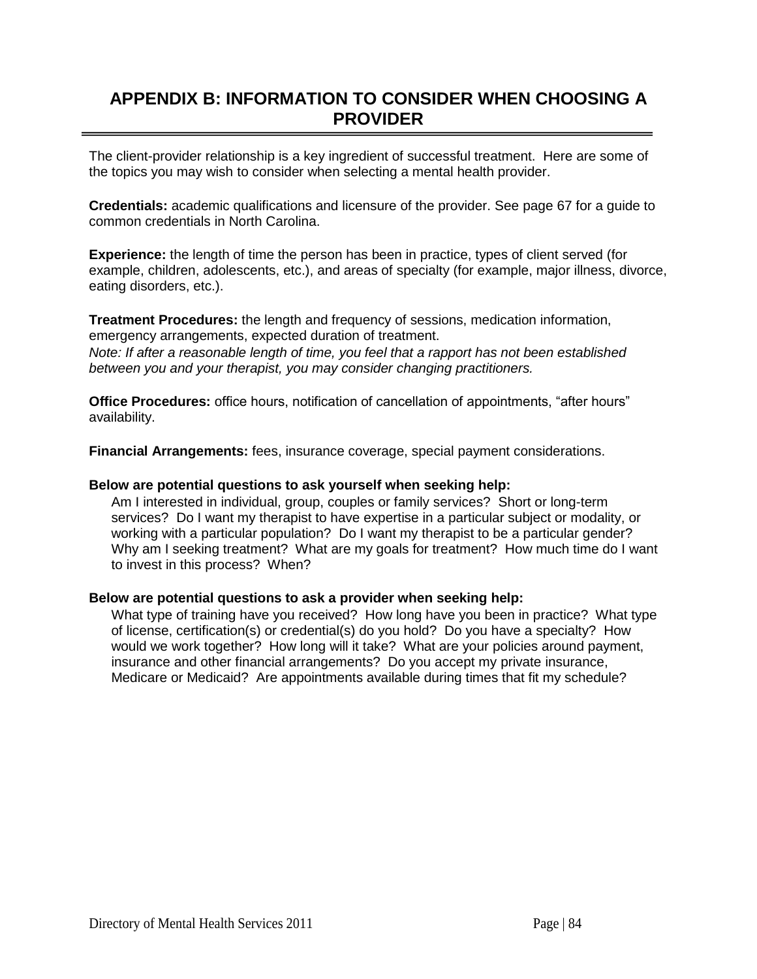## **APPENDIX B: INFORMATION TO CONSIDER WHEN CHOOSING A PROVIDER**

The client-provider relationship is a key ingredient of successful treatment. Here are some of the topics you may wish to consider when selecting a mental health provider.

**Credentials:** academic qualifications and licensure of the provider. See page 67 for a guide to common credentials in North Carolina.

**Experience:** the length of time the person has been in practice, types of client served (for example, children, adolescents, etc.), and areas of specialty (for example, major illness, divorce, eating disorders, etc.).

**Treatment Procedures:** the length and frequency of sessions, medication information, emergency arrangements, expected duration of treatment. *Note: If after a reasonable length of time, you feel that a rapport has not been established between you and your therapist, you may consider changing practitioners.* 

**Office Procedures:** office hours, notification of cancellation of appointments, "after hours" availability.

**Financial Arrangements:** fees, insurance coverage, special payment considerations.

#### **Below are potential questions to ask yourself when seeking help:**

Am I interested in individual, group, couples or family services? Short or long-term services? Do I want my therapist to have expertise in a particular subject or modality, or working with a particular population? Do I want my therapist to be a particular gender? Why am I seeking treatment? What are my goals for treatment? How much time do I want to invest in this process? When?

## **Below are potential questions to ask a provider when seeking help:**

What type of training have you received? How long have you been in practice? What type of license, certification(s) or credential(s) do you hold? Do you have a specialty? How would we work together? How long will it take? What are your policies around payment, insurance and other financial arrangements? Do you accept my private insurance, Medicare or Medicaid? Are appointments available during times that fit my schedule?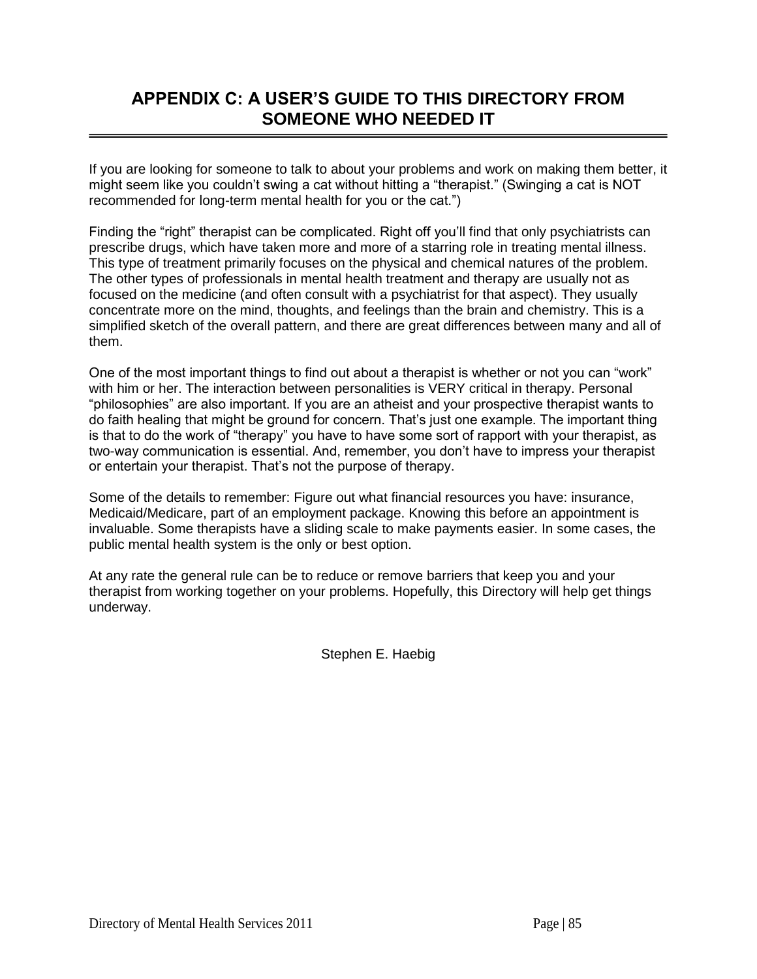# **APPENDIX C: A USER'S GUIDE TO THIS DIRECTORY FROM SOMEONE WHO NEEDED IT**

If you are looking for someone to talk to about your problems and work on making them better, it might seem like you couldn't swing a cat without hitting a "therapist." (Swinging a cat is NOT recommended for long-term mental health for you or the cat.")

Finding the "right" therapist can be complicated. Right off you'll find that only psychiatrists can prescribe drugs, which have taken more and more of a starring role in treating mental illness. This type of treatment primarily focuses on the physical and chemical natures of the problem. The other types of professionals in mental health treatment and therapy are usually not as focused on the medicine (and often consult with a psychiatrist for that aspect). They usually concentrate more on the mind, thoughts, and feelings than the brain and chemistry. This is a simplified sketch of the overall pattern, and there are great differences between many and all of them.

One of the most important things to find out about a therapist is whether or not you can "work" with him or her. The interaction between personalities is VERY critical in therapy. Personal "philosophies" are also important. If you are an atheist and your prospective therapist wants to do faith healing that might be ground for concern. That's just one example. The important thing is that to do the work of "therapy" you have to have some sort of rapport with your therapist, as two-way communication is essential. And, remember, you don't have to impress your therapist or entertain your therapist. That's not the purpose of therapy.

Some of the details to remember: Figure out what financial resources you have: insurance, Medicaid/Medicare, part of an employment package. Knowing this before an appointment is invaluable. Some therapists have a sliding scale to make payments easier. In some cases, the public mental health system is the only or best option.

At any rate the general rule can be to reduce or remove barriers that keep you and your therapist from working together on your problems. Hopefully, this Directory will help get things underway.

Stephen E. Haebig